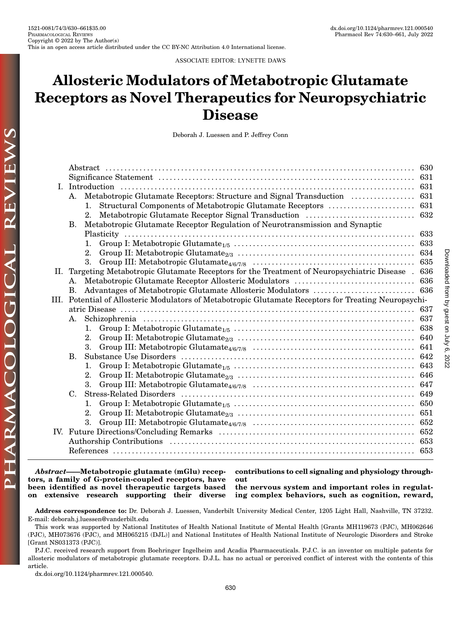by guest on July 6, 2022 Downloaded from

Downloaded from by guest on July 6, 2022

ASSOCIATE EDITOR: LYNETTE DAWS

# Allosteric Modulators of Metabotropic Glutamate Receptors as Novel Therapeutics for Neuropsychiatric Disease

Deborah J. Luessen and P. Jeffrey Conn

| L. |    |                                                                                                       |  |  |  |  |  |  |
|----|----|-------------------------------------------------------------------------------------------------------|--|--|--|--|--|--|
|    |    |                                                                                                       |  |  |  |  |  |  |
|    |    | $\mathbf{1}$ .                                                                                        |  |  |  |  |  |  |
|    |    | 2.                                                                                                    |  |  |  |  |  |  |
|    | В. | Metabotropic Glutamate Receptor Regulation of Neurotransmission and Synaptic                          |  |  |  |  |  |  |
|    |    |                                                                                                       |  |  |  |  |  |  |
|    |    |                                                                                                       |  |  |  |  |  |  |
|    |    | $2_{\cdot}$                                                                                           |  |  |  |  |  |  |
|    |    | 3.                                                                                                    |  |  |  |  |  |  |
| П. |    | Targeting Metabotropic Glutamate Receptors for the Treatment of Neuropsychiatric Disease . 636        |  |  |  |  |  |  |
|    | А. |                                                                                                       |  |  |  |  |  |  |
|    | В. |                                                                                                       |  |  |  |  |  |  |
|    |    | III. Potential of Allosteric Modulators of Metabotropic Glutamate Receptors for Treating Neuropsychi- |  |  |  |  |  |  |
|    |    |                                                                                                       |  |  |  |  |  |  |
|    | Α. |                                                                                                       |  |  |  |  |  |  |
|    |    | 1.                                                                                                    |  |  |  |  |  |  |
|    |    | 2.                                                                                                    |  |  |  |  |  |  |
|    |    | 3.                                                                                                    |  |  |  |  |  |  |
|    | В. |                                                                                                       |  |  |  |  |  |  |
|    |    |                                                                                                       |  |  |  |  |  |  |
|    |    | 2.                                                                                                    |  |  |  |  |  |  |
|    |    | 3.                                                                                                    |  |  |  |  |  |  |
|    | C. |                                                                                                       |  |  |  |  |  |  |
|    |    | 1.                                                                                                    |  |  |  |  |  |  |
|    |    | 2.                                                                                                    |  |  |  |  |  |  |
|    |    | 3.                                                                                                    |  |  |  |  |  |  |
|    |    |                                                                                                       |  |  |  |  |  |  |
|    |    |                                                                                                       |  |  |  |  |  |  |
|    |    |                                                                                                       |  |  |  |  |  |  |
|    |    |                                                                                                       |  |  |  |  |  |  |

Abstract——Metabotropic glutamate (mGlu) receptors, a family of G-protein-coupled receptors, have been identified as novel therapeutic targets based on extensive research supporting their diverse

contributions to cell signaling and physiology throughout

the nervous system and important roles in regulating complex behaviors, such as cognition, reward,

Address correspondence to: Dr. Deborah J. Luessen, Vanderbilt University Medical Center, 1205 Light Hall, Nashville, TN 37232. E-mail: [deborah.j.luessen@vanderbilt.edu](mailto:deborah.j.luessen@vanderbilt.edu)

[dx.doi.org/10.1124/pharmrev.121.000540.](dx.doi.org/10.1124/pharmrev.121.000540)

This work was supported by National Institutes of Health National Institute of Mental Health [Grants MH119673 (PJC), MH062646 (PJC), MH073676 (PJC), and MH065215 (DJL)] and National Institutes of Health National Institute of Neurologic Disorders and Stroke [Grant NS031373 (PJC)].

P.J.C. received research support from Boehringer Ingelheim and Acadia Pharmaceuticals. P.J.C. is an inventor on multiple patents for allosteric modulators of metabotropic glutamate receptors. D.J.L. has no actual or perceived conflict of interest with the contents of this article.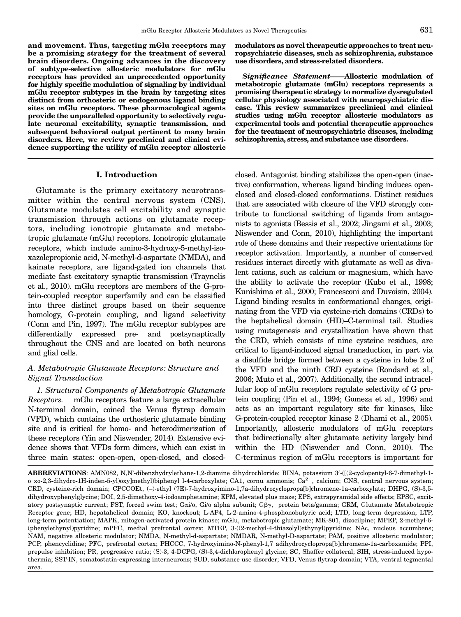<span id="page-1-0"></span>and movement. Thus, targeting mGlu receptors may be a promising strategy for the treatment of several brain disorders. Ongoing advances in the discovery of subtype-selective allosteric modulators for mGlu receptors has provided an unprecedented opportunity for highly specific modulation of signaling by individual mGlu receptor subtypes in the brain by targeting sites distinct from orthosteric or endogenous ligand binding sites on mGlu receptors. These pharmacological agents provide the unparalleled opportunity to selectively regulate neuronal excitability, synaptic transmission, and subsequent behavioral output pertinent to many brain disorders. Here, we review preclinical and clinical evidence supporting the utility of mGlu receptor allosteric

#### I. Introduction

Glutamate is the primary excitatory neurotransmitter within the central nervous system (CNS). Glutamate modulates cell excitability and synaptic transmission through actions on glutamate receptors, including ionotropic glutamate and metabotropic glutamate (mGlu) receptors. Ionotropic glutamate receptors, which include amino-3-hydroxy-5-methyl-isoxazolepropionic acid, N-methyl-d-aspartate (NMDA), and kainate receptors, are ligand-gated ion channels that mediate fast excitatory synaptic transmission (Traynelis et al., 2010). mGlu receptors are members of the G-protein-coupled receptor superfamily and can be classified into three distinct groups based on their sequence homology, G-protein coupling, and ligand selectivity (Conn and Pin, 1997). The mGlu receptor subtypes are differentially expressed pre- and postsynaptically throughout the CNS and are located on both neurons and glial cells.

## A. Metabotropic Glutamate Receptors: Structure and Signal Transduction

1. Structural Components of Metabotropic Glutamate Receptors. mGlu receptors feature a large extracellular N-terminal domain, coined the Venus flytrap domain (VFD), which contains the orthosteric glutamate binding site and is critical for homo- and heterodimerization of these receptors (Yin and Niswender, 2014). Extensive evidence shows that VFDs form dimers, which can exist in three main states: open-open, open-closed, and closedmodulators as novel therapeutic approaches to treat neuropsychiatric diseases, such as schizophrenia, substance use disorders, and stress-related disorders.

Significance Statement——Allosteric modulation of metabotropic glutamate (mGlu) receptors represents a promising therapeutic strategy to normalize dysregulated cellular physiology associated with neuropsychiatric disease. This review summarizes preclinical and clinical studies using mGlu receptor allosteric modulators as experimental tools and potential therapeutic approaches for the treatment of neuropsychiatric diseases, including schizophrenia, stress, and substance use disorders.

closed. Antagonist binding stabilizes the open-open (inactive) conformation, whereas ligand binding induces openclosed and closed-closed conformations. Distinct residues that are associated with closure of the VFD strongly contribute to functional switching of ligands from antagonists to agonists (Bessis et al., 2002; Jingami et al., 2003; Niswender and Conn, 2010), highlighting the important role of these domains and their respective orientations for receptor activation. Importantly, a number of conserved residues interact directly with glutamate as well as divalent cations, such as calcium or magnesium, which have the ability to activate the receptor (Kubo et al., 1998; Kunishima et al., 2000; Francesconi and Duvoisin, 2004). Ligand binding results in conformational changes, originating from the VFD via cysteine-rich domains (CRDs) to the heptahelical domain (HD)–C-terminal tail. Studies using mutagenesis and crystallization have shown that the CRD, which consists of nine cysteine residues, are critical to ligand-induced signal transduction, in part via a disulfide bridge formed between a cysteine in lobe 2 of the VFD and the ninth CRD cysteine (Rondard et al., 2006; Muto et al., 2007). Additionally, the second intracellular loop of mGlu receptors regulate selectivity of G protein coupling (Pin et al., 1994; Gomeza et al., 1996) and acts as an important regulatory site for kinases, like G-protein-coupled receptor kinase 2 (Dhami et al., 2005). Importantly, allosteric modulators of mGlu receptors that bidirectionally alter glutamate activity largely bind within the HD (Niswender and Conn, 2010). The C-terminus region of mGlu receptors is important for

 ${\bf ABBREVIATIONS}$ : AMN082, N,N'-dibenzhydrylethane-1,2-diamine dihydrochloride; BINA, potassium 3′-([(2-cyclopentyl-6-7-dimethyl-1o xo-2,3-dihydro-1H-inden-5-yl)oxy]methyl)biphenyl l-4-carboxylate; CA1, cornu ammonis; Ca $^{2+}$ , calcium; CNS, central nervous system; CRD, cysteine-rich domain; CPCCOEt, (–)-ethyl (7E)-7-hydroxyimino-1,7a-dihydrocyclopropa[b]chromene-1a-carboxylate; DHPG, (S)-3,5 dihydroxyphenylglycine; DOI, 2,5-dimethoxy-4-iodoamphetamine; EPM, elevated plus maze; EPS, extrapyramidal side effects; EPSC, excitatory postsynaptic current; FST, forced swim test; Gai/o, Gi/o alpha subunit; G $\beta\gamma$ , protein beta/gamma; GRM, Glutamate Metabotropic Receptor gene; HD, hepatahelical domain; KO, knockout; L-AP4, L-2-amino-4-phosphonobutyric acid; LTD, long-term depression; LTP, long-term potentiation; MAPK, mitogen-activated protein kinase; mGlu, metabotropic glutamate; MK-801, dizocilpine; MPEP, 2-methyl-6- (phenylethynyl)pyridine; mPFC, medial prefrontal cortex; MTEP, 3-((2-methyl-4-thiazolyl)ethynyl)pyridine; NAc, nucleus accumbens; NAM, negative allosteric modulator; NMDA, N-methyl-d-aspartate; NMDAR, N-methyl-D-aspartate; PAM, positive allosteric modulator; PCP, phencyclidine; PFC, prefrontal cortex; PHCCC, 7-hydroxyimino-N-phenyl-1,7 adihydrocyclopropa[b]chromene-1a-carboxamide; PPI, prepulse inhibition; PR, progressive ratio; (S)-3, 4-DCPG, (S)-3,4-dichlorophenyl glycine; SC, Shaffer collateral; SIH, stress-induced hypothermia; SST-IN, somatostatin-expressing interneurons; SUD, substance use disorder; VFD, Venus flytrap domain; VTA, ventral tegmental area.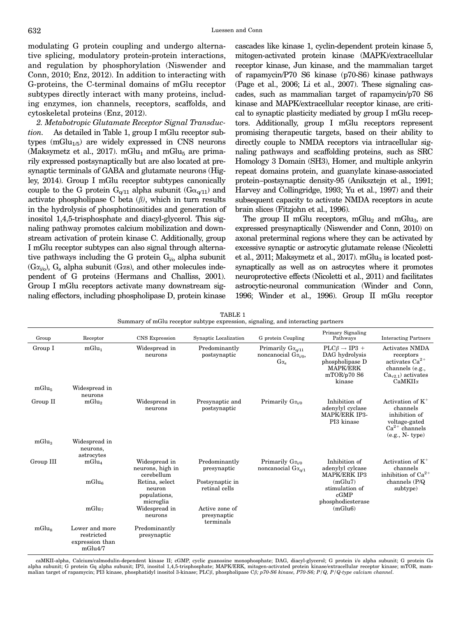<span id="page-2-0"></span>modulating G protein coupling and undergo alternative splicing, modulatory protein-protein interactions, and regulation by phosphorylation (Niswender and Conn, 2010; Enz, 2012). In addition to interacting with G-proteins, the C-terminal domains of mGlu receptor subtypes directly interact with many proteins, including enzymes, ion channels, receptors, scaffolds, and cytoskeletal proteins (Enz, 2012).

2. Metabotropic Glutamate Receptor Signal Transduction. As detailed in Table 1, group I mGlu receptor subtypes  $(mGlu_{1/5})$  are widely expressed in CNS neurons (Maksymetz et al., 2017). mGlu<sub>1</sub> and mGlu<sub>5</sub> are primarily expressed postsynaptically but are also located at presynaptic terminals of GABA and glutamate neurons (Higley, 2014). Group I mGlu receptor subtypes canonically couple to the G protein  $G_{\alpha/11}$  alpha subunit  $(G_{\alpha}\alpha_{11})$  and activate phospholipase C beta  $(\beta)$ , which in turn results in the hydrolysis of phosphotinositides and generation of inositol 1,4,5-trisphosphate and diacyl-glycerol. This signaling pathway promotes calcium mobilization and downstream activation of protein kinase C. Additionally, group I mGlu receptor subtypes can also signal through alternative pathways including the G protein  $G_{i\ell}$  alpha subunit  $(G_{\alpha_{i\alpha}})$ ,  $G_s$  alpha subunit  $(G_{\alpha s})$ , and other molecules independent of G proteins (Hermans and Challiss, 2001). Group I mGlu receptors activate many downstream signaling effectors, including phospholipase D, protein kinase

cascades like kinase 1, cyclin-dependent protein kinase 5, mitogen-activated protein kinase (MAPK)/extracellular receptor kinase, Jun kinase, and the mammalian target of rapamycin/P70 S6 kinase (p70-S6) kinase pathways (Page et al., 2006; Li et al., 2007). These signaling cascades, such as mammalian target of rapamycin/p70 S6 kinase and MAPK/extracellular receptor kinase, are critical to synaptic plasticity mediated by group I mGlu receptors. Additionally, group I mGlu receptors represent promising therapeutic targets, based on their ability to directly couple to NMDA receptors via intracellular signaling pathways and scaffolding proteins, such as SRC Homology 3 Domain (SH3), Homer, and multiple ankyrin repeat domains protein, and guanylate kinase-associated protein–postsynaptic density-95 (Aniksztejn et al., 1991; Harvey and Collingridge, 1993; Yu et al., 1997) and their subsequent capacity to activate NMDA receptors in acute brain slices (Fitzjohn et al., 1996).

The group II mGlu receptors, mGlu<sub>2</sub> and mGlu<sub>3</sub>, are expressed presynaptically (Niswender and Conn, 2010) on axonal preterminal regions where they can be activated by excessive synaptic or astrocytic glutamate release (Nicoletti et al., 2011; Maksymetz et al., 2017). m $Glu<sub>3</sub>$  is located postsynaptically as well as on astrocytes where it promotes neuroprotective effects (Nicoletti et al., 2011) and facilitates astrocytic-neuronal communication (Winder and Conn, 1996; Winder et al., 1996). Group II mGlu receptor

| Group                        | Receptor                                                   | <b>CNS</b> Expression                                 | Synaptic Localization                      | G protein Coupling                                                               | Primary Signaling<br>Pathways                                                                                | <b>Interacting Partners</b>                                                                                              |
|------------------------------|------------------------------------------------------------|-------------------------------------------------------|--------------------------------------------|----------------------------------------------------------------------------------|--------------------------------------------------------------------------------------------------------------|--------------------------------------------------------------------------------------------------------------------------|
| Group I<br>mGlu <sub>5</sub> | mGlu <sub>1</sub><br>Widespread in                         | Widespread in<br>neurons                              | Predominantly<br>postsynaptic              | Primarily $G_{\alpha_{0}/11}$<br>noncanocial $G_{\alpha_{i/0}}$<br>$G\alpha_{s}$ | $PLC\beta \rightarrow IP3 +$<br>DAG hydrolysis<br>phospholipase D<br><b>MAPK/ERK</b><br>mTOR/p70S6<br>kinase | Activates NMDA<br>receptors<br>activates $\mathrm{Ca}^{2+}$<br>channels (e.g.,<br>$Cav2.1$ ) activates<br>$CaMKII\alpha$ |
| Group II                     | neurons<br>mGlu <sub>2</sub>                               | Widespread in<br>neurons                              | Presynaptic and<br>postsynaptic            | Primarily $G\alpha_{i/0}$                                                        | Inhibition of<br>adenylyl cyclase<br><b>MAPK/ERK IP3-</b><br>PI3 kinase                                      | Activation of $K^+$<br>channels<br>inhibition of<br>voltage-gated<br>$Ca^{2+}$ channels<br>$(e.g., N-type)$              |
| mGlu <sub>3</sub>            | Widespread in<br>neurons,<br>astrocytes                    |                                                       |                                            |                                                                                  |                                                                                                              |                                                                                                                          |
| Group III                    | $mGlu_4$                                                   | Widespread in<br>neurons, high in<br>cerebellum       | Predominantly<br>presynaptic               | Primarily $G\alpha_{i/0}$<br>noncanocial $G\alpha_{\alpha/1}$                    | Inhibition of<br>adenylyl cylcase<br><b>MAPK/ERK IP3</b>                                                     | Activation of $K^+$<br>channels<br>inhibition of $Ca^{2+}$                                                               |
|                              | mGlu <sub>6</sub>                                          | Retina, select<br>neuron<br>populations,<br>microglia | Postsynaptic in<br>retinal cells           |                                                                                  | (mGlu7)<br>stimulation of<br>cGMP<br>phosphodiesterase                                                       | channels $(P/Q)$<br>subtype)                                                                                             |
|                              | mGlu <sub>7</sub>                                          | Widespread in<br>neurons                              | Active zone of<br>presynaptic<br>terminals |                                                                                  | (mGlu6)                                                                                                      |                                                                                                                          |
| mGlu <sub>s</sub>            | Lower and more<br>restricted<br>expression than<br>mGlu4/7 | Predominantly<br>presynaptic                          |                                            |                                                                                  |                                                                                                              |                                                                                                                          |

TABLE 1 Summary of mGlu receptor subtype expression, signaling, and interacting partners

caMKII-alpha, Calcium/calmodulin-dependent kinase II; cGMP, cyclic guanosine monophosphate; DAG, diacyl-glycerol; G protein i/o alpha subunit; G protein Gs alpha subunit; G protein Gq alpha subunit; IP3, inositol 1,4,5-trisphosphate; MAPK/ERK, mitogen-activated protein kinase/extracellular receptor kinase; mTOR, mammalian target of rapamycin; PI3 kinase, phosphatidyl inositol 3-kinase; PLCß, phospholipase Cß; p70-S6 kinase, P70-S6; P/Q, P/Q-type calcium channel.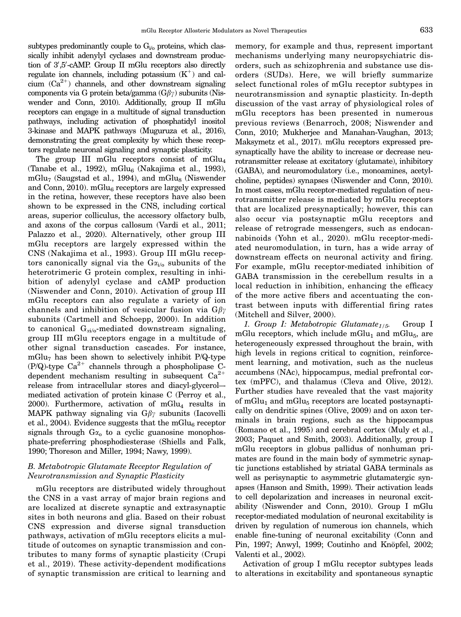<span id="page-3-0"></span>subtypes predominantly couple to  $G_{i/0}$  proteins, which classically inhibit adenylyl cyclases and downstream production of 3',5'-cAMP. Group II mGlu receptors also directly regulate ion channels, including potassium  $(K^+)$  and calcium  $(Ca^{2+})$  channels, and other downstream signaling components via G protein beta/gamma  $(G\beta\gamma)$  subunits (Niswender and Conn, 2010). Additionally, group II mGlu receptors can engage in a multitude of signal transduction pathways, including activation of phosphatidyl inositol 3-kinase and MAPK pathways (Muguruza et al., 2016), demonstrating the great complexity by which these receptors regulate neuronal signaling and synaptic plasticity.

The group III mGlu receptors consist of mGlu<sub>4</sub> (Tanabe et al., 1992), mGlu $_6$  (Nakajima et al., 1993),  $mGlu<sub>7</sub>$  (Saugstad et al., 1994), and  $mGlu<sub>8</sub>$  (Niswender and Conn, 2010).  $mGlu<sub>6</sub>$  receptors are largely expressed in the retina, however, these receptors have also been shown to be expressed in the CNS, including cortical areas, superior colliculus, the accessory olfactory bulb, and axons of the corpus callosum (Vardi et al., 2011; Palazzo et al., 2020). Alternatively, other group III mGlu receptors are largely expressed within the CNS (Nakajima et al., 1993). Group III mGlu receptors canonically signal via the  $Ga<sub>i/o</sub>$  subunits of the heterotrimeric G protein complex, resulting in inhibition of adenylyl cyclase and cAMP production (Niswender and Conn, 2010). Activation of group III mGlu receptors can also regulate a variety of ion channels and inhibition of vesicular fusion via  $G\beta\gamma$ subunits (Cartmell and Schoepp, 2000). In addition to canonical  $G_{\alpha i/\alpha}$ -mediated downstream signaling, group III mGlu receptors engage in a multitude of other signal transduction cascades. For instance,  $mGlu<sub>7</sub>$  has been shown to selectively inhibit P/Q-type (P/Q)-type  $Ca^{2+}$  channels through a phospholipase Cdependent mechanism resulting in subsequent  $Ca^{2+}$ release from intracellular stores and diacyl-glycerol– mediated activation of protein kinase C (Perroy et al.,  $2000$ . Furthermore, activation of mGlu<sub>4</sub> results in MAPK pathway signaling via  $G\beta\gamma$  subunits (Iacovelli et al., 2004). Evidence suggests that the mGlu<sub>6</sub> receptor signals through  $G\alpha_0$  to a cyclic guanosine monophosphate-preferring phosphodiesterase (Shiells and Falk, 1990; Thoreson and Miller, 1994; Nawy, 1999).

## B. Metabotropic Glutamate Receptor Regulation of Neurotransmission and Synaptic Plasticity

mGlu receptors are distributed widely throughout the CNS in a vast array of major brain regions and are localized at discrete synaptic and extrasynaptic sites in both neurons and glia. Based on their robust CNS expression and diverse signal transduction pathways, activation of mGlu receptors elicits a multitude of outcomes on synaptic transmission and contributes to many forms of synaptic plasticity (Crupi et al., 2019). These activity-dependent modifications of synaptic transmission are critical to learning and memory, for example and thus, represent important mechanisms underlying many neuropsychiatric disorders, such as schizophrenia and substance use disorders (SUDs). Here, we will briefly summarize select functional roles of mGlu receptor subtypes in neurotransmission and synaptic plasticity. In-depth discussion of the vast array of physiological roles of mGlu receptors has been presented in numerous previous reviews (Benarroch, 2008; Niswender and Conn, 2010; Mukherjee and Manahan-Vaughan, 2013; Maksymetz et al., 2017). mGlu receptors expressed presynaptically have the ability to increase or decrease neurotransmitter release at excitatory (glutamate), inhibitory (GABA), and neuromodulatory (i.e., monoamines, acetylcholine, peptides) synapses (Niswender and Conn, 2010). In most cases, mGlu receptor-mediated regulation of neurotransmitter release is mediated by mGlu receptors that are localized presynaptically; however, this can also occur via postsynaptic mGlu receptors and release of retrograde messengers, such as endocannabinoids (Yohn et al., 2020). mGlu receptor-mediated neuromodulation, in turn, has a wide array of downstream effects on neuronal activity and firing. For example, mGlu receptor-mediated inhibition of GABA transmission in the cerebellum results in a local reduction in inhibition, enhancing the efficacy of the more active fibers and accentuating the contrast between inputs with differential firing rates (Mitchell and Silver, 2000).

1. Group I: Metabotropic Glutamate<sub>1/5</sub>. Group I mGlu receptors, which include mGlu<sub>1</sub> and mGlu<sub>5</sub>, are heterogeneously expressed throughout the brain, with high levels in regions critical to cognition, reinforcement learning, and motivation, such as the nucleus accumbens (NAc), hippocampus, medial prefrontal cortex (mPFC), and thalamus (Cleva and Olive, 2012). Further studies have revealed that the vast majority of mGlu<sub>1</sub> and mGlu<sub>5</sub> receptors are located postsynaptically on dendritic spines (Olive, 2009) and on axon terminals in brain regions, such as the hippocampus (Romano et al., 1995) and cerebral cortex (Muly et al., 2003; Paquet and Smith, 2003). Additionally, group I mGlu receptors in globus pallidus of nonhuman primates are found in the main body of symmetric synaptic junctions established by striatal GABA terminals as well as perisynaptic to asymmetric glutamatergic synapses (Hanson and Smith, 1999). Their activation leads to cell depolarization and increases in neuronal excitability (Niswender and Conn, 2010). Group I mGlu receptor-mediated modulation of neuronal excitability is driven by regulation of numerous ion channels, which enable fine-tuning of neuronal excitability (Conn and Pin, 1997; Anwyl, 1999; Coutinho and Knöpfel, 2002; Valenti et al., 2002).

Activation of group I mGlu receptor subtypes leads to alterations in excitability and spontaneous synaptic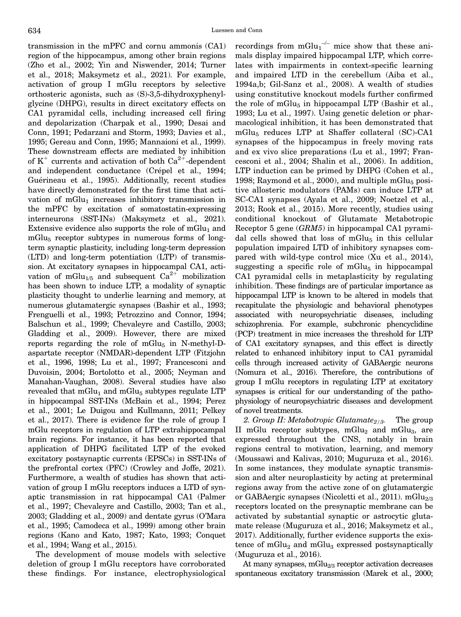<span id="page-4-0"></span>transmission in the mPFC and cornu ammonis (CA1) region of the hippocampus, among other brain regions (Zho et al., 2002; Yin and Niswender, 2014; Turner et al., 2018; Maksymetz et al., 2021). For example, activation of group I mGlu receptors by selective orthosteric agonists, such as (S)-3,5-dihydroxyphenylglycine (DHPG), results in direct excitatory effects on CA1 pyramidal cells, including increased cell firing and depolarization (Charpak et al., 1990; Desai and Conn, 1991; Pedarzani and Storm, 1993; Davies et al., 1995; Gereau and Conn, 1995; Mannaioni et al., 1999). These downstream effects are mediated by inhibition of  $K^+$  currents and activation of both  $Ca^{2+}$ -dependent and independent conductance (Crépel et al., 1994; Guérineau et al., 1995). Additionally, recent studies have directly demonstrated for the first time that activation of  $mGlu<sub>1</sub>$  increases inhibitory transmission in the mPFC by excitation of somatostatin-expressing interneurons (SST-INs) (Maksymetz et al., 2021). Extensive evidence also supports the role of  $mGlu<sub>1</sub>$  and mGlu<sub>5</sub> receptor subtypes in numerous forms of longterm synaptic plasticity, including long-term depression (LTD) and long-term potentiation (LTP) of transmission. At excitatory synapses in hippocampal CA1, activation of mGlu<sub>1/5</sub> and subsequent  $Ca^{2+}$  mobilization has been shown to induce LTP, a modality of synaptic plasticity thought to underlie learning and memory, at numerous glutamatergic synapses (Bashir et al., 1993; Frenguelli et al., 1993; Petrozzino and Connor, 1994; Balschun et al., 1999; Chevaleyre and Castillo, 2003; Gladding et al., 2009). However, there are mixed reports regarding the role of  $mGlu<sub>5</sub>$  in N-methyl-Daspartate receptor (NMDAR)-dependent LTP (Fitzjohn et al., 1996, 1998; Lu et al., 1997; Francesconi and Duvoisin, 2004; Bortolotto et al., 2005; Neyman and Manahan-Vaughan, 2008). Several studies have also revealed that  $mGlu<sub>1</sub>$  and  $mGlu<sub>5</sub>$  subtypes regulate LTP in hippocampal SST-INs (McBain et al., 1994; Perez et al., 2001; Le Duigou and Kullmann, 2011; Pelkey et al., 2017). There is evidence for the role of group I mGlu receptors in regulation of LTP extrahippocampal brain regions. For instance, it has been reported that application of DHPG facilitated LTP of the evoked excitatory postsynaptic currents (EPSCs) in SST-INs of the prefrontal cortex (PFC) (Crowley and Joffe, 2021). Furthermore, a wealth of studies has shown that activation of group I mGlu receptors induces a LTD of synaptic transmission in rat hippocampal CA1 (Palmer et al., 1997; Chevaleyre and Castillo, 2003; Tan et al., 2003; Gladding et al., 2009) and dentate gyrus (O'Mara et al., 1995; Camodeca et al., 1999) among other brain regions (Kano and Kato, 1987; Kato, 1993; Conquet et al., 1994; Wang et al., 2015).

The development of mouse models with selective deletion of group I mGlu receptors have corroborated these findings. For instance, electrophysiological

recordings from  $mGlu_1^{-/-}$  mice show that these animals display impaired hippocampal LTP, which correlates with impairments in context-specific learning and impaired LTD in the cerebellum (Aiba et al., 1994a,b; Gil-Sanz et al., 2008). A wealth of studies using constitutive knockout models further confirmed the role of mGlu<sub>5</sub> in hippocampal LTP (Bashir et al., 1993; Lu et al., 1997). Using genetic deletion or pharmacological inhibition, it has been demonstrated that mGlu<sub>5</sub> reduces LTP at Shaffer collateral (SC)-CA1 synapses of the hippocampus in freely moving rats and ex vivo slice preparations (Lu et al., 1997; Francesconi et al., 2004; Shalin et al., 2006). In addition, LTP induction can be primed by DHPG (Cohen et al., 1998; Raymond et al., 2000), and multiple mGlu $_5$  positive allosteric modulators (PAMs) can induce LTP at SC-CA1 synapses (Ayala et al., 2009; Noetzel et al., 2013; Rook et al., 2015). More recently, studies using conditional knockout of Glutamate Metabotropic Receptor 5 gene (GRM5) in hippocampal CA1 pyramidal cells showed that loss of mGlu<sub>5</sub> in this cellular population impaired LTD of inhibitory synapses compared with wild-type control mice (Xu et al., 2014), suggesting a specific role of  $mGlu<sub>5</sub>$  in hippocampal CA1 pyramidal cells in metaplasticity by regulating inhibition. These findings are of particular importance as hippocampal LTP is known to be altered in models that recapitulate the physiologic and behavioral phenotypes associated with neuropsychriatic diseases, including schizophrenia. For example, subchronic phencyclidine (PCP) treatment in mice increases the threshold for LTP of CA1 excitatory synapses, and this effect is directly related to enhanced inhibitory input to CA1 pyramidal cells through increased activity of GABAergic neurons (Nomura et al., 2016). Therefore, the contributions of group I mGlu receptors in regulating LTP at excitatory synapses is critical for our understanding of the pathophysiology of neuropsychiatric diseases and development of novel treatments.

2. Group II: Metabotropic Glutamate<sub>2/3</sub>. The group II mGlu receptor subtypes, mGlu<sub>2</sub> and mGlu<sub>3</sub>, are expressed throughout the CNS, notably in brain regions central to motivation, learning, and memory (Moussawi and Kalivas, 2010; Muguruza et al., 2016). In some instances, they modulate synaptic transmission and alter neuroplasticity by acting at preterminal regions away from the active zone of on glutamatergic or GABAergic synapses (Nicoletti et al., 2011). mGlu<sub>2/3</sub> receptors located on the presynaptic membrane can be activated by substantial synaptic or astrocytic glutamate release (Muguruza et al., 2016; Maksymetz et al., 2017). Additionally, further evidence supports the existence of mGlu<sub>2</sub> and mGlu<sub>3</sub> expressed postsynaptically (Muguruza et al., 2016).

At many synapses,  $mGlu_{2/3}$  receptor activation decreases spontaneous excitatory transmission (Marek et al., 2000;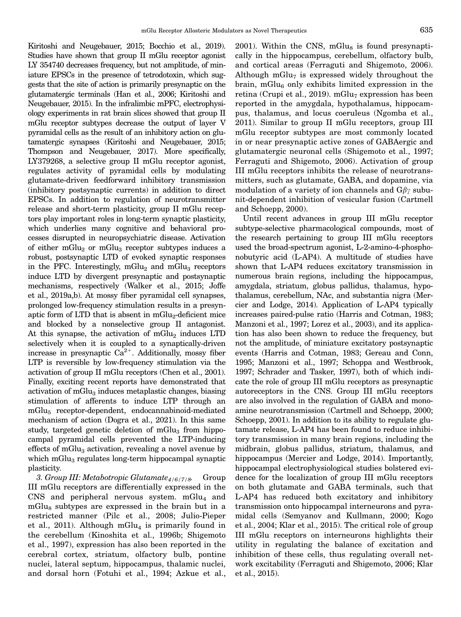<span id="page-5-0"></span>Kiritoshi and Neugebauer, 2015; Bocchio et al., 2019). Studies have shown that group II mGlu receptor agonist LY 354740 decreases frequency, but not amplitude, of miniature EPSCs in the presence of tetrodotoxin, which suggests that the site of action is primarily presynaptic on the glutamatergic terminals (Han et al., 2006; Kiritoshi and Neugebauer, 2015). In the infralimbic mPFC, electrophysiology experiments in rat brain slices showed that group II mGlu receptor subtypes decrease the output of layer V pyramidal cells as the result of an inhibitory action on glutamatergic synapses (Kiritoshi and Neugebauer, 2015; Thompson and Neugebauer, 2017). More specifically, LY379268, a selective group II mGlu receptor agonist, regulates activity of pyramidal cells by modulating glutamate-driven feedforward inhibitory transmission (inhibitory postsynaptic currents) in addition to direct EPSCs. In addition to regulation of neurotransmitter release and short-term plasticity, group II mGlu receptors play important roles in long-term synaptic plasticity, which underlies many cognitive and behavioral processes disrupted in neuropsychiatric disease. Activation of either  $mGlu<sub>2</sub>$  or  $mGlu<sub>3</sub>$  receptor subtypes induces a robust, postsynaptic LTD of evoked synaptic responses in the PFC. Interestingly, mGlu<sub>2</sub> and mGlu<sub>3</sub> receptors induce LTD by divergent presynaptic and postsynaptic mechanisms, respectively (Walker et al., 2015; Joffe et al., 2019a,b). At mossy fiber pyramidal cell synapses, prolonged low-frequency stimulation results in a presynaptic form of LTD that is absent in  $mGlu<sub>2</sub>$ -deficient mice and blocked by a nonselective group II antagonist. At this synapse, the activation of  $mGlu<sub>2</sub>$  induces LTD selectively when it is coupled to a synaptically-driven increase in presynaptic  $Ca^{2+}$ . Additionally, mossy fiber LTP is reversible by low-frequency stimulation via the activation of group II mGlu receptors (Chen et al., 2001). Finally, exciting recent reports have demonstrated that activation of mGlu<sub>3</sub> induces metaplastic changes, biasing stimulation of afferents to induce LTP through an mGlu5 receptor-dependent, endocannabinoid-mediated mechanism of action (Dogra et al., 2021). In this same study, targeted genetic deletion of  $mGlu<sub>3</sub>$  from hippocampal pyramidal cells prevented the LTP-inducing effects of mGlu<sub>3</sub> activation, revealing a novel avenue by which mGlu<sub>3</sub> regulates long-term hippocampal synaptic plasticity.

3. Group III: Metabotropic Glutamate $4/6/7/8$ . Group III mGlu receptors are differentially expressed in the  $CNS$  and peripheral nervous system. mGlu<sub>4</sub> and mGlu<sub>8</sub> subtypes are expressed in the brain but in a restricted manner (Pilc et al., 2008; Julio-Pieper et al., 2011). Although  $mGlu<sub>4</sub>$  is primarily found in the cerebellum (Kinoshita et al., 1996b; Shigemoto et al., 1997), expression has also been reported in the cerebral cortex, striatum, olfactory bulb, pontine nuclei, lateral septum, hippocampus, thalamic nuclei, and dorsal horn (Fotuhi et al., 1994; Azkue et al.,

 $2001$ ). Within the CNS, mGlu<sub>8</sub> is found presynaptically in the hippocampus, cerebellum, olfactory bulb, and cortical areas (Ferraguti and Shigemoto, 2006). Although  $mGlu<sub>7</sub>$  is expressed widely throughout the brain,  $mGlu<sub>6</sub>$  only exhibits limited expression in the retina (Crupi et al., 2019). mGlu<sub>7</sub> expression has been reported in the amygdala, hypothalamus, hippocampus, thalamus, and locus coeruleus (Ngomba et al., 2011). Similar to group II mGlu receptors, group III mGlu receptor subtypes are most commonly located in or near presynaptic active zones of GABAergic and glutamatergic neuronal cells (Shigemoto et al., 1997; Ferraguti and Shigemoto, 2006). Activation of group III mGlu receptors inhibits the release of neurotransmitters, such as glutamate, GABA, and dopamine, via modulation of a variety of ion channels and  $G\beta\gamma$  subunit-dependent inhibition of vesicular fusion (Cartmell and Schoepp, 2000).

Until recent advances in group III mGlu receptor subtype-selective pharmacological compounds, most of the research pertaining to group III mGlu receptors used the broad-spectrum agonist, L-2-amino-4-phosphonobutyric acid (L-AP4). A multitude of studies have shown that L-AP4 reduces excitatory transmission in numerous brain regions, including the hippocampus, amygdala, striatum, globus pallidus, thalamus, hypothalamus, cerebellum, NAc, and substantia nigra (Mercier and Lodge, 2014). Application of L-AP4 typically increases paired-pulse ratio (Harris and Cotman, 1983; Manzoni et al., 1997; Lorez et al., 2003), and its application has also been shown to reduce the frequency, but not the amplitude, of miniature excitatory postsynaptic events (Harris and Cotman, 1983; Gereau and Conn, 1995; Manzoni et al., 1997; Schoppa and Westbrook, 1997; Schrader and Tasker, 1997), both of which indicate the role of group III mGlu receptors as presynaptic autoreceptors in the CNS. Group III mGlu receptors are also involved in the regulation of GABA and monoamine neurotransmission (Cartmell and Schoepp, 2000; Schoepp, 2001). In addition to its ability to regulate glutamate release, L-AP4 has been found to reduce inhibitory transmission in many brain regions, including the midbrain, globus pallidus, striatum, thalamus, and hippocampus (Mercier and Lodge, 2014). Importantly, hippocampal electrophysiological studies bolstered evidence for the localization of group III mGlu receptors on both glutamate and GABA terminals, such that L-AP4 has reduced both excitatory and inhibitory transmission onto hippocampal interneurons and pyramidal cells (Semyanov and Kullmann, 2000; Kogo et al., 2004; Klar et al., 2015). The critical role of group III mGlu receptors on interneurons highlights their utility in regulating the balance of excitation and inhibition of these cells, thus regulating overall network excitability (Ferraguti and Shigemoto, 2006; Klar et al., 2015).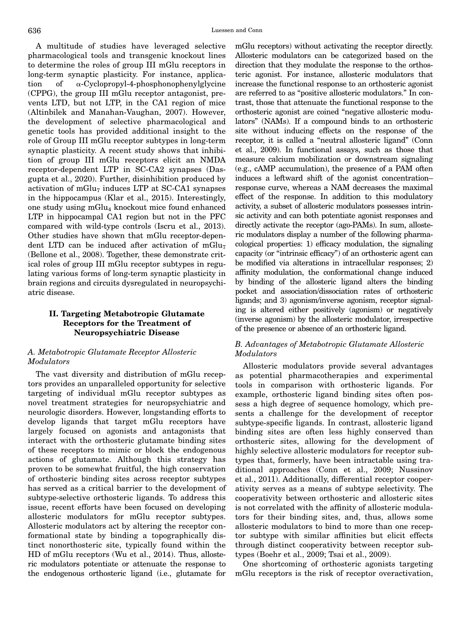<span id="page-6-0"></span>A multitude of studies have leveraged selective pharmacological tools and transgenic knockout lines to determine the roles of group III mGlu receptors in long-term synaptic plasticity. For instance, application of  $\alpha$ -Cyclopropyl-4-phosphonophenylglycine (CPPG), the group III mGlu receptor antagonist, prevents LTD, but not LTP, in the CA1 region of mice (Altinbilek and Manahan-Vaughan, 2007). However, the development of selective pharmacological and genetic tools has provided additional insight to the role of Group III mGlu receptor subtypes in long-term synaptic plasticity. A recent study shows that inhibition of group III mGlu receptors elicit an NMDA

receptor-dependent LTP in SC-CA2 synapses (Dasgupta et al., 2020). Further, disinhibition produced by activation of  $mGlu<sub>7</sub>$  induces LTP at SC-CA1 synapses in the hippocampus (Klar et al., 2015). Interestingly, one study using  $mGlu<sub>4</sub>$  knockout mice found enhanced LTP in hippocampal CA1 region but not in the PFC compared with wild-type controls (Iscru et al., 2013). Other studies have shown that mGlu receptor-dependent LTD can be induced after activation of mGlu<sub>7</sub> (Bellone et al., 2008). Together, these demonstrate critical roles of group III mGlu receptor subtypes in regulating various forms of long-term synaptic plasticity in brain regions and circuits dysregulated in neuropsychiatric disease.

## II. Targeting Metabotropic Glutamate Receptors for the Treatment of Neuropsychiatric Disease

## A. Metabotropic Glutamate Receptor Allosteric Modulators

The vast diversity and distribution of mGlu receptors provides an unparalleled opportunity for selective targeting of individual mGlu receptor subtypes as novel treatment strategies for neuropsychiatric and neurologic disorders. However, longstanding efforts to develop ligands that target mGlu receptors have largely focused on agonists and antagonists that interact with the orthosteric glutamate binding sites of these receptors to mimic or block the endogenous actions of glutamate. Although this strategy has proven to be somewhat fruitful, the high conservation of orthosteric binding sites across receptor subtypes has served as a critical barrier to the development of subtype-selective orthosteric ligands. To address this issue, recent efforts have been focused on developing allosteric modulators for mGlu receptor subtypes. Allosteric modulators act by altering the receptor conformational state by binding a topographically distinct nonorthosteric site, typically found within the HD of mGlu receptors (Wu et al., 2014). Thus, allosteric modulators potentiate or attenuate the response to the endogenous orthosteric ligand (i.e., glutamate for

mGlu receptors) without activating the receptor directly. Allosteric modulators can be categorized based on the direction that they modulate the response to the orthosteric agonist. For instance, allosteric modulators that increase the functional response to an orthosteric agonist are referred to as "positive allosteric modulators." In contrast, those that attenuate the functional response to the orthosteric agonist are coined "negative allosteric modulators" (NAMs). If a compound binds to an orthosteric site without inducing effects on the response of the receptor, it is called a "neutral allosteric ligand" (Conn et al., 2009). In functional assays, such as those that measure calcium mobilization or downstream signaling (e.g., cAMP accumulation), the presence of a PAM often induces a leftward shift of the agonist concentration– response curve, whereas a NAM decreases the maximal effect of the response. In addition to this modulatory activity, a subset of allosteric modulators possesses intrinsic activity and can both potentiate agonist responses and directly activate the receptor (ago-PAMs). In sum, allosteric modulators display a number of the following pharmacological properties: 1) efficacy modulation, the signaling capacity (or "intrinsic efficacy") of an orthosteric agent can be modified via alterations in intracellular responses; 2) affinity modulation, the conformational change induced by binding of the allosteric ligand alters the binding pocket and association/dissociation rates of orthosteric ligands; and 3) agonism/inverse agonism, receptor signaling is altered either positively (agonism) or negatively (inverse agonism) by the allosteric modulator, irrespective of the presence or absence of an orthosteric ligand.

## B. Advantages of Metabotropic Glutamate Allosteric Modulators

Allosteric modulators provide several advantages as potential pharmacotherapies and experimental tools in comparison with orthosteric ligands. For example, orthosteric ligand binding sites often possess a high degree of sequence homology, which presents a challenge for the development of receptor subtype-specific ligands. In contrast, allosteric ligand binding sites are often less highly conserved than orthosteric sites, allowing for the development of highly selective allosteric modulators for receptor subtypes that, formerly, have been intractable using traditional approaches (Conn et al., 2009; Nussinov et al., 2011). Additionally, differential receptor cooperativity serves as a means of subtype selectivity. The cooperativity between orthosteric and allosteric sites is not correlated with the affinity of allosteric modulators for their binding sites, and, thus, allows some allosteric modulators to bind to more than one receptor subtype with similar affinities but elicit effects through distinct cooperativity between receptor subtypes (Boehr et al., 2009; Tsai et al., 2009).

One shortcoming of orthosteric agonists targeting mGlu receptors is the risk of receptor overactivation,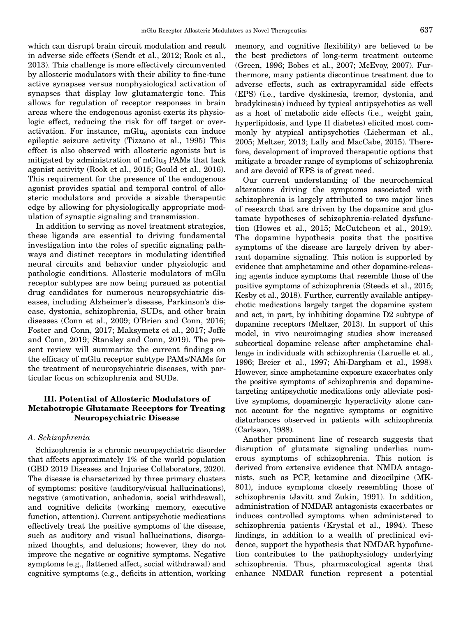<span id="page-7-0"></span>which can disrupt brain circuit modulation and result in adverse side effects (Sendt et al., 2012; Rook et al., 2013). This challenge is more effectively circumvented by allosteric modulators with their ability to fine-tune active synapses versus nonphysiological activation of synapses that display low glutamatergic tone. This allows for regulation of receptor responses in brain areas where the endogenous agonist exerts its physiologic effect, reducing the risk for off target or overactivation. For instance, mGlu $_5$  agonists can induce epileptic seizure activity (Tizzano et al., 1995) This effect is also observed with allosteric agonists but is mitigated by administration of mGlu<sub>5</sub> PAMs that lack agonist activity (Rook et al., 2015; Gould et al., 2016). This requirement for the presence of the endogenous agonist provides spatial and temporal control of allosteric modulators and provide a sizable therapeutic edge by allowing for physiologically appropriate modulation of synaptic signaling and transmission.

In addition to serving as novel treatment strategies, these ligands are essential to driving fundamental investigation into the roles of specific signaling pathways and distinct receptors in modulating identified neural circuits and behavior under physiologic and pathologic conditions. Allosteric modulators of mGlu receptor subtypes are now being pursued as potential drug candidates for numerous neuropsychiatric diseases, including Alzheimer's disease, Parkinson's disease, dystonia, schizophrenia, SUDs, and other brain diseases (Conn et al., 2009; O'Brien and Conn, 2016; Foster and Conn, 2017; Maksymetz et al., 2017; Joffe and Conn, 2019; Stansley and Conn, 2019). The present review will summarize the current findings on the efficacy of mGlu receptor subtype PAMs/NAMs for the treatment of neuropsychiatric diseases, with particular focus on schizophrenia and SUDs.

## III. Potential of Allosteric Modulators of Metabotropic Glutamate Receptors for Treating Neuropsychiatric Disease

#### A. Schizophrenia

Schizophrenia is a chronic neuropsychiatric disorder that affects approximately 1% of the world population (GBD 2019 Diseases and Injuries Collaborators, 2020). The disease is characterized by three primary clusters of symptoms: positive (auditory/visual hallucinations), negative (amotivation, anhedonia, social withdrawal), and cognitive deficits (working memory, executive function, attention). Current antipsychotic medications effectively treat the positive symptoms of the disease, such as auditory and visual hallucinations, disorganized thoughts, and delusions; however, they do not improve the negative or cognitive symptoms. Negative symptoms (e.g., flattened affect, social withdrawal) and cognitive symptoms (e.g., deficits in attention, working memory, and cognitive flexibility) are believed to be the best predictors of long-term treatment outcome (Green, 1996; Bobes et al., 2007; McEvoy, 2007). Furthermore, many patients discontinue treatment due to adverse effects, such as extrapyramidal side effects (EPS) (i.e., tardive dyskinesia, tremor, dystonia, and bradykinesia) induced by typical antipsychotics as well as a host of metabolic side effects (i.e., weight gain, hyperlipidosis, and type II diabetes) elicited most commonly by atypical antipsychotics (Lieberman et al., 2005; Meltzer, 2013; Lally and MacCabe, 2015). Therefore, development of improved therapeutic options that mitigate a broader range of symptoms of schizophrenia and are devoid of EPS is of great need.

Our current understanding of the neurochemical alterations driving the symptoms associated with schizophrenia is largely attributed to two major lines of research that are driven by the dopamine and glutamate hypotheses of schizophrenia-related dysfunction (Howes et al., 2015; McCutcheon et al., 2019). The dopamine hypothesis posits that the positive symptoms of the disease are largely driven by aberrant dopamine signaling. This notion is supported by evidence that amphetamine and other dopamine-releasing agents induce symptoms that resemble those of the positive symptoms of schizophrenia (Steeds et al., 2015; Kesby et al., 2018). Further, currently available antipsychotic medications largely target the dopamine system and act, in part, by inhibiting dopamine D2 subtype of dopamine receptors (Meltzer, 2013). In support of this model, in vivo neuroimaging studies show increased subcortical dopamine release after amphetamine challenge in individuals with schizophrenia (Laruelle et al., 1996; Breier et al., 1997; Abi-Dargham et al., 1998). However, since amphetamine exposure exacerbates only the positive symptoms of schizophrenia and dopaminetargeting antipsychotic medications only alleviate positive symptoms, dopaminergic hyperactivity alone cannot account for the negative symptoms or cognitive disturbances observed in patients with schizophrenia (Carlsson, 1988).

Another prominent line of research suggests that disruption of glutamate signaling underlies numerous symptoms of schizophrenia. This notion is derived from extensive evidence that NMDA antagonists, such as PCP, ketamine and dizocilpine (MK-801), induce symptoms closely resembling those of schizophrenia (Javitt and Zukin, 1991). In addition, administration of NMDAR antagonists exacerbates or induces controlled symptoms when administered to schizophrenia patients (Krystal et al., 1994). These findings, in addition to a wealth of preclinical evidence, support the hypothesis that NMDAR hypofunction contributes to the pathophysiology underlying schizophrenia. Thus, pharmacological agents that enhance NMDAR function represent a potential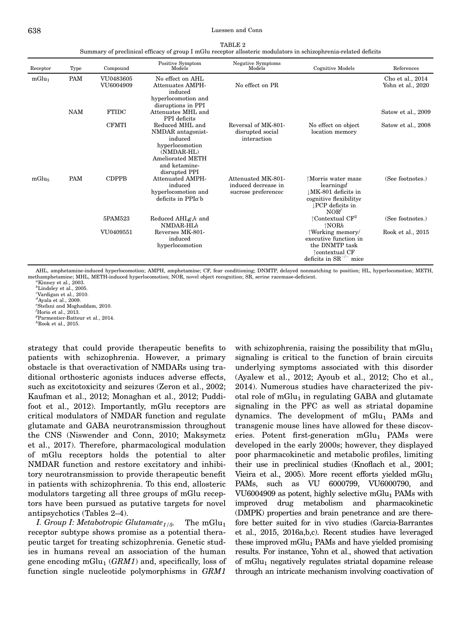| TABLE 2                                                                                                          |
|------------------------------------------------------------------------------------------------------------------|
| Summary of preclinical efficacy of group I mGlu receptor allosteric modulators in schizophrenia-related deficits |

<span id="page-8-0"></span>

| Receptor          | Type       | Compound               | Positive Symptom<br>Models                                                                                                                    | Negative Symptoms<br>Models                                      | <b>Cognitive Models</b>                                                                                                 | References                            |
|-------------------|------------|------------------------|-----------------------------------------------------------------------------------------------------------------------------------------------|------------------------------------------------------------------|-------------------------------------------------------------------------------------------------------------------------|---------------------------------------|
| mGlu <sub>1</sub> | <b>PAM</b> | VU0483605<br>VU6004909 | No effect on AHL<br>Attenuates AMPH-<br>induced<br>hyperlocomotion and                                                                        | No effect on PR                                                  |                                                                                                                         | Cho et al., 2014<br>Yohn et al., 2020 |
|                   | <b>NAM</b> | <b>FTIDC</b>           | disruptions in PPI<br>Attenuates MHL and<br>PPI deficits                                                                                      |                                                                  |                                                                                                                         | Satow et al., 2009                    |
|                   |            | <b>CFMTI</b>           | Reduced MHL and<br>NMDAR antagonist-<br>induced<br>hyperlocomotion<br>(NMDAR-HL)<br><b>Ameliorated METH</b><br>and ketamine-<br>disrupted PPI | Reversal of MK-801-<br>disrupted social<br>interaction           | No effect on object<br>location memory                                                                                  | Satow et al., 2008                    |
| mGlu <sub>5</sub> | <b>PAM</b> | <b>CDPPB</b>           | <b>Attenuated AMPH-</b><br>induced<br>hyperlocomotion and<br>deficits in $PPIa$ b                                                             | Attenuated MK-801-<br>induced decrease in<br>sucrose preferencec | ↑Morris water maze<br>learningd<br>↓MK-801 deficits in<br>cognitive flexibilitye<br>PCP deficits in<br>NOR <sup>f</sup> | (See footnotes.)                      |
|                   |            | 5PAM523                | Reduced $AHLg,h$ and<br>$NMDAR-HLh$                                                                                                           |                                                                  | $\uparrow$ Contextual CF <sup>2</sup><br>$\uparrow$ NOR $h$                                                             | (See footnotes.)                      |
|                   |            | VU0409551              | Reverses MK-801-<br>induced<br>hyperlocomotion                                                                                                |                                                                  | ↑Working memory/<br>executive function in<br>the DNMTP task<br>↑contextual CF<br>deficits in $SR^{-/-}$ mice            | Rook et al., 2015                     |

AHL, amphetamine-induced hyperlocomotion; AMPH, amphetamine; CF, fear conditioning; DNMTP, delayed nonmatching to position; HL, hyperlocomotion; METH, methamphetamine; MHL, METH-induced hyperlocomotion; NOR, novel object recognition; SR, serine racemase-deficient. <sup>a</sup>

 $^a$ Kinney et al., 2003.

 $^b$ Lindsley et al., 2005.<br>"Vardigan et al., 2010.

 $d$ Ayala et al., 2009.

e Stefani and Moghaddam, 2010.

 $f$ Horio et al., 2013.

g Parmentier-Batteur et al., 2014.

 ${}^h$ Rook et al., 2015.

strategy that could provide therapeutic benefits to patients with schizophrenia. However, a primary obstacle is that overactivation of NMDARs using traditional orthosteric agonists induces adverse effects, such as excitotoxicity and seizures (Zeron et al., 2002; Kaufman et al., 2012; Monaghan et al., 2012; Puddifoot et al., 2012). Importantly, mGlu receptors are critical modulators of NMDAR function and regulate glutamate and GABA neurotransmission throughout the CNS (Niswender and Conn, 2010; Maksymetz et al., 2017). Therefore, pharmacological modulation of mGlu receptors holds the potential to alter NMDAR function and restore excitatory and inhibitory neurotransmission to provide therapeutic benefit in patients with schizophrenia. To this end, allosteric modulators targeting all three groups of mGlu receptors have been pursued as putative targets for novel antipsychotics (Tables 2–4).

I. Group I: Metabotropic Glutamate<sub>1/5</sub>. The mGlu<sub>1</sub> receptor subtype shows promise as a potential therapeutic target for treating schizophrenia. Genetic studies in humans reveal an association of the human gene encoding  $mGlu_1$  ( $GRM1$ ) and, specifically, loss of function single nucleotide polymorphisms in GRM1

with schizophrenia, raising the possibility that  $mGlu<sub>1</sub>$ signaling is critical to the function of brain circuits underlying symptoms associated with this disorder (Ayalew et al., 2012; Ayoub et al., 2012; Cho et al., 2014). Numerous studies have characterized the pivotal role of mGlu<sub>1</sub> in regulating GABA and glutamate signaling in the PFC as well as striatal dopamine dynamics. The development of  $mGlu<sub>1</sub>$  PAMs and transgenic mouse lines have allowed for these discoveries. Potent first-generation  $mGlu_1$  PAMs were developed in the early 2000s; however, they displayed poor pharmacokinetic and metabolic profiles, limiting their use in preclinical studies (Knoflach et al., 2001; Vieira et al.,  $2005$ ). More recent efforts yielded mGlu<sub>1</sub> PAMs, such as VU 6000799, VU6000790, and VU6004909 as potent, highly selective  $mGlu<sub>1</sub>$  PAMs with improved drug metabolism and pharmacokinetic (DMPK) properties and brain penetrance and are therefore better suited for in vivo studies (Garcia-Barrantes et al., 2015, 2016a,b,c). Recent studies have leveraged these improved  $mGlu<sub>1</sub>$  PAMs and have yielded promising results. For instance, Yohn et al., showed that activation of mGlu<sub>1</sub> negatively regulates striatal dopamine release through an intricate mechanism involving coactivation of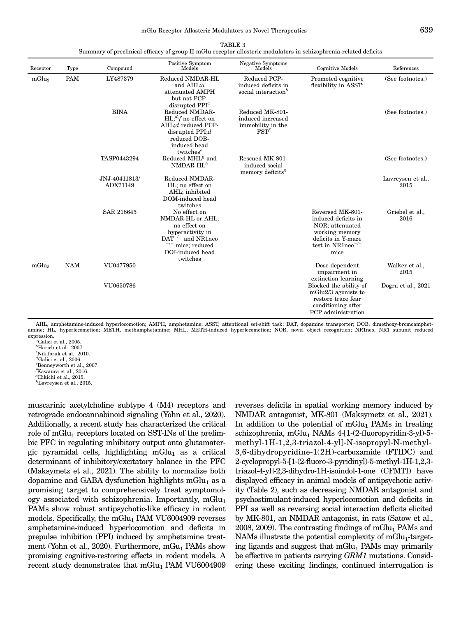TABLE 3

|                   | Summary of preclinical efficacy of group II mGlu receptor allosteric modulators in schizophrenia-related deficits |                           |                                                                                                                                                 |                                                                            |                                                                                                                                      |                           |  |  |  |  |
|-------------------|-------------------------------------------------------------------------------------------------------------------|---------------------------|-------------------------------------------------------------------------------------------------------------------------------------------------|----------------------------------------------------------------------------|--------------------------------------------------------------------------------------------------------------------------------------|---------------------------|--|--|--|--|
| Receptor          | Type                                                                                                              | Compound                  | Positive Symptom<br>Models                                                                                                                      | Negative Symptoms<br>Models                                                | Cognitive Models                                                                                                                     | References                |  |  |  |  |
| mGlu <sub>2</sub> | <b>PAM</b>                                                                                                        | LY487379                  | Reduced NMDAR-HL<br>and AHL;a<br>attenuated AMPH<br>but not PCP-<br>disrupted $PPIa$                                                            | Reduced PCP-<br>induced deficits in<br>social interaction <sup>b</sup>     | Promoted cognitive<br>flexibility in ASST <sup>c</sup>                                                                               | (See footnotes.)          |  |  |  |  |
|                   |                                                                                                                   | <b>BINA</b>               | Reduced NMDAR-<br>$HL;^{d,f}$ no effect on<br>AHL;d reduced PCP-<br>disrupted $PPI; d$<br>reduced DOB-<br>induced head<br>twitches <sup>e</sup> | Reduced MK-801-<br>induced increased<br>immobility in the<br>$\text{FST}'$ |                                                                                                                                      | (See footnotes.)          |  |  |  |  |
|                   |                                                                                                                   | TASP0443294               | Reduced MHL $^g$ and<br>$NMDAR-HLh$                                                                                                             | Rescued MK-801-<br>induced social<br>memory deficits <sup>8</sup>          |                                                                                                                                      | (See footnotes.)          |  |  |  |  |
|                   |                                                                                                                   | JNJ-40411813/<br>ADX71149 | Reduced NMDAR-<br>HL; no effect on<br>AHL; inhibited<br>DOM-induced head<br>twitches                                                            |                                                                            |                                                                                                                                      | Lavreysen et al.,<br>2015 |  |  |  |  |
|                   |                                                                                                                   | <b>SAR 218645</b>         | No effect on<br>NMDAR-HL or AHL;<br>no effect on<br>hyperactivity in<br>$DAT^{-/-}$ and NR1neo<br>mice; reduced<br>DOI-induced head<br>twitches |                                                                            | Reversed MK-801-<br>induced deficits in<br>NOR; attenuated<br>working memory<br>deficits in Y-maze<br>test in $NR1neo^{-/-}$<br>mice | Griebel et al.,<br>2016   |  |  |  |  |
| mGlu <sub>3</sub> | <b>NAM</b>                                                                                                        | VU0477950                 |                                                                                                                                                 |                                                                            | Dose-dependent<br>impairment in<br>extinction learning                                                                               | Walker et al.,<br>2015    |  |  |  |  |
|                   |                                                                                                                   | VU0650786                 |                                                                                                                                                 |                                                                            | Blocked the ability of<br>mGlu $2/3$ agonists to<br>restore trace fear<br>conditioning after<br>PCP administration                   | Dogra et al., 2021        |  |  |  |  |

AHL, amphetamine-induced hyperlocomotion; AMPH, amphetamine; ASST, attentional set-shift task; DAT, dopamine transporter; DOB, dimethoxy-bromoamphetamine; HL, hyperlocomotion; METH, methamphetamine; MHL, METH-induced hyperlocomotion; NOR, novel object recognition; NR1neo, NR1 subunit reduced expression.

 $^{\circ}$ Galici et al., 2005. <sup>b</sup>Harich et al., 2007. c Nikiforuk et al., 2010.

- ${}^d$ Galici et al., 2006.
- e Benneyworth et al., 2007.  $f$ Kawaura et al., 2016.
- ${}^g\text{Hikichi}$  et al., 2015.

muscarinic acetylcholine subtype 4 (M4) receptors and retrograde endocannabinoid signaling (Yohn et al., 2020). Additionally, a recent study has characterized the critical role of mGlu<sub>1</sub> receptors located on SST-INs of the prelimbic PFC in regulating inhibitory output onto glutamatergic pyramidal cells, highlighting  $mGlu_1$  as a critical determinant of inhibitory/excitatory balance in the PFC (Maksymetz et al., 2021). The ability to normalize both dopamine and GABA dysfunction highlights mGlu<sub>1</sub> as a promising target to comprehensively treat symptomology associated with schizophrenia. Importantly,  $mGlu_1$ PAMs show robust antipsychotic-like efficacy in rodent models. Specifically, the  $mGlu<sub>1</sub>$  PAM VU6004909 reverses amphetamine-induced hyperlocomotion and deficits in prepulse inhibition (PPI) induced by amphetamine treatment (Yohn et al., 2020). Furthermore,  $mGu_1$  PAMs show promising cognitive-restoring effects in rodent models. A recent study demonstrates that  $mGlu<sub>1</sub>$  PAM VU6004909 reverses deficits in spatial working memory induced by NMDAR antagonist, MK-801 (Maksymetz et al., 2021). In addition to the potential of  $mGlu<sub>1</sub>$  PAMs in treating schizophrenia, mGlu<sub>1</sub> NAMs  $4-[1-(2-fluoropyridin-3-y])-5$ methyl-1H-1,2,3-triazol-4-yl]-N-isopropyl-N-methyl-3,6-dihydropyridine-1(2H)-carboxamide (FTIDC) and 2-cyclopropyl-5-[1-(2-fluoro-3-pyridinyl)-5-methyl-1H-1,2,3 triazol-4-yl]-2,3-dihydro-1H-isoindol-1-one (CFMTI) have displayed efficacy in animal models of antipsychotic activity (Table 2), such as decreasing NMDAR antagonist and psychostimulant-induced hyperlocomotion and deficits in PPI as well as reversing social interaction deficits elicited by MK-801, an NMDAR antagonist, in rats (Satow et al., 2008, 2009). The contrasting findings of mGlu<sub>1</sub> PAMs and NAMs illustrate the potential complexity of  $mGlu<sub>1</sub>$ -targeting ligands and suggest that  $mGlu<sub>1</sub>$  PAMs may primarily be effective in patients carrying GRM1 mutations. Considering these exciting findings, continued interrogation is

h Lavreysen et al., 2015.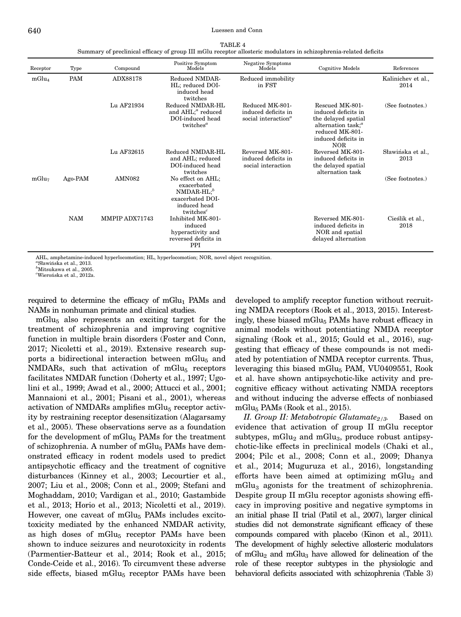<span id="page-10-0"></span>

| Receptor          | Type       | Compound       | Positive Symptom<br>Models                                                                                         | <b>Negative Symptoms</b><br>Models                                               | <b>Cognitive Models</b>                                                                                                                   | References                 |
|-------------------|------------|----------------|--------------------------------------------------------------------------------------------------------------------|----------------------------------------------------------------------------------|-------------------------------------------------------------------------------------------------------------------------------------------|----------------------------|
| mGlu <sub>4</sub> | PAM        | ADX88178       | Reduced NMDAR-<br>HL; reduced DOI-<br>induced head<br>twitches                                                     | Reduced immobility<br>in FST                                                     |                                                                                                                                           | Kalinichev et al.,<br>2014 |
|                   |            | Lu AF21934     | Reduced NMDAR-HL<br>and AHL; <sup><i>a</i></sup> reduced<br>DOI-induced head<br>twitches <sup><math>a</math></sup> | Reduced MK-801-<br>induced deficits in<br>social interaction <sup><i>a</i></sup> | Rescued MK-801-<br>induced deficits in<br>the delayed spatial<br>alternation task; $^a$<br>reduced MK-801-<br>induced deficits in<br>NOR. | (See footnotes.)           |
|                   |            | Lu AF32615     | Reduced NMDAR-HL<br>and AHL; reduced<br>DOI-induced head<br>twitches                                               | Reversed MK-801-<br>induced deficits in<br>social interaction                    | Reversed MK-801-<br>induced deficits in<br>the delayed spatial<br>alternation task                                                        | Sławińska et al.,<br>2013  |
| mGlu <sub>7</sub> | Ago-PAM    | <b>AMN082</b>  | No effect on AHL;<br>exacerbated<br>$NMDAR-HL;^b$<br>exacerbated DOI-<br>induced head<br>twitches <sup>c</sup>     |                                                                                  |                                                                                                                                           | (See footnotes.)           |
|                   | <b>NAM</b> | MMPIP ADX71743 | Inhibited MK-801-<br>induced<br>hyperactivity and<br>reversed deficits in<br><b>PPI</b>                            |                                                                                  | Reversed MK-801-<br>induced deficits in<br>NOR and spatial<br>delayed alternation                                                         | Cieślik et al.,<br>2018    |

AHL, amphetamine-induced hyperlocomotion; HL, hyperlocomotion; NOR, novel object recognition.<br>"Shawińska et al., 2013

Sławińska et al., 2013.

b Mitsukawa et al., 2005.

 $^c$ Wierońska et al., 2012a.

required to determine the efficacy of  $mGlu<sub>1</sub>$  PAMs and NAMs in nonhuman primate and clinical studies.

 $mGlu<sub>5</sub>$  also represents an exciting target for the treatment of schizophrenia and improving cognitive function in multiple brain disorders (Foster and Conn, 2017; Nicoletti et al., 2019). Extensive research supports a bidirectional interaction between  $mGlu<sub>5</sub>$  and NMDARs, such that activation of  $mGlu<sub>5</sub>$  receptors facilitates NMDAR function (Doherty et al., 1997; Ugolini et al., 1999; Awad et al., 2000; Attucci et al., 2001; Mannaioni et al., 2001; Pisani et al., 2001), whereas activation of NMDARs amplifies mGlu $_5$  receptor activity by restraining receptor desensitization (Alagarsamy et al., 2005). These observations serve as a foundation for the development of mGlu<sub>5</sub> PAMs for the treatment of schizophrenia. A number of mGlu<sub>5</sub> PAMs have demonstrated efficacy in rodent models used to predict antipsychotic efficacy and the treatment of cognitive disturbances (Kinney et al., 2003; Lecourtier et al., 2007; Liu et al., 2008; Conn et al., 2009; Stefani and Moghaddam, 2010; Vardigan et al., 2010; Gastambide et al., 2013; Horio et al., 2013; Nicoletti et al., 2019). However, one caveat of mGlu<sub>5</sub> PAMs includes excitotoxicity mediated by the enhanced NMDAR activity, as high doses of mGlu<sub>5</sub> receptor PAMs have been shown to induce seizures and neurotoxicity in rodents (Parmentier-Batteur et al., 2014; Rook et al., 2015; Conde-Ceide et al., 2016). To circumvent these adverse side effects, biased mGlu $_5$  receptor PAMs have been

developed to amplify receptor function without recruiting NMDA receptors (Rook et al., 2013, 2015). Interestingly, these biased mGlu $_5$  PAMs have robust efficacy in animal models without potentiating NMDA receptor signaling (Rook et al., 2015; Gould et al., 2016), suggesting that efficacy of these compounds is not mediated by potentiation of NMDA receptor currents. Thus, leveraging this biased mGlu<sub>5</sub> PAM, VU0409551, Rook et al. have shown antipsychotic-like activity and precognitive efficacy without activating NMDA receptors and without inducing the adverse effects of nonbiased mGlu<sub>5</sub> PAMs (Rook et al., 2015).

II. Group II: Metabotropic Glutamate<sub>2/3</sub>. Based on evidence that activation of group II mGlu receptor subtypes,  $mGlu<sub>2</sub>$  and  $mGlu<sub>3</sub>$ , produce robust antipsychotic-like effects in preclinical models (Chaki et al., 2004; Pilc et al., 2008; Conn et al., 2009; Dhanya et al., 2014; Muguruza et al., 2016), longstanding efforts have been aimed at optimizing  $mGlu<sub>2</sub>$  and mGlu3 agonists for the treatment of schizophrenia. Despite group II mGlu receptor agonists showing efficacy in improving positive and negative symptoms in an initial phase II trial (Patil et al., 2007), larger clinical studies did not demonstrate significant efficacy of these compounds compared with placebo (Kinon et al., 2011). The development of highly selective allosteric modulators of mGlu<sub>2</sub> and mGlu<sub>3</sub> have allowed for delineation of the role of these receptor subtypes in the physiologic and behavioral deficits associated with schizophrenia (Table 3)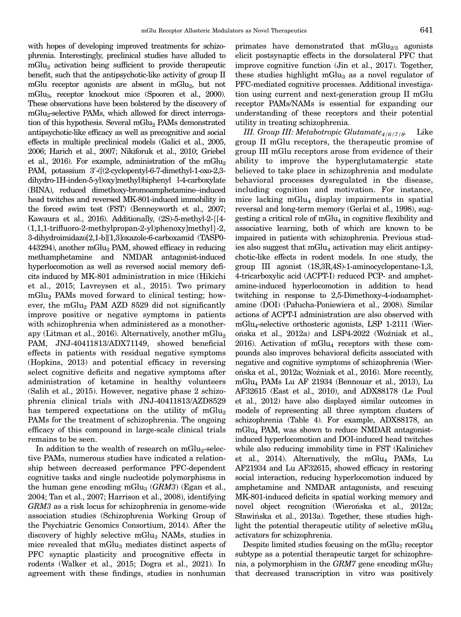<span id="page-11-0"></span>with hopes of developing improved treatments for schizophrenia. Interestingly, preclinical studies have alluded to mGlu2 activation being sufficient to provide therapeutic benefit, such that the antipsychotic-like activity of group II mGlu receptor agonists are absent in mGlu2, but not mGlu3, receptor knockout mice (Spooren et al., 2000). These observations have been bolstered by the discovery of mGlu<sub>2</sub>-selective PAMs, which allowed for direct interrogation of this hypothesis. Several mGlu<sub>2</sub> PAMs demonstrated antipsychotic-like efficacy as well as precognitive and social effects in multiple preclinical models (Galici et al., 2005, 2006; Harich et al., 2007; Nikiforuk et al., 2010; Griebel et al., 2016). For example, administration of the mGlu<sub>2</sub> PAM, potassium 3'-([(2-cyclopentyl-6-7-dimethyl-1-oxo-2,3dihydro-1H-inden-5-yl)oxy]methyl)biphenyl l-4-carboxylate (BINA), reduced dimethoxy-bromoamphetamine–induced head twitches and reversed MK-801-induced immobility in the forced swim test (FST) (Benneyworth et al., 2007; Kawaura et al., 2016). Additionally, (2S)-5-methyl-2-f[4-  $(1,1,1-$ trifluoro-2-methylpropan-2-yl)phenoxy]methyl}-2, 3-dihydroimidazo[2,1-b][1,3]oxazole-6-carboxamid (TASP0- 443294), another  $mGlu<sub>2</sub>$  PAM, showed efficacy in reducing methamphetamine and NMDAR antagonist-induced hyperlocomotion as well as reversed social memory deficits induced by MK-801 administration in mice (Hikichi et al., 2015; Lavreysen et al., 2015). Two primary mGlu2 PAMs moved forward to clinical testing; however, the mGlu<sub>2</sub> PAM AZD 8529 did not significantly improve positive or negative symptoms in patients with schizophrenia when administered as a monotherapy (Litman et al., 2016). Alternatively, another  $mGlu<sub>2</sub>$ PAM, JNJ-40411813/ADX71149, showed beneficial effects in patients with residual negative symptoms (Hopkins, 2013) and potential efficacy in reversing select cognitive deficits and negative symptoms after administration of ketamine in healthy volunteers (Salih et al., 2015). However, negative phase 2 schizophrenia clinical trials with JNJ-40411813/AZD8529 has tempered expectations on the utility of  $mGlu<sub>2</sub>$ PAMs for the treatment of schizophrenia. The ongoing efficacy of this compound in large-scale clinical trials remains to be seen.

In addition to the wealth of research on  $mGlu<sub>2</sub>$ -selective PAMs, numerous studies have indicated a relationship between decreased performance PFC-dependent cognitive tasks and single nucleotide polymorphisms in the human gene encoding mGlu<sub>3</sub> ( $GRM3$ ) (Egan et al., 2004; Tan et al., 2007; Harrison et al., 2008), identifying GRM3 as a risk locus for schizophrenia in genome-wide association studies (Schizophrenia Working Group of the Psychiatric Genomics Consortium, 2014). After the discovery of highly selective mGlu<sub>3</sub> NAMs, studies in mice revealed that mGlu<sub>3</sub> mediates distinct aspects of PFC synaptic plasticity and procognitive effects in rodents (Walker et al., 2015; Dogra et al., 2021). In agreement with these findings, studies in nonhuman primates have demonstrated that  $mGlu_{2/3}$  agonists elicit postsynaptic effects in the dorsolateral PFC that improve cognitive function (Jin et al., 2017). Together, these studies highlight mGlu<sub>3</sub> as a novel regulator of PFC-mediated cognitive processes. Additional investigation using current and next-generation group II mGlu receptor PAMs/NAMs is essential for expanding our understanding of these receptors and their potential utility in treating schizophrenia.

III. Group III: Metabotropic Glutamate<sub>4/6/7/8</sub>. Like group II mGlu receptors, the therapeutic promise of group III mGlu receptors arose from evidence of their ability to improve the hyperglutamatergic state believed to take place in schizophrenia and modulate behavioral processes dysregulated in the disease, including cognition and motivation. For instance, mice lacking  $mGlu_4$  display impairments in spatial reversal and long-term memory (Gerlai et al., 1998), suggesting a critical role of  $mGlu<sub>4</sub>$  in cognitive flexibility and associative learning, both of which are known to be impaired in patients with schizophrenia. Previous studies also suggest that  $mGlu<sub>4</sub>$  activation may elicit antipsychotic-like effects in rodent models. In one study, the group III agonist (1S,3R,4S)-1-aminocyclopentane-1,3, 4-tricarboxylic acid (ACPT-I) reduced PCP- and amphetamine-induced hyperlocomotion in addition to head twitching in response to 2,5-Dimethoxy-4-iodoamphetamine (DOI) (Pałucha-Poniewiera et al., 2008). Similar actions of ACPT-I administration are also observed with mGlu4-selective orthosteric agonists, LSP 1-2111 (Wierońska et al., 2012a) and LSP4-2022 (Woźniak et al.,  $2016$ ). Activation of mGlu<sub>4</sub> receptors with these compounds also improves behavioral deficits associated with negative and cognitive symptoms of schizophrenia (Wierońska et al., 2012a; Woźniak et al., 2016). More recently, mGlu4 PAMs Lu AF 21934 (Bennouar et al., 2013), Lu AF32615 (East et al., 2010), and ADX88178 (Le Poul et al., 2012) have also displayed similar outcomes in models of representing all three symptom clusters of schizophrenia (Table 4). For example, ADX88178, an mGlu4 PAM, was shown to reduce NMDAR antagonistinduced hyperlocomotion and DOI-induced head twitches while also reducing immobility time in FST (Kalinichev et al., 2014). Alternatively, the  $mGlu<sub>4</sub>$  PAMs, Lu AF21934 and Lu AF32615, showed efficacy in restoring social interaction, reducing hyperlocomotion induced by amphetamine and NMDAR antagonists, and rescuing MK-801-induced deficits in spatial working memory and novel object recognition (Wierońska et al., 2012a; Sławińska et al., 2013a). Together, these studies highlight the potential therapeutic utility of selective mGlu<sub>4</sub> activators for schizophrenia.

Despite limited studies focusing on the mGlu<sub>7</sub> receptor subtype as a potential therapeutic target for schizophrenia, a polymorphism in the  $GRM7$  gene encoding mGlu<sub>7</sub> that decreased transcription in vitro was positively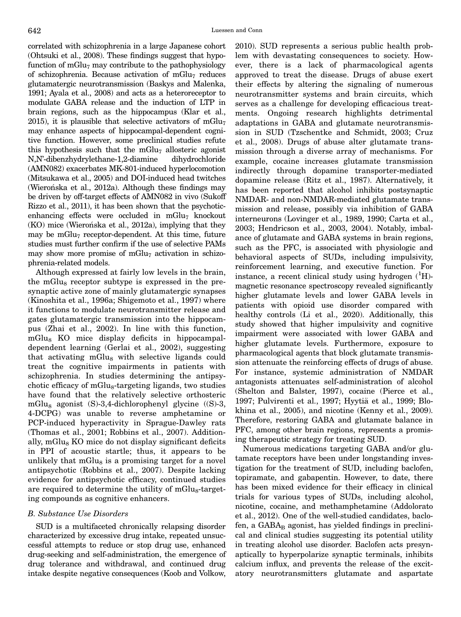<span id="page-12-0"></span>correlated with schizophrenia in a large Japanese cohort (Ohtsuki et al., 2008). These findings suggest that hypofunction of mGlu<sub>7</sub> may contribute to the pathophysiology of schizophrenia. Because activation of  $mGlu<sub>7</sub>$  reduces glutamatergic neurotransmission (Baskys and Malenka, 1991; Ayala et al., 2008) and acts as a heteroreceptor to modulate GABA release and the induction of LTP in brain regions, such as the hippocampus (Klar et al., 2015), it is plausible that selective activators of  $mGlu<sub>7</sub>$ may enhance aspects of hippocampal-dependent cognitive function. However, some preclinical studies refute this hypothesis such that the mGlu<sub>7</sub> allosteric agonist N,N'-dibenzhydrylethane-1,2-diamine dihydrochloride (AMN082) exacerbates MK-801-induced hyperlocomotion (Mitsukawa et al., 2005) and DOI-induced head twitches (Wierońska et al., 2012a). Although these findings may be driven by off-target effects of AMN082 in vivo (Sukoff Rizzo et al., 2011), it has been shown that the psychoticenhancing effects were occluded in  $mGlu<sub>7</sub>$  knockout (KO) mice (Wierońska et al., 2012a), implying that they may be mGlu<sub>7</sub> receptor-dependent. At this time, future studies must further confirm if the use of selective PAMs may show more promise of  $mGlu<sub>7</sub>$  activation in schizophrenia-related models.

Although expressed at fairly low levels in the brain, the mGlu<sub>8</sub> receptor subtype is expressed in the presynaptic active zone of mainly glutamatergic synapses (Kinoshita et al., 1996a; Shigemoto et al., 1997) where it functions to modulate neurotransmitter release and gates glutamatergic transmission into the hippocampus (Zhai et al., 2002). In line with this function, mGlu<sub>8</sub> KO mice display deficits in hippocampaldependent learning (Gerlai et al., 2002), suggesting that activating  $mGlu<sub>8</sub>$  with selective ligands could treat the cognitive impairments in patients with schizophrenia. In studies determining the antipsychotic efficacy of  $mGlu<sub>8</sub>$ -targeting ligands, two studies have found that the relatively selective orthosteric mGlu<sub>8</sub> agonist (S)-3,4-dichlorophenyl glycine ((S)-3, 4-DCPG) was unable to reverse amphetamine or PCP-induced hyperactivity in Sprague-Dawley rats (Thomas et al., 2001; Robbins et al., 2007). Additionally, mGlu $_8$  KO mice do not display significant deficits in PPI of acoustic startle; thus, it appears to be unlikely that  $mGlu<sub>8</sub>$  is a promising target for a novel antipsychotic (Robbins et al., 2007). Despite lacking evidence for antipsychotic efficacy, continued studies are required to determine the utility of  $mGlu<sub>8</sub>$ -targeting compounds as cognitive enhancers.

#### B. Substance Use Disorders

SUD is a multifaceted chronically relapsing disorder characterized by excessive drug intake, repeated unsuccessful attempts to reduce or stop drug use, enhanced drug-seeking and self-administration, the emergence of drug tolerance and withdrawal, and continued drug intake despite negative consequences (Koob and Volkow,

2010). SUD represents a serious public health problem with devastating consequences to society. However, there is a lack of pharmacological agents approved to treat the disease. Drugs of abuse exert their effects by altering the signaling of numerous neurotransmitter systems and brain circuits, which serves as a challenge for developing efficacious treatments. Ongoing research highlights detrimental adaptations in GABA and glutamate neurotransmission in SUD (Tzschentke and Schmidt, 2003; Cruz et al., 2008). Drugs of abuse alter glutamate transmission through a diverse array of mechanisms. For example, cocaine increases glutamate transmission indirectly through dopamine transporter-mediated dopamine release (Ritz et al., 1987). Alternatively, it has been reported that alcohol inhibits postsynaptic NMDAR- and non-NMDAR-mediated glutamate transmission and release, possibly via inhibition of GABA interneurons (Lovinger et al., 1989, 1990; Carta et al., 2003; Hendricson et al., 2003, 2004). Notably, imbalance of glutamate and GABA systems in brain regions, such as the PFC, is associated with physiologic and behavioral aspects of SUDs, including impulsivity, reinforcement learning, and executive function. For instance, a recent clinical study using hydrogen  $({}^{1}H)$ magnetic resonance spectroscopy revealed significantly higher glutamate levels and lower GABA levels in patients with opioid use disorder compared with healthy controls (Li et al., 2020). Additionally, this study showed that higher impulsivity and cognitive impairment were associated with lower GABA and higher glutamate levels. Furthermore, exposure to pharmacological agents that block glutamate transmission attenuate the reinforcing effects of drugs of abuse. For instance, systemic administration of NMDAR antagonists attenuates self-administration of alcohol (Shelton and Balster, 1997), cocaine (Pierce et al., 1997; Pulvirenti et al., 1997; Hyytiä et al., 1999; Blokhina et al., 2005), and nicotine (Kenny et al., 2009). Therefore, restoring GABA and glutamate balance in PFC, among other brain regions, represents a promising therapeutic strategy for treating SUD.

Numerous medications targeting GABA and/or glutamate receptors have been under longstanding investigation for the treatment of SUD, including baclofen, topiramate, and gabapentin. However, to date, there has been mixed evidence for their efficacy in clinical trials for various types of SUDs, including alcohol, nicotine, cocaine, and methamphetamine (Addolorato et al., 2012). One of the well-studied candidates, baclofen, a  $GABA_B$  agonist, has yielded findings in preclinical and clinical studies suggesting its potential utility in treating alcohol use disorder. Baclofen acts presynaptically to hyperpolarize synaptic terminals, inhibits calcium influx, and prevents the release of the excitatory neurotransmitters glutamate and aspartate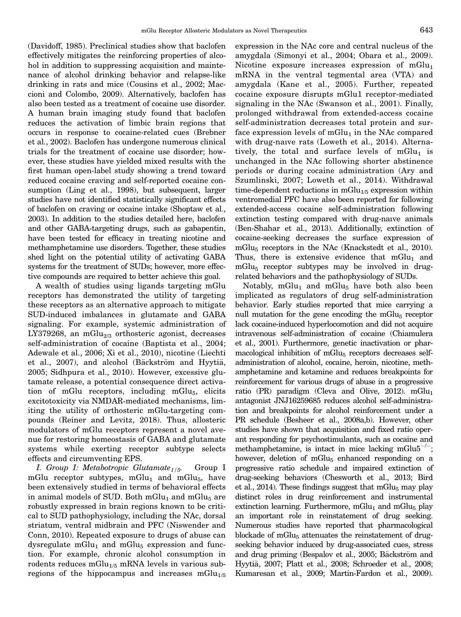<span id="page-13-0"></span>(Davidoff, 1985). Preclinical studies show that baclofen effectively mitigates the reinforcing properties of alcohol in addition to suppressing acquisition and maintenance of alcohol drinking behavior and relapse-like drinking in rats and mice (Cousins et al., 2002; Maccioni and Colombo, 2009). Alternatively, baclofen has also been tested as a treatment of cocaine use disorder. A human brain imaging study found that baclofen reduces the activation of limbic brain regions that occurs in response to cocaine-related cues (Brebner et al., 2002). Baclofen has undergone numerous clinical trials for the treatment of cocaine use disorder; however, these studies have yielded mixed results with the first human open-label study showing a trend toward reduced cocaine craving and self-reported cocaine consumption (Ling et al., 1998), but subsequent, larger studies have not identified statistically significant effects of baclofen on craving or cocaine intake (Shoptaw et al., 2003). In addition to the studies detailed here, baclofen and other GABA-targeting drugs, such as gabapentin, have been tested for efficacy in treating nicotine and methamphetamine use disorders. Together, these studies shed light on the potential utility of activating GABA systems for the treatment of SUDs; however, more effective compounds are required to better achieve this goal.

A wealth of studies using ligands targeting mGlu receptors has demonstrated the utility of targeting these receptors as an alternative approach to mitigate SUD-induced imbalances in glutamate and GABA signaling. For example, systemic administration of LY379268, an mGlu<sub>2/3</sub> orthosteric agonist, decreases self-administration of cocaine (Baptista et al., 2004; Adewale et al., 2006; Xi et al., 2010), nicotine (Liechti et al., 2007), and alcohol (Bäckström and Hyytiä, 2005; Sidhpura et al., 2010). However, excessive glutamate release, a potential consequence direct activation of mGlu receptors, including mGlu $_5$ , elicits excitotoxicity via NMDAR-mediated mechanisms, limiting the utility of orthosteric mGlu-targeting compounds (Reiner and Levitz, 2018). Thus, allosteric modulators of mGlu receptors represent a novel avenue for restoring homeostasis of GABA and glutamate systems while exerting receptor subtype selects effects and circumventing EPS.

I. Group I: Metabotropic Glutamate<sub>1/5</sub>. Group I mGlu receptor subtypes, mGlu<sub>1</sub> and mGlu<sub>5</sub>, have been extensively studied in terms of behavioral effects in animal models of SUD. Both  $mGlu<sub>1</sub>$  and  $mGlu<sub>5</sub>$  are robustly expressed in brain regions known to be critical to SUD pathophysiology, including the NAc, dorsal striatum, ventral midbrain and PFC (Niswender and Conn, 2010). Repeated exposure to drugs of abuse can dysregulate mGlu<sub>1</sub> and mGlu<sub>5</sub> expression and function. For example, chronic alcohol consumption in rodents reduces mGlu<sub>1/5</sub> mRNA levels in various subregions of the hippocampus and increases  $mGlu_{1/5}$  expression in the NAc core and central nucleus of the amygdala (Simonyi et al., 2004; Obara et al., 2009). Nicotine exposure increases expression of  $mGlu<sub>1</sub>$ mRNA in the ventral tegmental area (VTA) and amygdala (Kane et al., 2005). Further, repeated cocaine exposure disrupts mGlu1 receptor-mediated signaling in the NAc (Swanson et al., 2001). Finally, prolonged withdrawal from extended-access cocaine self-administration decreases total protein and surface expression levels of  $mGlu<sub>1</sub>$  in the NAc compared with drug-naıve rats (Loweth et al., 2014). Alternatively, the total and surface levels of  $mGlu_1$  is unchanged in the NAc following shorter abstinence periods or during cocaine administration (Ary and Szumlinski, 2007; Loweth et al., 2014). Withdrawal time-dependent reductions in  $mGlu_{1/5}$  expression within ventromedial PFC have also been reported for following extended-access cocaine self-administration following extinction testing compared with drug-naıve animals (Ben-Shahar et al., 2013). Additionally, extinction of cocaine-seeking decreases the surface expression of  $mGlu<sub>5</sub>$  receptors in the NAc (Knackstedt et al., 2010). Thus, there is extensive evidence that  $mGlu_1$  and  $mGlu<sub>5</sub>$  receptor subtypes may be involved in drugrelated behaviors and the pathophysiology of SUDs.

Notably,  $mGlu_1$  and  $mGlu_5$  have both also been implicated as regulators of drug self-administration behavior. Early studies reported that mice carrying a null mutation for the gene encoding the mGlu $_5$  receptor lack cocaine-induced hyperlocomotion and did not acquire intravenous self-administration of cocaine (Chiamulera et al., 2001). Furthermore, genetic inactivation or pharmacological inhibition of mGlu<sub>5</sub> receptors decreases selfadministration of alcohol, cocaine, heroin, nicotine, methamphetamine and ketamine and reduces breakpoints for reinforcement for various drugs of abuse in a progressive ratio (PR) paradigm (Cleva and Olive, 2012).  $mGlu_1$ antagonist JNJ16259685 reduces alcohol self-administration and breakpoints for alcohol reinforcement under a PR schedule (Besheer et al., 2008a,b). However, other studies have shown that acquisition and fixed ratio operant responding for psychostimulants, such as cocaine and methamphetamine, is intact in mice lacking mGlu $5^{-/-}$ ; however, deletion of  $mGlu<sub>5</sub>$  enhanced responding on a progressive ratio schedule and impaired extinction of drug-seeking behaviors (Chesworth et al., 2013; Bird et al., 2014). These findings suggest that mGlu<sub>5</sub> may play distinct roles in drug reinforcement and instrumental extinction learning. Furthermore,  $mGlu<sub>1</sub>$  and  $mGlu<sub>5</sub>$  play an important role in reinstatement of drug seeking. Numerous studies have reported that pharmacological blockade of mGlu<sub>5</sub> attenuates the reinstatement of drugseeking behavior induced by drug-associated cues, stress and drug priming (Bespalov et al., 2005; Bäckström and Hyytiä, 2007; Platt et al., 2008; Schroeder et al., 2008; Kumaresan et al., 2009; Martin-Fardon et al., 2009).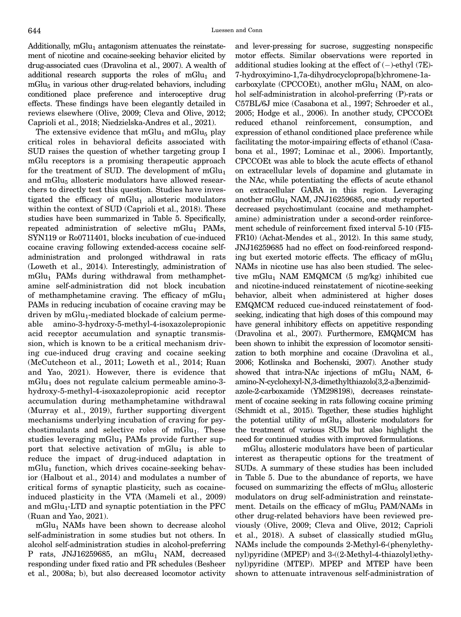Additionally,  $mGlu<sub>1</sub>$  antagonism attenuates the reinstatement of nicotine and cocaine-seeking behavior elicited by drug-associated cues (Dravolina et al., 2007). A wealth of additional research supports the roles of  $mGlu<sub>1</sub>$  and  $mGlu<sub>5</sub>$  in various other drug-related behaviors, including conditioned place preference and interoceptive drug effects. These findings have been elegantly detailed in reviews elsewhere (Olive, 2009; Cleva and Olive, 2012; Caprioli et al., 2018; Niedzielska-Andres et al., 2021).

The extensive evidence that  $mGlu_1$  and  $mGlu_5$  play critical roles in behavioral deficits associated with SUD raises the question of whether targeting group I mGlu receptors is a promising therapeutic approach for the treatment of SUD. The development of  $mGlu<sub>1</sub>$ and mGlu<sub>5</sub> allosteric modulators have allowed researchers to directly test this question. Studies have investigated the efficacy of  $mGlu<sub>1</sub>$  allosteric modulators within the context of SUD (Caprioli et al., 2018). These studies have been summarized in Table 5. Specifically, repeated administration of selective  $mGlu_1$  PAMs, SYN119 or Ro0711401, blocks incubation of cue-induced cocaine craving following extended-access cocaine selfadministration and prolonged withdrawal in rats (Loweth et al., 2014). Interestingly, administration of mGlu1 PAMs during withdrawal from methamphetamine self-administration did not block incubation of methamphetamine craving. The efficacy of  $mGlu<sub>1</sub>$ PAMs in reducing incubation of cocaine craving may be driven by  $mGu_1$ -mediated blockade of calcium permeable amino-3-hydroxy-5-methyl-4-isoxazolepropionic acid receptor accumulation and synaptic transmission, which is known to be a critical mechanism driving cue-induced drug craving and cocaine seeking (McCutcheon et al., 2011; Loweth et al., 2014; Ruan and Yao, 2021). However, there is evidence that  $mGlu<sub>1</sub>$  does not regulate calcium permeable amino-3hydroxy-5-methyl-4-isoxazolepropionic acid receptor accumulation during methamphetamine withdrawal (Murray et al., 2019), further supporting divergent mechanisms underlying incubation of craving for psychostimulants and selective roles of  $mGlu<sub>1</sub>$ . These studies leveraging mGlu<sub>1</sub> PAMs provide further support that selective activation of  $mGlu<sub>1</sub>$  is able to reduce the impact of drug-induced adaptation in  $mGlu<sub>1</sub>$  function, which drives cocaine-seeking behavior (Halbout et al., 2014) and modulates a number of critical forms of synaptic plasticity, such as cocaineinduced plasticity in the VTA (Mameli et al., 2009) and  $mGlu<sub>1</sub>$ -LTD and synaptic potentiation in the PFC (Ruan and Yao, 2021).

 $mGlu<sub>1</sub>$  NAMs have been shown to decrease alcohol self-administration in some studies but not others. In alcohol self-administration studies in alcohol-preferring P rats, JNJ16259685, an mGlu<sub>1</sub> NAM, decreased responding under fixed ratio and PR schedules (Besheer et al., 2008a; b), but also decreased locomotor activity

and lever-pressing for sucrose, suggesting nonspecific motor effects. Similar observations were reported in additional studies looking at the effect of (-)-ethyl (7E)-<br>7-hydroxyjmino-1 7a-dihydroxyglonronalhlchromene-1a-7-hydroxyimino-1,7a-dihydrocyclopropa[b]chromene-1acarboxylate (CPCCOEt), another  $mGlu<sub>1</sub>$  NAM, on alcohol self-administration in alcohol-preferring (P)-rats or C57BL/6J mice (Casabona et al., 1997; Schroeder et al., 2005; Hodge et al., 2006). In another study, CPCCOEt reduced ethanol reinforcement, consumption, and expression of ethanol conditioned place preference while facilitating the motor-impairing effects of ethanol (Casabona et al., 1997; Lominac et al., 2006). Importantly, CPCCOEt was able to block the acute effects of ethanol on extracellular levels of dopamine and glutamate in the NAc, while potentiating the effects of acute ethanol on extracellular GABA in this region. Leveraging another mGlu<sub>1</sub> NAM, JNJ16259685, one study reported decreased psychostimulant (cocaine and methamphetamine) administration under a second-order reinforcement schedule of reinforcement fixed interval 5-10 (FI5- FR10) (Achat-Mendes et al., 2012). In this same study, JNJ16259685 had no effect on food-reinforced responding but exerted motoric effects. The efficacy of  $mGlu<sub>1</sub>$ NAMs in nicotine use has also been studied. The selective mGlu<sub>1</sub> NAM EMQMCM  $(5 \text{ mg/kg})$  inhibited cue and nicotine-induced reinstatement of nicotine-seeking behavior, albeit when administered at higher doses EMQMCM reduced cue-induced reinstatement of foodseeking, indicating that high doses of this compound may have general inhibitory effects on appetitive responding (Dravolina et al., 2007). Furthermore, EMQMCM has been shown to inhibit the expression of locomotor sensitization to both morphine and cocaine (Dravolina et al., 2006; Kotlinska and Bochenski, 2007). Another study showed that intra-NAc injections of  $mGlu<sub>1</sub>$  NAM, 6amino-N-cyclohexyl-N,3-dimethylthiazolo[3,2-a]benzimidazole-2-carboxamide (YM298198), decreases reinstatement of cocaine seeking in rats following cocaine priming (Schmidt et al., 2015). Together, these studies highlight the potential utility of  $mGlu<sub>1</sub>$  allosteric modulators for the treatment of various SUDs but also highlight the need for continued studies with improved formulations.

mGlu<sub>5</sub> allosteric modulators have been of particular interest as therapeutic options for the treatment of SUDs. A summary of these studies has been included in Table 5. Due to the abundance of reports, we have focused on summarizing the effects of mGlu $_5$  allosteric modulators on drug self-administration and reinstatement. Details on the efficacy of  $mGlu<sub>5</sub>$  PAM/NAMs in other drug-related behaviors have been reviewed previously (Olive, 2009; Cleva and Olive, 2012; Caprioli et al., 2018). A subset of classically studied mGlu $_5$ NAMs include the compounds 2-Methyl-6-(phenylethynyl)pyridine (MPEP) and 3-((2-Methyl-4-thiazolyl)ethynyl)pyridine (MTEP). MPEP and MTEP have been shown to attenuate intravenous self-administration of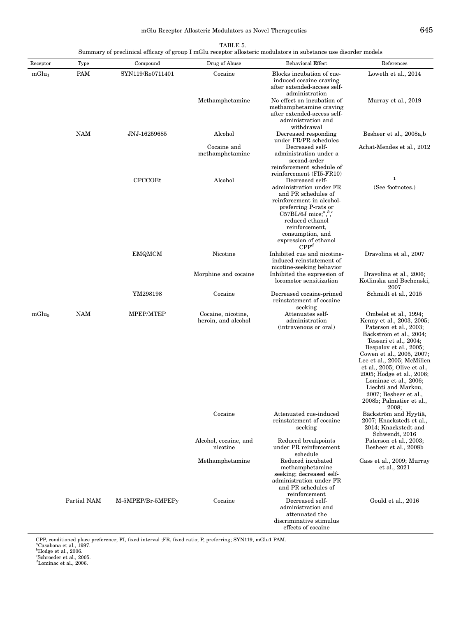## mGlu Receptor Allosteric Modulators as Novel Therapeutics  $645$

| TABLE 5.                                                                                                        |  |
|-----------------------------------------------------------------------------------------------------------------|--|
|                                                                                                                 |  |
| Summary of preclinical efficacy of group I mGlu receptor allosteric modulators in substance use disorder models |  |

| Receptor          | Type        | Compound          | Drug of Abuse                             | <b>Behavioral Effect</b>                                                                                                                                                        | References                                                                                                                                                                                                                                                                                                                                                                                      |
|-------------------|-------------|-------------------|-------------------------------------------|---------------------------------------------------------------------------------------------------------------------------------------------------------------------------------|-------------------------------------------------------------------------------------------------------------------------------------------------------------------------------------------------------------------------------------------------------------------------------------------------------------------------------------------------------------------------------------------------|
| mGlu <sub>1</sub> | PAM         | SYN119/Ro0711401  | Cocaine                                   | Blocks incubation of cue-<br>induced cocaine craving<br>after extended-access self-<br>administration                                                                           | Loweth et al., 2014                                                                                                                                                                                                                                                                                                                                                                             |
|                   |             |                   | Methamphetamine                           | No effect on incubation of<br>methamphetamine craving<br>after extended-access self-<br>administration and<br>withdrawal                                                        | Murray et al., 2019                                                                                                                                                                                                                                                                                                                                                                             |
|                   | NAM         | JNJ-16259685      | Alcohol                                   | Decreased responding<br>under FR/PR schedules                                                                                                                                   | Besheer et al., 2008a,b                                                                                                                                                                                                                                                                                                                                                                         |
|                   |             |                   | Cocaine and<br>methamphetamine            | Decreased self-<br>administration under a<br>second-order                                                                                                                       | Achat-Mendes et al., 2012                                                                                                                                                                                                                                                                                                                                                                       |
|                   |             | <b>CPCCOEt</b>    | Alcohol                                   | reinforcement schedule of<br>reinforcement (FI5-FR10)<br>Decreased self-<br>administration under FR<br>and PR schedules of<br>reinforcement in alcohol-<br>preferring P-rats or | $\,1\,$<br>(See footnotes.)                                                                                                                                                                                                                                                                                                                                                                     |
|                   |             |                   |                                           | C57BL/6J mice; $a, b, c$<br>reduced ethanol<br>reinforcement,<br>consumption, and<br>expression of ethanol<br>$\mathbf{CPP}^d$                                                  |                                                                                                                                                                                                                                                                                                                                                                                                 |
|                   |             | <b>EMQMCM</b>     | Nicotine                                  | Inhibited cue and nicotine-<br>induced reinstatement of<br>nicotine-seeking behavior                                                                                            | Dravolina et al., 2007                                                                                                                                                                                                                                                                                                                                                                          |
|                   |             |                   | Morphine and cocaine                      | Inhibited the expression of<br>locomotor sensitization                                                                                                                          | Dravolina et al., 2006;<br>Kotlinska and Bochenski,<br>2007                                                                                                                                                                                                                                                                                                                                     |
|                   |             | YM298198          | Cocaine                                   | Decreased cocaine-primed<br>reinstatement of cocaine<br>seeking                                                                                                                 | Schmidt et al., 2015                                                                                                                                                                                                                                                                                                                                                                            |
| $mGlu_5$          | NAM         | MPEP/MTEP         | Cocaine, nicotine,<br>heroin, and alcohol | Attenuates self-<br>administration<br>(intravenous or oral)                                                                                                                     | Ombelet et al., 1994;<br>Kenny et al., 2003, 2005;<br>Paterson et al., 2003;<br>Bäckström et al., 2004;<br>Tessari et al., 2004;<br>Bespalov et al., 2005;<br>Cowen et al., 2005, 2007;<br>Lee et al., 2005; McMillen<br>et al., 2005; Olive et al.,<br>2005; Hodge et al., 2006;<br>Lominac et al., 2006;<br>Liechti and Markou,<br>2007; Besheer et al.,<br>2008b; Palmatier et al.,<br>2008; |
|                   |             |                   | Cocaine                                   | Attenuated cue-induced<br>reinstatement of cocaine<br>seeking                                                                                                                   | Bäckström and Hyytiä,<br>2007; Knackstedt et al.,<br>2014; Knackstedt and<br>Schwendt, 2016                                                                                                                                                                                                                                                                                                     |
|                   |             |                   | Alcohol, cocaine, and<br>nicotine         | Reduced breakpoints<br>under PR reinforcement<br>schedule                                                                                                                       | Paterson et al., 2003;<br>Besheer et al., 2008b                                                                                                                                                                                                                                                                                                                                                 |
|                   |             |                   | Methamphetamine                           | Reduced incubated<br>methamphetamine<br>seeking; decreased self-<br>administration under FR<br>and PR schedules of                                                              | Gass et al., 2009; Murray<br>et al., 2021                                                                                                                                                                                                                                                                                                                                                       |
|                   | Partial NAM | M-5MPEP/Br-5MPEPy | Cocaine                                   | reinforcement<br>Decreased self-<br>administration and<br>attenuated the<br>discriminative stimulus<br>effects of cocaine                                                       | Gould et al., 2016                                                                                                                                                                                                                                                                                                                                                                              |

CPP, conditioned place preference; FI, fixed interval ;FR, fixed ratio; P, preferring; SYN119, mGlu1 PAM.<br>"Casabona et al., 1997.<br>"Hodge et al., 2006.<br>"Schroeder et al., 2006.<br>"Lominac et al., 2006.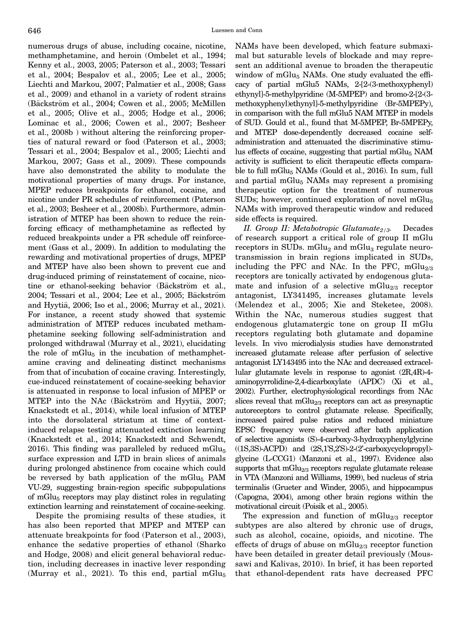<span id="page-16-0"></span>numerous drugs of abuse, including cocaine, nicotine, methamphetamine, and heroin (Ombelet et al., 1994; Kenny et al., 2003, 2005; Paterson et al., 2003; Tessari et al., 2004; Bespalov et al., 2005; Lee et al., 2005; Liechti and Markou, 2007; Palmatier et al., 2008; Gass et al., 2009) and ethanol in a variety of rodent strains (Bäckström et al., 2004; Cowen et al., 2005; McMillen et al., 2005; Olive et al., 2005; Hodge et al., 2006; Lominac et al., 2006; Cowen et al., 2007; Besheer et al., 2008b ) without altering the reinforcing properties of natural reward or food (Paterson et al., 2003; Tessari et al., 2004; Bespalov et al., 2005; Liechti and Markou, 2007; Gass et al., 2009). These compounds have also demonstrated the ability to modulate the motivational properties of many drugs. For instance, MPEP reduces breakpoints for ethanol, cocaine, and nicotine under PR schedules of reinforcement (Paterson et al., 2003; Besheer et al., 2008b). Furthermore, administration of MTEP has been shown to reduce the reinforcing efficacy of methamphetamine as reflected by reduced breakpoints under a PR schedule off reinforcement (Gass et al., 2009). In addition to modulating the rewarding and motivational properties of drugs, MPEP and MTEP have also been shown to prevent cue and drug-induced priming of reinstatement of cocaine, nicotine or ethanol-seeking behavior (Bäckström et al., 2004; Tessari et al., 2004; Lee et al., 2005; Bäckström and Hyytiä, 2006; Iso et al., 2006; Murray et al., 2021). For instance, a recent study showed that systemic administration of MTEP reduces incubated methamphetamine seeking following self-administration and prolonged withdrawal (Murray et al., 2021), elucidating the role of  $mGlu<sub>5</sub>$  in the incubation of methamphetamine craving and delineating distinct mechanisms from that of incubation of cocaine craving. Interestingly, cue-induced reinstatement of cocaine-seeking behavior is attenuated in response to local infusion of MPEP or MTEP into the NAc (Bäckström and Hyytiä, 2007; Knackstedt et al., 2014), while local infusion of MTEP into the dorsolateral striatum at time of contextinduced relapse testing attenuated extinction learning (Knackstedt et al., 2014; Knackstedt and Schwendt, 2016). This finding was paralleled by reduced mGlu $_5$ surface expression and LTD in brain slices of animals during prolonged abstinence from cocaine which could be reversed by bath application of the mGlu<sub>5</sub> PAM VU-29, suggesting brain-region specific subpopulations of mGlu5 receptors may play distinct roles in regulating extinction learning and reinstatement of cocaine-seeking.

Despite the promising results of these studies, it has also been reported that MPEP and MTEP can attenuate breakpoints for food (Paterson et al., 2003), enhance the sedative properties of ethanol (Sharko and Hodge, 2008) and elicit general behavioral reduction, including decreases in inactive lever responding (Murray et al., 2021). To this end, partial m $Glu<sub>5</sub>$  NAMs have been developed, which feature submaximal but saturable levels of blockade and may represent an additional avenue to broaden the therapeutic window of  $mGlu<sub>5</sub>$  NAMs. One study evaluated the efficacy of partial mGlu5 NAMs, 2-[2-(3-methoxyphenyl) ethynyl]-5-methylpyridine (M-5MPEP) and bromo-2-[2-(3 methoxyphenyl)ethynyl]-5-methylpyridine (Br-5MPEPy), in comparison with the full mGlu5 NAM MTEP in models of SUD. Gould et al., found that M-5MPEP, Br-5MPEPy, and MTEP dose-dependently decreased cocaine selfadministration and attenuated the discriminative stimulus effects of cocaine, suggesting that partial mGlu $_5$  NAM activity is sufficient to elicit therapeutic effects comparable to full mGlu<sub>5</sub> NAMs (Gould et al., 2016). In sum, full and partial mGlu<sub>5</sub> NAMs may represent a promising therapeutic option for the treatment of numerous SUDs; however, continued exploration of novel  $mGlu<sub>5</sub>$ NAMs with improved therapeutic window and reduced side effects is required.

II. Group II: Metabotropic Glutamate<sub>2/3</sub>. Decades of research support a critical role of group II mGlu receptors in SUDs.  $mGlu<sub>2</sub>$  and  $mGlu<sub>3</sub>$  regulate neurotransmission in brain regions implicated in SUDs, including the PFC and NAc. In the PFC,  $mGlu_{2/3}$ receptors are tonically activated by endogenous glutamate and infusion of a selective mGlu<sub>2/3</sub> receptor antagonist, LY341495, increases glutamate levels (Melendez et al., 2005; Xie and Steketee, 2008). Within the NAc, numerous studies suggest that endogenous glutamatergic tone on group II mGlu receptors regulating both glutamate and dopamine levels. In vivo microdialysis studies have demonstrated increased glutamate release after perfusion of selective antagonist LY143495 into the NAc and decreased extracellular glutamate levels in response to agonist (2R,4R)-4 aminopyrrolidine-2,4-dicarboxylate (APDC) (Xi et al., 2002). Further, electrophysiological recordings from NAc slices reveal that  $mGlu_{2/3}$  receptors can act as presynaptic autoreceptors to control glutamate release. Specifically, increased paired pulse ratios and reduced miniature EPSC frequency were observed after bath application of selective agonists (S)-4-carboxy-3-hydroxyphenylglycine ((1S,3S)-ACPD) and (2S,1'S,2'S)-2-(2'-carboxycyclopropyl) glycine (L-CCG1) (Manzoni et al., 1997). Evidence also supports that mGlu<sub>2/3</sub> receptors regulate glutamate release in VTA (Manzoni and Williams, 1999), bed nucleus of stria terminalis (Grueter and Winder, 2005), and hippocampus (Capogna, 2004), among other brain regions within the motivational circuit (Poisik et al., 2005).

The expression and function of mGlu<sub>2/3</sub> receptor subtypes are also altered by chronic use of drugs, such as alcohol, cocaine, opioids, and nicotine. The effects of drugs of abuse on  $mGlu_{2/3}$  receptor function have been detailed in greater detail previously (Moussawi and Kalivas, 2010). In brief, it has been reported that ethanol-dependent rats have decreased PFC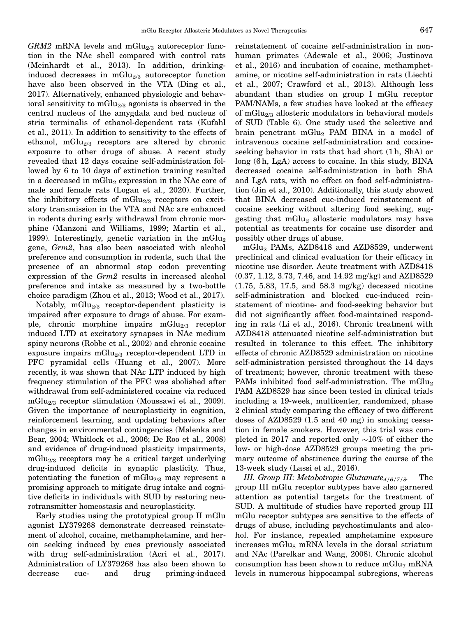<span id="page-17-0"></span> $GRM2$  mRNA levels and mGlu<sub>2/3</sub> autoreceptor function in the NAc shell compared with control rats (Meinhardt et al., 2013). In addition, drinkinginduced decreases in  $mGlu_{2/3}$  autoreceptor function have also been observed in the VTA (Ding et al., 2017). Alternatively, enhanced physiologic and behavioral sensitivity to  $mGlu_{2/3}$  agonists is observed in the central nucleus of the amygdala and bed nucleus of stria terminalis of ethanol-dependent rats (Kufahl et al., 2011). In addition to sensitivity to the effects of ethanol, mGlu<sub>2/3</sub> receptors are altered by chronic exposure to other drugs of abuse. A recent study revealed that 12 days cocaine self-administration followed by 6 to 10 days of extinction training resulted in a decreased in mGlu<sub>2</sub> expression in the NAc core of male and female rats (Logan et al., 2020). Further, the inhibitory effects of  $mGlu_{2/3}$  receptors on excitatory transmission in the VTA and NAc are enhanced in rodents during early withdrawal from chronic morphine (Manzoni and Williams, 1999; Martin et al., 1999). Interestingly, genetic variation in the mGlu<sub>2</sub> gene, Grm2, has also been associated with alcohol preference and consumption in rodents, such that the presence of an abnormal stop codon preventing expression of the Grm2 results in increased alcohol preference and intake as measured by a two-bottle choice paradigm (Zhou et al., 2013; Wood et al., 2017).

Notably,  $mGlu_{2/3}$  receptor-dependent plasticity is impaired after exposure to drugs of abuse. For example, chronic morphine impairs mGlu<sub>2/3</sub> receptor induced LTD at excitatory synapses in NAc medium spiny neurons (Robbe et al., 2002) and chronic cocaine exposure impairs mGlu<sub>2/3</sub> receptor-dependent LTD in PFC pyramidal cells (Huang et al., 2007). More recently, it was shown that NAc LTP induced by high frequency stimulation of the PFC was abolished after withdrawal from self-administered cocaine via reduced mGlu<sub>2/3</sub> receptor stimulation (Moussawi et al., 2009). Given the importance of neuroplasticity in cognition, reinforcement learning, and updating behaviors after changes in environmental contingencies (Malenka and Bear, 2004; Whitlock et al., 2006; De Roo et al., 2008) and evidence of drug-induced plasticity impairments,  $mGlu<sub>2/3</sub>$  receptors may be a critical target underlying drug-induced deficits in synaptic plasticity. Thus, potentiating the function of mGlu<sub>2/3</sub> may represent a promising approach to mitigate drug intake and cognitive deficits in individuals with SUD by restoring neurotransmitter homeostasis and neuroplasticity.

Early studies using the prototypical group II mGlu agonist LY379268 demonstrate decreased reinstatement of alcohol, cocaine, methamphetamine, and heroin seeking induced by cues previously associated with drug self-administration (Acri et al., 2017). Administration of LY379268 has also been shown to decrease cue- and drug priming-induced

reinstatement of cocaine self-administration in nonhuman primates (Adewale et al., 2006; Justinova et al., 2016) and incubation of cocaine, methamphetamine, or nicotine self-administration in rats (Liechti et al., 2007; Crawford et al., 2013). Although less abundant than studies on group I mGlu receptor PAM/NAMs, a few studies have looked at the efficacy of mGlu<sub>2/3</sub> allosteric modulators in behavioral models of SUD (Table 6). One study used the selective and brain penetrant  $mGlu<sub>2</sub>$  PAM BINA in a model of intravenous cocaine self-administration and cocaineseeking behavior in rats that had short (1 h, ShA) or long (6h, LgA) access to cocaine. In this study, BINA decreased cocaine self-administration in both ShA and LgA rats, with no effect on food self-administration (Jin et al., 2010). Additionally, this study showed that BINA decreased cue-induced reinstatement of cocaine seeking without altering food seeking, suggesting that  $mGlu<sub>2</sub>$  allosteric modulators may have potential as treatments for cocaine use disorder and possibly other drugs of abuse.

mGlu2 PAMs, AZD8418 and AZD8529, underwent preclinical and clinical evaluation for their efficacy in nicotine use disorder. Acute treatment with AZD8418 (0.37, 1.12, 3.73, 7.46, and 14.92 mg/kg) and AZD8529 (1.75, 5.83, 17.5, and 58.3 mg/kg) deceased nicotine self-administration and blocked cue-induced reinstatement of nicotine- and food-seeking behavior but did not significantly affect food-maintained responding in rats (Li et al., 2016). Chronic treatment with AZD8418 attenuated nicotine self-administration but resulted in tolerance to this effect. The inhibitory effects of chronic AZD8529 administration on nicotine self-administration persisted throughout the 14 days of treatment; however, chronic treatment with these PAMs inhibited food self-administration. The mGlu<sub>2</sub> PAM AZD8529 has since been tested in clinical trials including a 19-week, multicenter, randomized, phase 2 clinical study comparing the efficacy of two different doses of AZD8529 (1.5 and 40 mg) in smoking cessation in female smokers. However, this trial was completed in 2017 and reported only  $\sim$ 10% of either the low- or high-dose AZD8529 groups meeting the primary outcome of abstinence during the course of the 13-week study (Lassi et al., 2016).

III. Group III: Metabotropic Glutamate $4/6/7/8$ . The group III mGlu receptor subtypes have also garnered attention as potential targets for the treatment of SUD. A multitude of studies have reported group III mGlu receptor subtypes are sensitive to the effects of drugs of abuse, including psychostimulants and alcohol. For instance, repeated amphetamine exposure increases mGlu<sub>8</sub> mRNA levels in the dorsal striatum and NAc (Parelkar and Wang, 2008). Chronic alcohol consumption has been shown to reduce  $mGlu<sub>7</sub> mRNA$ levels in numerous hippocampal subregions, whereas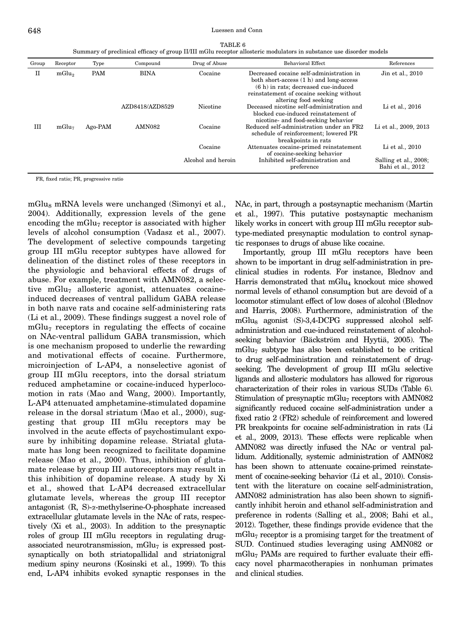TABLE 6 Summary of preclinical efficacy of group II/III mGlu receptor allosteric modulators in substance use disorder models

| Group | Receptor          | Type       | Compound        | Drug of Abuse      | Behavioral Effect                                                                                                                                                                                  | References                                 |
|-------|-------------------|------------|-----------------|--------------------|----------------------------------------------------------------------------------------------------------------------------------------------------------------------------------------------------|--------------------------------------------|
| П     | mGlu <sub>2</sub> | <b>PAM</b> | <b>BINA</b>     | Cocaine            | Decreased cocaine self-administration in<br>both short-access (1 h) and long-access<br>$(6 h)$ in rats; decreased cue-induced<br>reinstatement of cocaine seeking without<br>altering food seeking | Jin et al., 2010                           |
|       |                   |            | AZD8418/AZD8529 | Nicotine           | Deceased nicotine self-administration and<br>blocked cue-induced reinstatement of<br>nicotine- and food-seeking behavior                                                                           | Li et al., 2016                            |
| Ш     | mGlu <sub>7</sub> | Ago-PAM    | <b>AMN082</b>   | Cocaine            | Reduced self-administration under an FR2<br>schedule of reinforcement; lowered PR<br>breakpoints in rats                                                                                           | Li et al., 2009, 2013                      |
|       |                   |            |                 | Cocaine            | Attenuates cocaine-primed reinstatement<br>of cocaine-seeking behavior                                                                                                                             | Li et al., 2010                            |
|       |                   |            |                 | Alcohol and heroin | Inhibited self-administration and<br>preference                                                                                                                                                    | Salling et al., 2008;<br>Bahi et al., 2012 |

FR, fixed ratio; PR, progressive ratio

mGlu<sub>8</sub> mRNA levels were unchanged (Simonyi et al., 2004). Additionally, expression levels of the gene encoding the mGlu<sub>7</sub> receptor is associated with higher levels of alcohol consumption (Vadasz et al., 2007). The development of selective compounds targeting group III mGlu receptor subtypes have allowed for delineation of the distinct roles of these receptors in the physiologic and behavioral effects of drugs of abuse. For example, treatment with AMN082, a selective mGlu<sub>7</sub> allosteric agonist, attenuates cocaineinduced decreases of ventral pallidum GABA release in both naıve rats and cocaine self-administering rats (Li et al., 2009). These findings suggest a novel role of  $mGlu<sub>7</sub>$  receptors in regulating the effects of cocaine on NAc-ventral pallidum GABA transmission, which is one mechanism proposed to underlie the rewarding and motivational effects of cocaine. Furthermore, microinjection of L-AP4, a nonselective agonist of group III mGlu receptors, into the dorsal striatum reduced amphetamine or cocaine-induced hyperlocomotion in rats (Mao and Wang, 2000). Importantly, L-AP4 attenuated amphetamine-stimulated dopamine release in the dorsal striatum (Mao et al., 2000), suggesting that group III mGlu receptors may be involved in the acute effects of psychostimulant exposure by inhibiting dopamine release. Striatal glutamate has long been recognized to facilitate dopamine release (Mao et al., 2000). Thus, inhibition of glutamate release by group III autoreceptors may result in this inhibition of dopamine release. A study by Xi et al., showed that L-AP4 decreased extracellular glutamate levels, whereas the group III receptor antagonist (R, S)-a-methylserine-O-phosphate increased extracellular glutamate levels in the NAc of rats, respectively (Xi et al., 2003). In addition to the presynaptic roles of group III mGlu receptors in regulating drugassociated neurotransmission,  $mGlu<sub>7</sub>$  is expressed postsynaptically on both striatopallidal and striatonigral medium spiny neurons (Kosinski et al., 1999). To this end, L-AP4 inhibits evoked synaptic responses in the

NAc, in part, through a postsynaptic mechanism (Martin et al., 1997). This putative postsynaptic mechanism likely works in concert with group III mGlu receptor subtype-mediated presynaptic modulation to control synaptic responses to drugs of abuse like cocaine.

Importantly, group III mGlu receptors have been shown to be important in drug self-administration in preclinical studies in rodents. For instance, Blednov and Harris demonstrated that mGlu<sub>4</sub> knockout mice showed normal levels of ethanol consumption but are devoid of a locomotor stimulant effect of low doses of alcohol (Blednov and Harris, 2008). Furthermore, administration of the mGlu<sub>8</sub> agonist (S)-3,4-DCPG suppressed alcohol selfadministration and cue-induced reinstatement of alcoholseeking behavior (Bäckström and Hyytiä, 2005). The mGlu7 subtype has also been established to be critical to drug self-administration and reinstatement of drugseeking. The development of group III mGlu selective ligands and allosteric modulators has allowed for rigorous characterization of their roles in various SUDs (Table 6). Stimulation of presynaptic mGlu<sub>7</sub> receptors with  $AMN082$ significantly reduced cocaine self-administration under a fixed ratio 2 (FR2) schedule of reinforcement and lowered PR breakpoints for cocaine self-administration in rats (Li et al., 2009, 2013). These effects were replicable when AMN082 was directly infused the NAc or ventral pallidum. Additionally, systemic administration of AMN082 has been shown to attenuate cocaine-primed reinstatement of cocaine-seeking behavior (Li et al., 2010). Consistent with the literature on cocaine self-administration, AMN082 administration has also been shown to significantly inhibit heroin and ethanol self-administration and preference in rodents (Salling et al., 2008; Bahi et al., 2012). Together, these findings provide evidence that the mGlu7 receptor is a promising target for the treatment of SUD. Continued studies leveraging using AMN082 or mGlu7 PAMs are required to further evaluate their efficacy novel pharmacotherapies in nonhuman primates and clinical studies.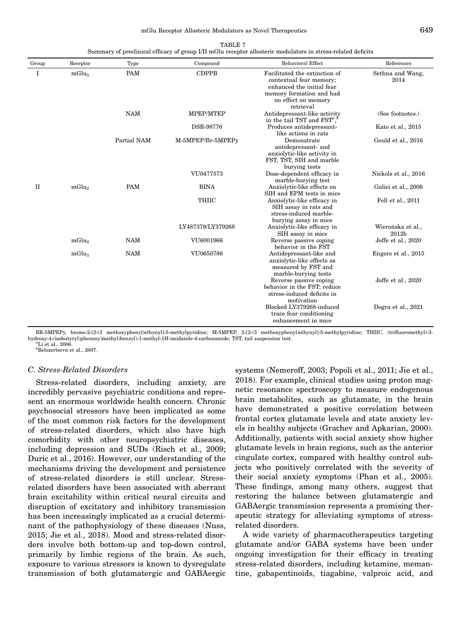<span id="page-19-0"></span>

|             | Summary of preclinical efficacy of group I/II mGlu receptor allosteric modulators in stress-related deficits |             |                   |                                                                                                                                                       |                            |  |  |  |
|-------------|--------------------------------------------------------------------------------------------------------------|-------------|-------------------|-------------------------------------------------------------------------------------------------------------------------------------------------------|----------------------------|--|--|--|
| Group       | Receptor                                                                                                     | Type        | Compound          | <b>Behavioral Effect</b>                                                                                                                              | References                 |  |  |  |
| 1           | mGlu <sub>5</sub>                                                                                            | PAM         | <b>CDPPB</b>      | Facilitated the extinction of<br>contextual fear memory;<br>enhanced the initial fear<br>memory formation and had<br>no effect on memory<br>retrieval | Sethna and Wang,<br>2014   |  |  |  |
|             |                                                                                                              | <b>NAM</b>  | MPEP/MTEP         | Antidepressant-like activity<br>in the tail TST and $\text{FST}^a$ , <sup>b</sup>                                                                     | (See footnotes.)           |  |  |  |
|             |                                                                                                              |             | DSR-98776         | Produces antidepressant-<br>like actions in rats                                                                                                      | Kato et al., 2015          |  |  |  |
|             |                                                                                                              | Partial NAM | M-5MPEP/Br-5MPEPy | Demonstrate<br>antidepressant- and<br>anxiolytic-like activity in<br>FST, TST, SIH and marble<br>burying tests                                        | Gould et al., 2016         |  |  |  |
|             |                                                                                                              |             | VU0477573         | Dose-dependent efficacy in<br>marble-burying test                                                                                                     | Nickols et al., 2016       |  |  |  |
| $_{\rm II}$ | mGlu <sub>2</sub>                                                                                            | <b>PAM</b>  | <b>BINA</b>       | Anxiolytic-like effects on<br>SIH and EPM tests in mice                                                                                               | Galici et al., 2006        |  |  |  |
|             |                                                                                                              |             | <b>THIIC</b>      | Anxiolytic-like efficacy in<br>SIH assay in rats and<br>stress-induced marble-<br>burying assay in mice                                               | Fell et al., 2011          |  |  |  |
|             |                                                                                                              |             | LY487379/LY379268 | Anxiolytic-like efficacy in<br>SIH assay in mice                                                                                                      | Wierońska et al.,<br>2012b |  |  |  |
|             | $mGlu_2$                                                                                                     | <b>NAM</b>  | VU6001966         | Reverse passive coping<br>behavior in the FST                                                                                                         | Joffe et al., 2020         |  |  |  |
|             | mGlu <sub>3</sub>                                                                                            | <b>NAM</b>  | VU0650786         | Antidepressant-like and<br>anxiolytic-like effects as<br>measured by FST and<br>marble-burying tests                                                  | Engers et al., 2015        |  |  |  |
|             |                                                                                                              |             |                   | Reverse passive coping<br>behavior in the FST; reduce<br>stress-induced deficits in<br>motivation                                                     | Joffe et al., 2020         |  |  |  |
|             |                                                                                                              |             |                   | Blocked LY379268-induced<br>trace fear conditioning<br>enhancement in mice                                                                            | Dogra et al., 2021         |  |  |  |

TABLE 7

BR-5MPEPy, bromo-2-[2-(3 methoxyphenyl)ethynyl]-5-methylpyridine; M-5MPEP, 2-[2-(3 methoxyphenyl)ethynyl]-5-methylpyridine; THIIC, (trifluoromethyl)-3 hydroxy-4-(isobutyryl)phenoxy)methyl)benzyl)-1-methyl-1H-imidazole-4-carboxamide; TST, tail suspension test. <sup>a</sup>  $\mathrm{^{2}Li}$  et al., 2006.

b Belozertseva et al., 2007.

#### C. Stress-Related Disorders

Stress-related disorders, including anxiety, are incredibly pervasive psychiatric conditions and represent an enormous worldwide health concern. Chronic psychosocial stressors have been implicated as some of the most common risk factors for the development of stress-related disorders, which also have high comorbidity with other neuropsychiatric diseases, including depression and SUDs (Risch et al., 2009; Duric et al., 2016). However, our understanding of the mechanisms driving the development and persistence of stress-related disorders is still unclear. Stressrelated disorders have been associated with aberrant brain excitability within critical neural circuits and disruption of excitatory and inhibitory transmission has been increasingly implicated as a crucial determinant of the pathophysiology of these diseases (Nuss, 2015; Jie et al., 2018). Mood and stress-related disorders involve both bottom-up and top-down control, primarily by limbic regions of the brain. As such, exposure to various stressors is known to dysregulate transmission of both glutamatergic and GABAergic systems (Nemeroff, 2003; Popoli et al., 2011; Jie et al., 2018). For example, clinical studies using proton magnetic resonance spectroscopy to measure endogenous brain metabolites, such as glutamate, in the brain have demonstrated a positive correlation between frontal cortex glutamate levels and state anxiety levels in healthy subjects (Grachev and Apkarian, 2000). Additionally, patients with social anxiety show higher glutamate levels in brain regions, such as the anterior cingulate cortex, compared with healthy control subjects who positively correlated with the severity of their social anxiety symptoms (Phan et al., 2005). These findings, among many others, suggest that restoring the balance between glutamatergic and GABAergic transmission represents a promising therapeutic strategy for alleviating symptoms of stressrelated disorders.

A wide variety of pharmacotherapeutics targeting glutamate and/or GABA systems have been under ongoing investigation for their efficacy in treating stress-related disorders, including ketamine, memantine, gabapentinoids, tiagabine, valproic acid, and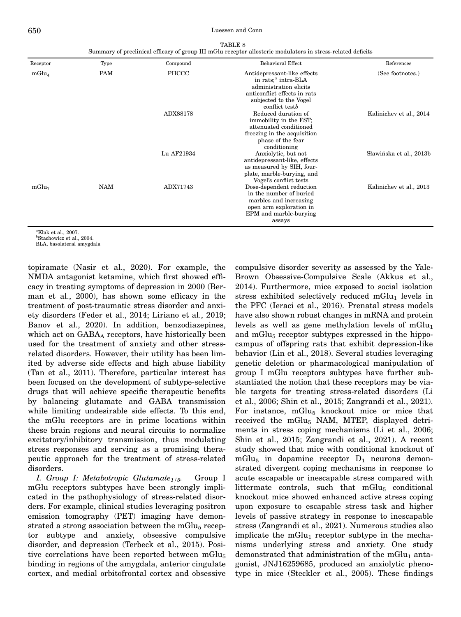#### <span id="page-20-0"></span>650 Luessen and Conn

| TABLE 8                                                                                                     |  |
|-------------------------------------------------------------------------------------------------------------|--|
| Summary of preclinical efficacy of group III mGlu receptor allosteric modulators in stress-related deficits |  |

| Receptor          | Type | Compound   | <b>Behavioral Effect</b>                                                                                                                                     | References              |
|-------------------|------|------------|--------------------------------------------------------------------------------------------------------------------------------------------------------------|-------------------------|
| mGlu <sub>4</sub> | PAM  | PHCCC      | Antidepressant-like effects<br>in rats; $^a$ intra-BLA<br>administration elicits<br>anticonflict effects in rats<br>subjected to the Vogel<br>conflict testb | (See footnotes.)        |
|                   |      | ADX88178   | Reduced duration of<br>immobility in the FST;<br>attenuated conditioned<br>freezing in the acquisition<br>phase of the fear<br>conditioning                  | Kalinichev et al., 2014 |
|                   |      | Lu AF21934 | Anxiolytic, but not<br>antidepressant-like, effects<br>as measured by SIH, four-<br>plate, marble-burying, and<br>Vogel's conflict tests                     | Sławińska et al., 2013b |
| mGlu <sub>7</sub> | NAM  | ADX71743   | Dose-dependent reduction<br>in the number of buried<br>marbles and increasing<br>open arm exploration in<br>EPM and marble-burying<br>assays                 | Kalinichev et al., 2013 |

a Kłak et al., 2007.

b Stachowicz et al., 2004.

BLA, basolateral amygdala

topiramate (Nasir et al., 2020). For example, the NMDA antagonist ketamine, which first showed efficacy in treating symptoms of depression in 2000 (Berman et al., 2000), has shown some efficacy in the treatment of post-traumatic stress disorder and anxiety disorders (Feder et al., 2014; Liriano et al., 2019; Banov et al., 2020). In addition, benzodiazepines, which act on  $GABA_A$  receptors, have historically been used for the treatment of anxiety and other stressrelated disorders. However, their utility has been limited by adverse side effects and high abuse liability (Tan et al., 2011). Therefore, particular interest has been focused on the development of subtype-selective drugs that will achieve specific therapeutic benefits by balancing glutamate and GABA transmission while limiting undesirable side effects. To this end, the mGlu receptors are in prime locations within these brain regions and neural circuits to normalize excitatory/inhibitory transmission, thus modulating stress responses and serving as a promising therapeutic approach for the treatment of stress-related disorders.

I. Group I: Metabotropic Glutamate<sub>1/5</sub>. Group I mGlu receptors subtypes have been strongly implicated in the pathophysiology of stress-related disorders. For example, clinical studies leveraging positron emission tomography (PET) imaging have demonstrated a strong association between the mGlu $_5$  receptor subtype and anxiety, obsessive compulsive disorder, and depression (Terbeck et al., 2015). Positive correlations have been reported between  $mGlu<sub>5</sub>$ binding in regions of the amygdala, anterior cingulate cortex, and medial orbitofrontal cortex and obsessive

compulsive disorder severity as assessed by the Yale-Brown Obsessive-Compulsive Scale (Akkus et al., 2014). Furthermore, mice exposed to social isolation stress exhibited selectively reduced  $mGlu<sub>1</sub>$  levels in the PFC (Ieraci et al., 2016). Prenatal stress models have also shown robust changes in mRNA and protein levels as well as gene methylation levels of  $mGlu<sub>1</sub>$ and mGlu<sub>5</sub> receptor subtypes expressed in the hippocampus of offspring rats that exhibit depression-like behavior (Lin et al., 2018). Several studies leveraging genetic deletion or pharmacological manipulation of group I mGlu receptors subtypes have further substantiated the notion that these receptors may be viable targets for treating stress-related disorders (Li et al., 2006; Shin et al., 2015; Zangrandi et al., 2021). For instance,  $mGlu<sub>5</sub>$  knockout mice or mice that received the mGlu<sub>5</sub> NAM, MTEP, displayed detriments in stress coping mechanisms (Li et al., 2006; Shin et al., 2015; Zangrandi et al., 2021). A recent study showed that mice with conditional knockout of mGlu<sub>5</sub> in dopamine receptor  $D_1$  neurons demonstrated divergent coping mechanisms in response to acute escapable or inescapable stress compared with littermate controls, such that  $mGlu<sub>5</sub>$  conditional knockout mice showed enhanced active stress coping upon exposure to escapable stress task and higher levels of passive strategy in response to inescapable stress (Zangrandi et al., 2021). Numerous studies also implicate the mGlu<sub>1</sub> receptor subtype in the mechanisms underlying stress and anxiety. One study demonstrated that administration of the mGlu<sub>1</sub> antagonist, JNJ16259685, produced an anxiolytic phenotype in mice (Steckler et al., 2005). These findings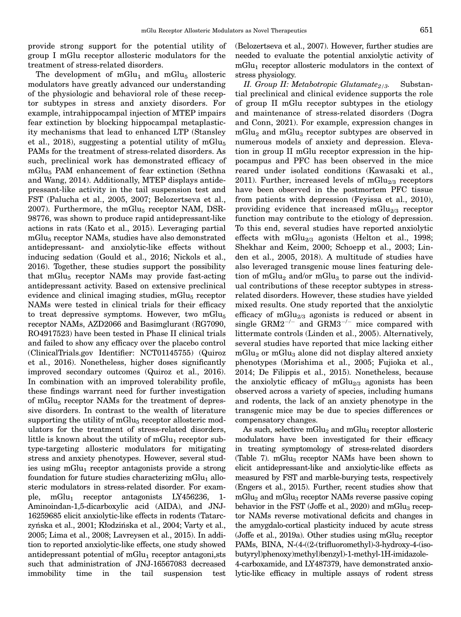<span id="page-21-0"></span>provide strong support for the potential utility of group I mGlu receptor allosteric modulators for the treatment of stress-related disorders.

The development of  $mGlu<sub>1</sub>$  and  $mGlu<sub>5</sub>$  allosteric modulators have greatly advanced our understanding of the physiologic and behavioral role of these receptor subtypes in stress and anxiety disorders. For example, intrahippocampal injection of MTEP impairs fear extinction by blocking hippocampal metaplasticity mechanisms that lead to enhanced LTP (Stansley et al., 2018), suggesting a potential utility of  $mGlu<sub>5</sub>$ PAMs for the treatment of stress-related disorders. As such, preclinical work has demonstrated efficacy of mGlu5 PAM enhancement of fear extinction (Sethna and Wang, 2014). Additionally, MTEP displays antidepressant-like activity in the tail suspension test and FST (Palucha et al., 2005, 2007; Belozertseva et al.,  $2007$ ). Furthermore, the mGlu<sub>5</sub> receptor NAM, DSR-98776, was shown to produce rapid antidepressant-like actions in rats (Kato et al., 2015). Leveraging partial mGlu<sub>5</sub> receptor NAMs, studies have also demonstrated antidepressant- and anxiolytic-like effects without inducing sedation (Gould et al., 2016; Nickols et al., 2016). Together, these studies support the possibility that  $mGlu<sub>5</sub>$  receptor NAMs may provide fast-acting antidepressant activity. Based on extensive preclinical evidence and clinical imaging studies,  $mGlu<sub>5</sub>$  receptor NAMs were tested in clinical trials for their efficacy to treat depressive symptoms. However, two mGlu $_5$ receptor NAMs, AZD2066 and Basimglurant (RG7090, RO4917523) have been tested in Phase II clinical trials and failed to show any efficacy over the placebo control (ClinicalTrials.gov Identifier: NCT01145755) (Quiroz et al., 2016). Nonetheless, higher doses significantly improved secondary outcomes (Quiroz et al., 2016). In combination with an improved tolerability profile, these findings warrant need for further investigation of mGlu<sub>5</sub> receptor NAMs for the treatment of depressive disorders. In contrast to the wealth of literature supporting the utility of  $mGlu<sub>5</sub>$  receptor allosteric modulators for the treatment of stress-related disorders, little is known about the utility of  $mGlu<sub>1</sub>$  receptor subtype-targeting allosteric modulators for mitigating stress and anxiety phenotypes. However, several studies using  $mGlu_1$  receptor antagonists provide a strong foundation for future studies characterizing  $mGlu<sub>1</sub>$  allosteric modulators in stress-related disorder. For example, mGlu<sub>1</sub> receptor antagonists LY456236, 1-Aminoindan-1,5-dicarboxylic acid (AIDA), and JNJ-16259685 elicit anxiolytic-like effects in rodents (Tatarczyńska et al., 2001; Kłodzińska et al., 2004; Varty et al., 2005; Lima et al., 2008; Lavreysen et al., 2015). In addition to reported anxiolytic-like effects, one study showed antidepressant potential of  $mGlu<sub>1</sub>$  receptor antagoni,sts such that administration of JNJ-16567083 decreased immobility time in the tail suspension test

(Belozertseva et al., 2007). However, further studies are needed to evaluate the potential anxiolytic activity of  $mGlu<sub>1</sub>$  receptor allosteric modulators in the context of stress physiology.

II. Group II: Metabotropic Glutamate<sub>2/3</sub>. Substantial preclinical and clinical evidence supports the role of group II mGlu receptor subtypes in the etiology and maintenance of stress-related disorders (Dogra and Conn, 2021). For example, expression changes in  $mGlu<sub>2</sub>$  and  $mGlu<sub>3</sub>$  receptor subtypes are observed in numerous models of anxiety and depression. Elevation in group II mGlu receptor expression in the hippocampus and PFC has been observed in the mice reared under isolated conditions (Kawasaki et al., 2011). Further, increased levels of mGlu $_{2/3}$  receptors have been observed in the postmortem PFC tissue from patients with depression (Feyissa et al., 2010), providing evidence that increased mGlu<sub>2/3</sub> receptor function may contribute to the etiology of depression. To this end, several studies have reported anxiolytic effects with mGlu<sub>2/3</sub> agonists (Helton et al., 1998; Shekhar and Keim, 2000; Schoepp et al., 2003; Linden et al., 2005, 2018). A multitude of studies have also leveraged transgenic mouse lines featuring deletion of mGlu<sub>2</sub> and/or mGlu<sub>3</sub> to parse out the individual contributions of these receptor subtypes in stressrelated disorders. However, these studies have yielded mixed results. One study reported that the anxiolytic efficacy of  $mGlu_{2/3}$  agonists is reduced or absent in single  $\text{GRM2}^{-/-}$  and  $\text{GRM3}^{-/-}$  mice compared with littermate controls (Linden et al., 2005). Alternatively, several studies have reported that mice lacking either  $mGlu<sub>2</sub>$  or  $mGlu<sub>3</sub>$  alone did not display altered anxiety phenotypes (Morishima et al., 2005; Fujioka et al., 2014; De Filippis et al., 2015). Nonetheless, because the anxiolytic efficacy of mGlu $_{2/3}$  agonists has been observed across a variety of species, including humans and rodents, the lack of an anxiety phenotype in the transgenic mice may be due to species differences or compensatory changes.

As such, selective mGlu<sub>2</sub> and mGlu<sub>3</sub> receptor allosteric modulators have been investigated for their efficacy in treating symptomology of stress-related disorders (Table 7).  $mGlu<sub>3</sub>$  receptor NAMs have been shown to elicit antidepressant-like and anxiolytic-like effects as measured by FST and marble-burying tests, respectively (Engers et al., 2015). Further, recent studies show that  $mGlu<sub>2</sub>$  and  $mGlu<sub>3</sub>$  receptor NAMs reverse passive coping behavior in the FST (Joffe et al.,  $2020$ ) and mGlu<sub>3</sub> receptor NAMs reverse motivational deficits and changes in the amygdalo-cortical plasticity induced by acute stress (Joffe et al., 2019a). Other studies using mGlu<sub>2</sub> receptor PAMs, BINA, N-(4-((2-(trifluoromethyl)-3-hydroxy-4-(isobutyryl)phenoxy)methyl)benzyl)-1-methyl-1H-imidazole-4-carboxamide, and LY487379, have demonstrated anxiolytic-like efficacy in multiple assays of rodent stress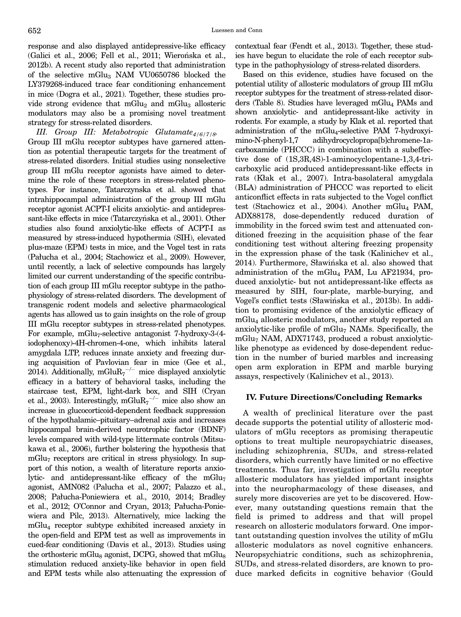<span id="page-22-0"></span>response and also displayed antidepressive-like efficacy (Galici et al., 2006; Fell et al., 2011; Wierońska et al., 2012b). A recent study also reported that administration of the selective mGlu<sub>3</sub> NAM VU0650786 blocked the LY379268-induced trace fear conditioning enhancement in mice (Dogra et al., 2021). Together, these studies provide strong evidence that  $mGlu<sub>2</sub>$  and  $mGlu<sub>3</sub>$  allosteric modulators may also be a promising novel treatment strategy for stress-related disorders.

III. Group III: Metabotropic Glutamate $_{4/6/7/8}$ . Group III mGlu receptor subtypes have garnered attention as potential therapeutic targets for the treatment of stress-related disorders. Initial studies using nonselective group III mGlu receptor agonists have aimed to determine the role of these receptors in stress-related phenotypes. For instance, Tatarczynska et al. showed that intrahippocampal administration of the group III mGlu receptor agonist ACPT-I elicits anxiolytic- and antidepressant-like effects in mice (Tatarczyńska et al., 2001). Other studies also found anxiolytic-like effects of ACPT-I as measured by stress-induced hypothermia (SIH), elevated plus-maze (EPM) tests in mice, and the Vogel test in rats (Pałucha et al., 2004; Stachowicz et al., 2009). However, until recently, a lack of selective compounds has largely limited our current understanding of the specific contribution of each group III mGlu receptor subtype in the pathophysiology of stress-related disorders. The development of transgenic rodent models and selective pharmacological agents has allowed us to gain insights on the role of group III mGlu receptor subtypes in stress-related phenotypes. For example,  $mGlu<sub>7</sub>$ -selective antagonist 7-hydroxy-3-(4iodophenoxy)-4H-chromen-4-one, which inhibits lateral amygdala LTP, reduces innate anxiety and freezing during acquisition of Pavlovian fear in mice (Gee et al., 2014). Additionally, mGlu $R_7$ <sup>-/-</sup> mice displayed anxiolytic efficacy in a battery of behavioral tasks, including the staircase test, EPM, light-dark box, and SIH (Cryan et al., 2003). Interestingly, mGlu $R_7^{-/-}$  mice also show an increase in glucocorticoid-dependent feedback suppression of the hypothalamic–pituitary–adrenal axis and increases hippocampal brain-derived neurotrophic factor (BDNF) levels compared with wild-type littermate controls (Mitsukawa et al., 2006), further bolstering the hypothesis that  $mGlu<sub>7</sub>$  receptors are critical in stress physiology. In support of this notion, a wealth of literature reports anxiolytic- and antidepressant-like efficacy of the  $mGlu<sub>7</sub>$ agonist, AMN082 (Palucha et al., 2007; Palazzo et al., 2008; Pałucha-Poniewiera et al., 2010, 2014; Bradley et al., 2012; O'Connor and Cryan, 2013; Pałucha-Poniewiera and Pilc, 2013). Alternatively, mice lacking the mGlu4 receptor subtype exhibited increased anxiety in the open-field and EPM test as well as improvements in cued-fear conditioning (Davis et al., 2013). Studies using the orthosteric mGlu<sub>8</sub> agonist, DCPG, showed that mGlu<sub>8</sub> stimulation reduced anxiety-like behavior in open field and EPM tests while also attenuating the expression of contextual fear (Fendt et al., 2013). Together, these studies have begun to elucidate the role of each receptor subtype in the pathophysiology of stress-related disorders.

Based on this evidence, studies have focused on the potential utility of allosteric modulators of group III mGlu receptor subtypes for the treatment of stress-related disorders (Table 8). Studies have leveraged mGlu<sub>4</sub> PAMs and shown anxiolytic- and antidepressant-like activity in rodents. For example, a study by Klak et al. reported that administration of the mGlu<sub>4</sub>-selective PAM 7-hydroxyimino-N-phenyl-1,7 adihydrocyclopropa[b]chromene-1acarboxamide (PHCCC) in combination with a subeffective dose of (1S,3R,4S)-1-aminocyclopentane-1,3,4-tricarboxylic acid produced antidepressant-like effects in rats (Kłak et al., 2007). Intra-basolateral amygdala (BLA) administration of PHCCC was reported to elicit anticonflict effects in rats subjected to the Vogel conflict test (Stachowicz et al., 2004). Another mGlu<sub>4</sub> PAM, ADX88178, dose-dependently reduced duration of immobility in the forced swim test and attenuated conditioned freezing in the acquisition phase of the fear conditioning test without altering freezing propensity in the expression phase of the task (Kalinichev et al., 2014). Furthermore, Sławińska et al. also showed that administration of the mGlu<sub>4</sub> PAM, Lu AF21934, produced anxiolytic- but not antidepressant-like effects as measured by SIH, four-plate, marble-burying, and Vogel's conflict tests (Sławinska et al., 2013b). In addi- tion to promising evidence of the anxiolytic efficacy of mGlu4 allosteric modulators, another study reported an anxiolytic-like profile of  $mGlu<sub>7</sub>$  NAMs. Specifically, the  $mGlu<sub>7</sub> NAM, ADX71743, produced a robust anxiolytic$ like phenotype as evidenced by dose-dependent reduction in the number of buried marbles and increasing open arm exploration in EPM and marble burying assays, respectively (Kalinichev et al., 2013).

### IV. Future Directions/Concluding Remarks

A wealth of preclinical literature over the past decade supports the potential utility of allosteric modulators of mGlu receptors as promising therapeutic options to treat multiple neuropsychiatric diseases, including schizophrenia, SUDs, and stress-related disorders, which currently have limited or no effective treatments. Thus far, investigation of mGlu receptor allosteric modulators has yielded important insights into the neuropharmacology of these diseases, and surely more discoveries are yet to be discovered. However, many outstanding questions remain that the field is primed to address and that will propel research on allosteric modulators forward. One important outstanding question involves the utility of mGlu allosteric modulators as novel cognitive enhancers. Neuropsychiatric conditions, such as schizophrenia, SUDs, and stress-related disorders, are known to produce marked deficits in cognitive behavior (Gould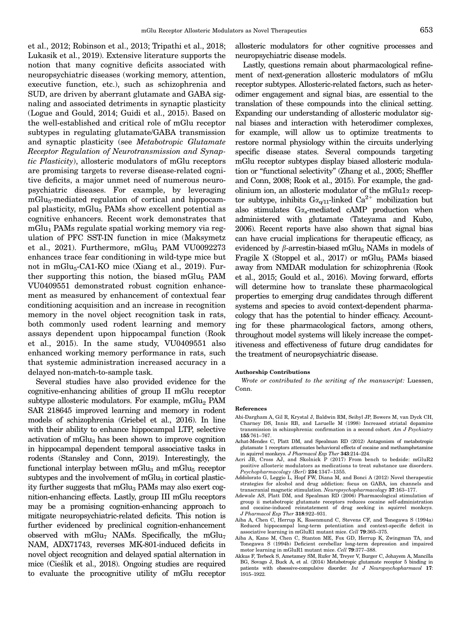<span id="page-23-0"></span>et al., 2012; Robinson et al., 2013; Tripathi et al., 2018; Lukasik et al., 2019). Extensive literature supports the notion that many cognitive deficits associated with neuropsychiatric diseases (working memory, attention, executive function, etc.), such as schizophrenia and SUD, are driven by aberrant glutamate and GABA signaling and associated detriments in synaptic plasticity (Logue and Gould, 2014; Guidi et al., 2015). Based on the well-established and critical role of mGlu receptor subtypes in regulating glutamate/GABA transmission and synaptic plasticity (see Metabotropic Glutamate Receptor Regulation of Neurotransmission and Synaptic Plasticity), allosteric modulators of mGlu receptors are promising targets to reverse disease-related cognitive deficits, a major unmet need of numerous neuropsychiatric diseases. For example, by leveraging mGlu<sub>5</sub>-mediated regulation of cortical and hippocampal plasticity, mGlu<sub>5</sub> PAMs show excellent potential as cognitive enhancers. Recent work demonstrates that  $mGlu<sub>1</sub>$  PAMs regulate spatial working memory via regulation of PFC SST-IN function in mice (Maksymetz et al., 2021). Furthermore, mGlu $_5$  PAM VU0092273 enhances trace fear conditioning in wild-type mice but not in mGlu<sub>5</sub>-CA1-KO mice (Xiang et al., 2019). Further supporting this notion, the biased mGlu $_5$  PAM VU0409551 demonstrated robust cognition enhancement as measured by enhancement of contextual fear conditioning acquisition and an increase in recognition memory in the novel object recognition task in rats, both commonly used rodent learning and memory assays dependent upon hippocampal function (Rook et al., 2015). In the same study, VU0409551 also enhanced working memory performance in rats, such that systemic administration increased accuracy in a delayed non-match-to-sample task.

Several studies have also provided evidence for the cognitive-enhancing abilities of group II mGlu receptor subtype allosteric modulators. For example,  $mGlu<sub>2</sub>$  PAM SAR 218645 improved learning and memory in rodent models of schizophrenia (Griebel et al., 2016). In line with their ability to enhance hippocampal LTP, selective activation of mGlu<sub>3</sub> has been shown to improve cognition in hippocampal dependent temporal associative tasks in rodents (Stansley and Conn, 2019). Interestingly, the functional interplay between  $mGlu<sub>3</sub>$  and  $mGlu<sub>5</sub>$  receptor subtypes and the involvement of  $mGlu<sub>3</sub>$  in cortical plasticity further suggests that  $mGlu<sub>3</sub>$  PAMs may also exert cognition-enhancing effects. Lastly, group III mGlu receptors may be a promising cognition-enhancing approach to mitigate neuropsychiatric-related deficits. This notion is further evidenced by preclinical cognition-enhancement observed with mGlu<sub>7</sub> NAMs. Specifically, the mGlu<sub>7</sub> NAM, ADX71743, reverses MK-801-induced deficits in novel object recognition and delayed spatial alternation in mice (Ciestlik et al., 2018). Ongoing studies are required to evaluate the procognitive utility of mGlu receptor

allosteric modulators for other cognitive processes and neuropsychiatric disease models.

Lastly, questions remain about pharmacological refinement of next-generation allosteric modulators of mGlu receptor subtypes. Allosteric-related factors, such as heterodimer engagement and signal bias, are essential to the translation of these compounds into the clinical setting. Expanding our understanding of allosteric modulator signal biases and interaction with heterodimer complexes, for example, will allow us to optimize treatments to restore normal physiology within the circuits underlying specific disease states. Several compounds targeting mGlu receptor subtypes display biased allosteric modulation or "functional selectivity" (Zhang et al., 2005; Sheffler and Conn, 2008; Rook et al., 2015). For example, the gadolinium ion, an allosteric modulator of the mGlu1 $\alpha$  receptor subtype, inhibits  $G_{\alpha_{q/11}}$ -linked  $Ca^{2+}$  mobilization but also stimulates  $G\alpha_s$ -mediated cAMP production when administered with glutamate (Tateyama and Kubo, 2006). Recent reports have also shown that signal bias can have crucial implications for therapeutic efficacy, as evidenced by  $\beta$ -arrestin-biased mGlu<sub>5</sub> NAMs in models of Fragile X (Stoppel et al., 2017) or mGlu $_5$  PAMs biased away from NMDAR modulation for schizophrenia (Rook et al., 2015; Gould et al., 2016). Moving forward, efforts will determine how to translate these pharmacological properties to emerging drug candidates through different systems and species to avoid context-dependent pharmacology that has the potential to hinder efficacy. Accounting for these pharmacological factors, among others, throughout model systems will likely increase the competitiveness and effectiveness of future drug candidates for the treatment of neuropsychiatric disease.

#### Authorship Contributions

Wrote or contributed to the writing of the manuscript: Luessen, Conn.

#### References

- Abi-Dargham A, Gil R, Krystal J, Baldwin RM, Seibyl JP, Bowers M, van Dyck CH, Charney DS, Innis RB, and Laruelle M (1998) Increased striatal dopamine transmission in schizophrenia: confirmation in a second cohort. Am J Psychiatry 155:761–767.
- Achat-Mendes C, Platt DM, and Spealman RD (2012) Antagonism of metabotropic glutamate 1 receptors attenuates behavioral effects of cocaine and methamphetamine
- in squirrel monkeys. *J Pharmacol Exp Ther* 343:214-224.<br>Acri JB, Cross AJ, and Skolnick P (2017) From bench to bedside: mGluR2 positive allosteric modulators as medications to treat substance use disorders. Psychopharmacology (Berl) 234:1347–1355.
- Addolorato G, Leggio L, Hopf FW, Diana M, and Bonci A (2012) Novel therapeutic strategies for alcohol and drug addiction: focus on GABA, ion channels and transcranial magnetic stimulation. Neuropsychopharmacology 37:163–177.
- Adewale AS, Platt DM, and Spealman RD (2006) Pharmacological stimulation of group ii metabotropic glutamate receptors reduces cocaine self-administration and cocaine-induced reinstatement of drug seeking in squirrel monkeys. J Pharmacol Exp Ther 318:922–931.
- Aiba A, Chen C, Herrup K, Rosenmund C, Stevens CF, and Tonegawa S (1994a) Reduced hippocampal long-term potentiation and context-specific deficit in associative learning in mGluR1 mutant mice. Cell 79:365–375.
- Aiba A, Kano M, Chen C, Stanton ME, Fox GD, Herrup K, Zwingman TA, and Tonegawa S (1994b) Deficient cerebellar long-term depression and impaired motor learning in mGluR1 mutant mice. Cell 79:377–388.
- Akkus F, Terbeck S, Ametamey SM, Rufer M, Treyer V, Burger C, Johayem A, Mancilla BG, Sovago J, Buck A, et al. (2014) Metabotropic glutamate receptor 5 binding in patients with obsessive-compulsive disorder. Int J Neuropsychopharmacol 17: 1915–1922.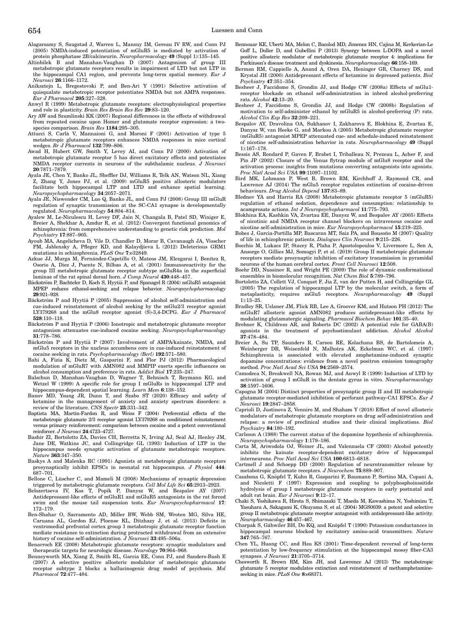- Alagarsamy S, Saugstad J, Warren L, Mansuy IM, Gereau IV RW, and Conn PJ (2005) NMDA-induced potentiation of mGluR5 is mediated by activation of protein phosphatase 2B/calcineurin. Neuropharmacology 49 (Suppl 1):135-145.
- Altinbilek B and Manahan-Vaughan D (2007) Antagonism of group III metabotropic glutamate receptors results in impairment of LTD but not LTP in the hippocampal CA1 region, and prevents long-term spatial memory. Eur J Neurosci 26:1166–1172.
- Aniksztejn L, Bregestovski P, and Ben-Ari Y (1991) Selective activation of quisqualate metabotropic receptor potentiates NMDA but not AMPA responses. Eur J Pharmacol 205:327–328.
- Anwyl R (1999) Metabotropic glutamate receptors: electrophysiological properties and role in plasticity. Brain Res Brain Res Rev 29:83–120.
- Ary AW and Szumlinski KK (2007) Regional differences in the effects of withdrawal from repeated cocaine upon Homer and glutamate receptor expression: a twospecies comparison. Brain Res 1184:295–305.
- Attucci S, Carla V, Mannaioni G, and Moroni F (2001) Activation of type 5 metabotropic glutamate receptors enhances NMDA responses in mice cortical wedges. Br J Pharmacol  $132:\!799-806$ .
- Awad H, Hubert GW, Smith Y, Levey AI, and Conn PJ (2000) Activation of metabotropic glutamate receptor 5 has direct excitatory effects and potentiates NMDA receptor currents in neurons of the subthalamic nucleus. J Neurosci 20:7871–7879.
- Ayala JE, Chen Y, Banko JL, Sheffler DJ, Williams R, Telk AN, Watson NL, Xiang Z, Zhang Y, Jones PJ, et al. (2009) mGluR5 positive allosteric modulators facilitate both hippocampal LTP and LTD and enhance spatial learning. Neuropsychopharmacology 34:2057–2071.
- Ayala JE, Niswender CM, Luo Q, Banko JL, and Conn PJ (2008) Group III mGluR regulation of synaptic transmission at the SC-CA1 synapse is developmentally regulated. Neuropharmacology 54:804–814.
- Ayalew M, Le-Niculescu H, Levey DF, Jain N, Changala B, Patel SD, Winiger E, Breier A, Shekhar A, Amdur R, et al. (2012) Convergent functional genomics of schizophrenia: from comprehensive understanding to genetic risk prediction. Mol Psychiatry 17:887–905.
- Ayoub MA, Angelicheva D, Vile D, Chandler D, Morar B, Cavanaugh JA, Visscher PM, Jablensky A, Pfleger KD, and Kalaydjieva L (2012) Deleterious GRM1 mutations in schizophrenia. PLoS One 7:e32849.
- Azkue JJ, Murga M, Fernández-Capetillo O, Mateos JM, Elezgarai I, Benítez R, Osorio A, Díez J, Puente N, Bilbao A, et al. (2001) Immunoreactivity for the group III metabotropic glutamate receptor subtype mGluR4a in the superficial laminae of the rat spinal dorsal horn. J Comp Neurol 430:448–457.
- Bäckström P, Bachteler D, Koch S, Hyytiä P, and Spanagel R (2004) mGluR5 antagonist MPEP reduces ethanol-seeking and relapse behavior. Neuropsychopharmacology 29:921–928.
- Bäckström P and Hyytiä P (2005) Suppression of alcohol self-administration and cue-induced reinstatement of alcohol seeking by the mGlu2/3 receptor agonist LY379268 and the mGlu8 receptor agonist (S)-3,4-DCPG. Eur J Pharmacol 528:110–118.
- Bäckström P and Hyytiä P (2006) Ionotropic and metabotropic glutamate receptor antagonism attenuates cue-induced cocaine seeking. Neuropsychopharmacology 31:778–786.
- Bäckström P and Hyytiä P (2007) Involvement of AMPA/kainate, NMDA, and mGlu5 receptors in the nucleus accumbens core in cue-induced reinstatement of cocaine seeking in rats. Psychopharmacology (Berl) 192:571–580.
- Bahi A, Fizia K, Dietz M, Gasparini F, and Flor PJ (2012) Pharmacological modulation of mGluR7 with AMN082 and MMPIP exerts specific influences on alcohol consumption and preference in rats. Addict Biol 17:235–247.
- Balschun D, Manahan-Vaughan D, Wagner T, Behnisch T, Reymann KG, and Wetzel W (1999) A specific role for group I mGluRs in hippocampal LTP and hippocampus-dependent spatial learning. Learn Mem 6:138–152.
- Banov MD, Young JR, Dunn T, and Szabo ST (2020) Efficacy and safety of ketamine in the management of anxiety and anxiety spectrum disorders: a review of the literature. CNS Spectr 25:331–342.
- Baptista MA, Martin-Fardon R, and Weiss F (2004) Preferential effects of the metabotropic glutamate 2/3 receptor agonist LY379268 on conditioned reinstatement versus primary reinforcement: comparison between cocaine and a potent conventional reinforcer. J Neurosci 24:4723-4727.
- Bashir ZI, Bortolotto ZA, Davies CH, Berretta N, Irving AJ, Seal AJ, Henley JM, Jane DE, Watkins JC, and Collingridge GL (1993) Induction of LTP in the hippocampus needs synaptic activation of glutamate metabotropic receptors. Nature 363:347–350.
- Baskys A and Malenka RC (1991) Agonists at metabotropic glutamate receptors presynaptically inhibit EPSCs in neonatal rat hippocampus. J Physiol 444: 687–701.
- Bellone C, Lüscher C, and Mameli M (2008) Mechanisms of synaptic depression triggered by metabotropic glutamate receptors. Cell Mol Life Sci 65:2913–2923.
- Belozertseva IV, Kos T, Popik P, Danysz W, and Bespalov AY (2007) Antidepressant-like effects of mGluR1 and mGluR5 antagonists in the rat forced swim and the mouse tail suspension tests. Eur Neuropsychopharmacol 17: 172–179.
- Ben-Shahar O, Sacramento AD, Miller BW, Webb SM, Wroten MG, Silva HE, Caruana AL, Gordon EJ, Ploense KL, Ditzhazy J, et al. (2013) Deficits in ventromedial prefrontal cortex group 1 metabotropic glutamate receptor function mediate resistance to extinction during protracted withdrawal from an extensive history of cocaine self-administration.  $\ddot{J}$  Neurosci 33:495-506a.
- Benarroch EE (2008) Metabotropic glutamate receptors: synaptic modulators and therapeutic targets for neurologic disease. Neurology 70:964–968.
- Benneyworth MA, Xiang Z, Smith RL, Garcia EE, Conn PJ, and Sanders-Bush E (2007) A selective positive allosteric modulator of metabotropic glutamate receptor subtype 2 blocks a hallucinogenic drug model of psychosis. Mol Pharmacol 72:477–484.
- Bennouar KE, Uberti MA, Melon C, Bacolod MD, Jimenez HN, Cajina M, Kerkerian-Le Goff L, Doller D, and Gubellini P (2013) Synergy between L-DOPA and a novel positive allosteric modulator of metabotropic glutamate receptor 4: implications for Parkinson's disease treatment and dyskinesia. Neuropharmacology 66:158–169.
- Berman RM, Cappiello A, Anand A, Oren DA, Heninger GR, Charney DS, and Krystal JH (2000) Antidepressant effects of ketamine in depressed patients. Biol Psychiatry 47:351–354.
- Besheer J, Faccidomo S, Grondin JJ, and Hodge CW (2008a) Effects of mGlu1 receptor blockade on ethanol self-administration in inbred alcohol-preferring rats. Alcohol 42:13–20.
- Besheer J, Faccidomo S, Grondin JJ, and Hodge CW (2008b) Regulation of motivation to self-administer ethanol by mGluR5 in alcohol-preferring (P) rats. Alcohol Clin Exp Res 32:209–221.
- Bespalov AY, Dravolina OA, Sukhanov I, Zakharova E, Blokhina E, Zvartau E, Danysz W, van Heeke G, and Markou A (2005) Metabotropic glutamate receptor (mGluR5) antagonist MPEP attenuated cue- and schedule-induced reinstatement of nicotine self-administration behavior in rats. Neuropharmacology 49 (Suppl 1):167–178.
- Bessis AS, Rondard P, Gaven F, Brabet I, Triballeau N, Prezeau L, Acher F, and Pin JP (2002) Closure of the Venus flytrap module of mGlu8 receptor and the activation process: insights from mutations converting antagonists into agonists. Proc Natl Acad Sci USA 99:11097–11102.
- Bird MK, Lohmann P, West B, Brown RM, Kirchhoff J, Raymond CR, and Lawrence AJ (2014) The mGlu5 receptor regulates extinction of cocaine-driven behaviours. Drug Alcohol Depend 137:83–89.
- Blednov YA and Harris RA (2008) Metabotropic glutamate receptor 5 (mGluR5) regulation of ethanol sedation, dependence and consumption: relationship to acamprosate actions. Int J Neuropsychopharmacol 11:775–793.
- Blokhina EA, Kashkin VA, Zvartau EE, Danysz W, and Bespalov AY (2005) Effects of nicotinic and NMDA receptor channel blockers on intravenous cocaine and nicotine self-administration in mice. Eur Neuropsychopharmacol 15:219–225.
- Bobes J, Garcia-Portilla MP, Bascaran MT, Saiz PA, and Bousono M (2007) Quality ~ of life in schizophrenic patients. Dialogues Clin Neurosci 9:215–226.
- Bocchio M, Lukacs IP, Stacey R, Plaha P, Apostolopoulos V, Livermore L, Sen A, Ansorge O, Gillies MJ, Somogyi P, et al. (2019) Group II metabotropic glutamate receptors mediate presynaptic inhibition of excitatory transmission in pyramidal neurons of the human cerebral cortex. Front Cell Neurosci 12:508.
- Boehr DD, Nussinov R, and Wright PE (2009) The role of dynamic conformational ensembles in biomolecular recognition. Nat Chem Biol 5:789–796.
- Bortolotto ZA, Collett VJ, Conquet F, Jia Z, van der Putten H, and Collingridge GL (2005) The regulation of hippocampal LTP by the molecular switch, a form of metaplasticity, requires mGlu5 receptors. Neuropharmacology 49 (Suppl 1):13–25.
- Bradley SR, Uslaner JM, Flick RB, Lee A, Groover KM, and Hutson PH (2012) The mGluR7 allosteric agonist AMN082 produces antidepressant-like effects by modulating glutamatergic signaling. Pharmacol Biochem Behav 101:35–40.
- Brebner K, Childress AR, and Roberts DC (2002) A potential role for GABA(B) agonists in the treatment of psychostimulant addiction. Alcohol Alcohol 37:478–484.
- Breier A, Su TP, Saunders R, Carson RE, Kolachana BS, de Bartolomeis A, Weinberger DR, Weisenfeld N, Malhotra AK, Eckelman WC, et al. (1997) Schizophrenia is associated with elevated amphetamine-induced synaptic dopamine concentrations: evidence from a novel positron emission tomography method. Proc Natl Acad Sci USA 94:2569–2574.
- Camodeca N, Breakwell NA, Rowan MJ, and Anwyl R (1999) Induction of LTD by activation of group I mGluR in the dentate gyrus in vitro. Neuropharmacology 38:1597–1606.
- Capogna M (2004) Distinct properties of presynaptic group II and III metabotropic glutamate receptor-mediated inhibition of perforant pathway-CA1 EPSCs. Eur J Neurosci 19:2847–2858.
- Caprioli D, Justinova Z, Venniro M, and Shaham Y (2018) Effect of novel allosteric modulators of metabotropic glutamate receptors on drug self-administration and relapse: a review of preclinical studies and their clinical implications. Biol Psychiatry 84:180–192.
- Carlsson A (1988) The current status of the dopamine hypothesis of schizophrenia. Neuropsychopharmacology 1:179–186.
- Carta M, Ariwodola OJ, Weiner JL, and Valenzuela CF (2003) Alcohol potently inhibits the kainate receptor-dependent excitatory drive of hippocampal interneurons. Proc Natl Acad Sci USA 100:6813–6818.
- Cartmell J and Schoepp DD (2000) Regulation of neurotransmitter release by metabotropic glutamate receptors. J Neurochem 75:889–907.
- Casabona G, Knöpfel T, Kuhn R, Gasparini F, Baumann P, Sortino MA, Copani A, and Nicoletti F (1997) Expression and coupling to polyphosphoinositide hydrolysis of group I metabotropic glutamate receptors in early postnatal and adult rat brain. Eur J Neurosci 9:12–17.
- Chaki S, Yoshikawa R, Hirota S, Shimazaki T, Maeda M, Kawashima N, Yoshimizu T, Yasuhara A, Sakagami K, Okuyama S, et al. (2004) MGS0039: a potent and selective group II metabotropic glutamate receptor antagonist with antidepressant-like activity. Neuropharmacology 46:457–467.
- Charpak S, Gähwiler BH, Do KQ, and Knöpfel T (1990) Potassium conductances in hippocampal neurons blocked by excitatory amino-acid transmitters. Nature 347:765–767.
- Chen YL, Huang CC, and Hsu KS (2001) Time-dependent reversal of long-term potentiation by low-frequency stimulation at the hippocampal mossy fiber-CA3 synapses. J Neurosci 21:3705–3714.
- Chesworth R, Brown RM, Kim JH, and Lawrence AJ (2013) The metabotropic glutamate 5 receptor modulates extinction and reinstatement of methamphetamineseeking in mice. PLoS One 8:e68371.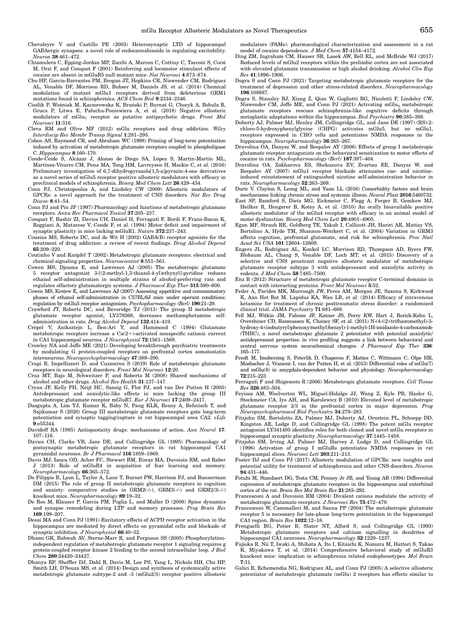- Chevaleyre V and Castillo PE (2003) Heterosynaptic LTD of hippocampal GABAergic synapses: a novel role of endocannabinoids in regulating excitability. Neuron 38:461–472.
- Chiamulera C, Epping-Jordan MP, Zocchi A, Marcon C, Cottiny C, Tacconi S, Corsi M, Orzi F, and Conquet F (2001) Reinforcing and locomotor stimulant effects of cocaine are absent in mGluR5 null mutant mice. Nat Neurosci 4:873–874.
- Cho HP, Garcia-Barrantes PM, Brogan JT, Hopkins CR, Niswender CM, Rodriguez AL, Venable DF, Morrison RD, Bubser M, Daniels JS, et al. (2014) Chemical modulation of mutant mGlu1 receptors derived from deleterious GRM1 mutations found in schizophrenics. ACS Chem Biol 9:2334–2346.
- Cieślik P, Woźniak M, Kaczorowska K, Brański P, Burnat G, Chocyk A, Bobula B, Gruca P, Litwa E, Pałucha-Poniewiera A, et al. (2018) Negative allosteric modulators of mGlu7 receptor as putative antipsychotic drugs. Front Mol Neurosci 11:316.
- Cleva RM and Olive MF (2012) mGlu receptors and drug addiction. Wiley Interdiscip Rev Membr Transp Signal 1:281–295.
- Cohen AS, Raymond CR, and Abraham WC (1998) Priming of long-term potentiation induced by activation of metabotropic glutamate receptors coupled to phospholipase C. Hippocampus 8:160–170.
- Conde-Ceide S, Alcázar J, Alonso de Diego SA, López S, Martín-Martín ML, Martínez-Viturro CM, Pena MA, Tong HM, Lavreysen H, Mackie C, et al. (2016) Preliminary investigation of 6,7-dihydropyrazolo[1,5-a]pyrazin-4-one derivatives as a novel series of mGlu5 receptor positive allosteric modulators with efficacy in preclinical models of schizophrenia. Bioorg Med Chem Lett 26:429–434.
- Conn PJ, Christopoulos A, and Lindsley CW (2009) Allosteric modulators of GPCRs: a novel approach for the treatment of CNS disorders. Nat Rev Drug Discov 8:41–54.
- Conn PJ and Pin JP (1997) Pharmacology and functions of metabotropic glutamate receptors. Annu Rev Pharmacol Toxicol 37:205–237.
- Conquet F, Bashir ZI, Davies CH, Daniel H, Ferraguti F, Bordi F, Franz-Bacon K, Reggiani A, Matarese V, Condé F, et al. (1994) Motor deficit and impairment of synaptic plasticity in mice lacking mGluR1. Nature 372:237-243.
- Cousins MS, Roberts DC, and de Wit H (2002) GABA(B) receptor agonists for the treatment of drug addiction: a review of recent findings. Drug Alcohol Depend 65:209–220.
- Coutinho V and Knöpfel T (2002) Metabotropic glutamate receptors: electrical and chemical signaling properties. Neuroscientist 8:551–561.
- Cowen MS, Djouma E, and Lawrence AJ (2005) The metabotropic glutamate 5 receptor antagonist 3-[(2-methyl-1,3-thiazol-4-yl)ethynyl]-pyridine reduces ethanol self-administration in multiple strains of alcohol-preferring rats and regulates olfactory glutamatergic systems. J Pharmacol Exp Ther 315:590–600.
- Cowen MS, Krstew E, and Lawrence AJ (2007) Assessing appetitive and consummatory phases of ethanol self-administration in C57BL/6J mice under operant conditions: regulation by mGlu5 receptor antagonism. Psychopharmacology (Berl) 190:21–29.
- Crawford JT, Roberts DC, and Beveridge TJ (2013) The group II metabotropic glutamate receptor agonist, LY379268, decreases methamphetamine selfadministration in rats. Drug Alcohol Depend 132:414–419.
- Crépel V, Aniksztejn L, Ben-Ari Y, and Hammond C (1994) Glutamate metabotropic receptors increase a  $Ca(2+)$ -activated nonspecific cationic current in CA1 hippocampal neurons. J Neurophysiol 72:1561–1569.
- Crowley NA and Joffe ME (2021) Developing breakthrough psychiatric treatments by modulating G protein-coupled receptors on prefrontal cortex somatostatin interneurons. Neuropsychopharmacology 47:389–390.
- Crupi R, Impellizzeri D, and Cuzzocrea S (2019) Role of metabotropic glutamate receptors in neurological disorders. Front Mol Neurosci 12:20.
- Cruz MT, Bajo M, Schweitzer P, and Roberto M (2008) Shared mechanisms of alcohol and other drugs. Alcohol Res Health 31:137–147.
- Cryan JF, Kelly PH, Neijt HC, Sansig G, Flor PJ, and van Der Putten H (2003) Antidepressant and anxiolytic-like effects in mice lacking the group III metabotropic glutamate receptor mGluR7. Eur J Neurosci 17:2409–2417.
- Dasgupta A, Lim YJ, Kumar K, Baby N, Pang KLK, Benoy A, Behnisch T, and Sajikumar S (2020) Group III metabotropic glutamate receptors gate long-term potentiation and synaptic tagging/capture in rat hippocampal area CA2. eLife 9:e55344.
- Davidoff RA (1985) Antispasticity drugs: mechanisms of action. Ann Neurol 17: 107–116.
- Davies CH, Clarke VR, Jane DE, and Collingridge GL (1995) Pharmacology of postsynaptic metabotropic glutamate receptors in rat hippocampal CA1 pyramidal neurones. Br J Pharmacol 116:1859–1869.
- Davis MJ, Iancu OD, Acher FC, Stewart BM, Eiwaz MA, Duvoisin RM, and Raber J (2013) Role of mGluR4 in acquisition of fear learning and memory. Neuropharmacology 66:365–372.
- De Filippis B, Lyon L, Taylor A, Lane T, Burnet PW, Harrison PJ, and Bannerman DM (2015) The role of group II metabotropic glutamate receptors in cognition and anxiety: comparative studies in GRM2(-/-), GRM3(-/-) and GRM2/3(-/-) knockout mice. Neuropharmacology 89:19–32.
- De Roo M, Klauser P, Garcia PM, Poglia L, and Muller D (2008) Spine dynamics and synapse remodeling during LTP and memory processes. Prog Brain Res 169:199–207.
- Desai MA and Conn PJ (1991) Excitatory effects of ACPD receptor activation in the hippocampus are mediated by direct effects on pyramidal cells and blockade of synaptic inhibition. J Neurophysiol 66:40-52.
- Dhami GK, Babwah AV, Sterne-Marr R, and Ferguson SS (2005) Phosphorylationindependent regulation of metabotropic glutamate receptor 1 signaling requires g protein-coupled receptor kinase 2 binding to the second intracellular loop. J Biol Chem 280:24420–24427.
- Dhanya RP, Sheffler DJ, Dahl R, Davis M, Lee PS, Yang L, Nickols HH, Cho HP, Smith LH, D'Souza MS, et al. (2014) Design and synthesis of systemically active metabotropic glutamate subtype-2 and -3 (mGlu2/3) receptor positive allosteric

modulators (PAMs): pharmacological characterization and assessment in a rat model of cocaine dependence. J Med Chem 57:4154–4172.

- Ding ZM, Ingraham CM, Hauser SR, Lasek AW, Bell RL, and McBride WJ (2017) Reduced levels of mGlu2 receptors within the prelimbic cortex are not associated with elevated glutamate transmission or high alcohol drinking. Alcohol Clin Exp Res 41:1896–1906.
- Dogra S and Conn PJ (2021) Targeting metabotropic glutamate receptors for the treatment of depression and other stress-related disorders. Neuropharmacology 196:108687.
- Dogra S, Stansley BJ, Xiang Z, Qian W, Gogliotti RG, Nicoletti F, Lindsley CW, Niswender CM, Joffe ME, and Conn PJ (2021) Activating mGlu<sub>3</sub> metabotropic glutamate receptors rescues schizophrenia-like cognitive deficits through metaplastic adaptations within the hippocampus. Biol Psychiatry 90:385–398.
- Doherty AJ, Palmer MJ, Henley JM, Collingridge GL, and Jane DE (1997) (RS)-2 chloro-5-hydroxyphenylglycine (CHPG) activates mGlu5, but no mGlu1, receptors expressed in CHO cells and potentiates NMDA responses in the hippocampus. Neuropharmacology 36:265–267.
- Dravolina OA, Danysz W, and Bespalov AY (2006) Effects of group I metabotropic glutamate receptor antagonists on the behavioral sensitization to motor effects of cocaine in rats. Psychopharmacology (Berl) 187:397–404.
- Dravolina OA, Zakharova ES, Shekunova EV, Zvartau EE, Danysz W, and Bespalov AY (2007) mGlu1 receptor blockade attenuates cue- and nicotineinduced reinstatement of extinguished nicotine self-administration behavior in rats. Neuropharmacology 52:263–269.
- Duric V, Clayton S, Leong ML, and Yuan LL (2016) Comorbidity factors and brain mechanisms linking chronic stress and systemic illness. Neural Plast 2016:5460732.
- East SP, Bamford S, Dietz MG, Eickmeier C, Flegg A, Ferger B, Gemkow MJ, Heilker R, Hengerer B, Kotey A, et al. (2010) An orally bioavailable positive allosteric modulator of the mGlu4 receptor with efficacy in an animal model of motor dysfunction. Bioorg Med Chem Lett 20:4901–4905.
- Egan MF, Straub RE, Goldberg TE, Yakub I, Callicott JH, Hariri AR, Mattay VS, Bertolino A, Hyde TM, Shannon-Weickert C, et al. (2004) Variation in GRM3 affects cognition, prefrontal glutamate, and risk for schizophrenia. Proc Natl Acad Sci USA 101:12604–12609.
- Engers JL, Rodriguez AL, Konkol LC, Morrison RD, Thompson AD, Byers FW, Blobaum AL, Chang S, Venable DF, Loch MT, et al. (2015) Discovery of a selective and CNS penetrant negative allosteric modulator of metabotropic glutamate receptor subtype 3 with antidepressant and anxiolytic activity in rodents. J Med Chem 58:7485–7500.
- Enz R (2012) Structure of metabotropic glutamate receptor C-terminal domains in contact with interacting proteins. Front Mol Neurosci 5:52.
- Feder A, Parides MK, Murrough JW, Perez AM, Morgan JE, Saxena S, Kirkwood K, Aan Het Rot M, Lapidus KA, Wan LB, et al. (2014) Efficacy of intravenous ketamine for treatment of chronic posttraumatic stress disorder: a randomized clinical trial. JAMA Psychiatry 71:681–688.
- Fell MJ, Witkin JM, Falcone JF, Katner JS, Perry KW, Hart J, Rorick-Kehn L, Overshiner CD, Rasmussen K, Chaney SF, et al. (2011) N-(4-((2-(trifluoromethyl)-3 hydroxy-4-(isobutyryl)phenoxy)methyl)benzyl)-1-methyl-1H-imidazole-4-carboxamide (THIIC), a novel metabotropic glutamate 2 potentiator with potential anxiolytic/ antidepressant properties: in vivo profiling suggests a link between behavioral and central nervous system neurochemical changes. J Pharmacol Exp Ther 336: 165–177.
- Fendt M, Imobersteg S, Peterlik D, Chaperon F, Mattes C, Wittmann C, Olpe HR, Mosbacher J, Vranesic I, van der Putten H, et al. (2013) Differential roles of mGlu(7) and mGlu(8) in amygdala-dependent behavior and physiology. Neuropharmacology 72:215–223.
- Ferraguti F and Shigemoto R (2006) Metabotropic glutamate receptors. Cell Tissue Res 326:483–504.
- Feyissa AM, Woolverton WL, Miguel-Hidalgo JJ, Wang Z, Kyle PB, Hasler G, Stockmeier CA, Iyo AH, and Karolewicz B (2010) Elevated level of metabotropic glutamate receptor 2/3 in the prefrontal cortex in major depression. Prog Neuropsychopharmacol Biol Psychiatry 34:279–283.
- Fitzjohn SM, Bortolotto ZA, Palmer MJ, Doherty AJ, Ornstein PL, Schoepp DD, Kingston AE, Lodge D, and Collingridge GL (1998) The potent mGlu receptor antagonist LY341495 identifies roles for both cloned and novel mGlu receptors in hippocampal synaptic plasticity. Neuropharmacology 37:1445–1458.
- Fitzjohn SM, Irving AJ, Palmer MJ, Harvey J, Lodge D, and Collingridge GL (1996) Activation of group I mGluRs potentiates NMDA responses in rat hippocampal slices. Neurosci Lett 203:211-213.
- Foster DJ and Conn PJ (2017) Allosteric modulation of GPCRs: new insights and potential utility for treatment of schizophrenia and other CNS disorders. Neuron 94:431–446.
- Fotuhi M, Standaert DG, Testa CM, Penney Jr JB, and Young AB (1994) Differential expression of metabotropic glutamate receptors in the hippocampus and entorhinal cortex of the rat. Brain Res Mol Brain Res 21:283–292.
- Francesconi A and Duvoisin RM (2004) Divalent cations modulate the activity of metabotropic glutamate receptors. J Neurosci Res 75:472–479.
- Francesconi W, Cammalleri M, and Sanna PP (2004) The metabotropic glutamate receptor 5 is necessary for late-phase long-term potentiation in the hippocampal CA1 region. Brain Res 1022:12–18.
- Frenguelli BG, Potier B, Slater NT, Alford S, and Collingridge GL (1993) Metabotropic glutamate receptors and calcium signalling in dendrites of hippocampal CA1 neurones. Neuropharmacology 32:1229–1237.
- Fujioka R, Nii T, Iwaki A, Shibata A, Ito I, Kitaichi K, Nomura M, Hattori S, Takao K, Miyakawa T, et al. (2014) Comprehensive behavioral study of mGluR3 knockout mice: implication in schizophrenia related endophenotypes. Mol Brain 7:31.
- Galici R, Echemendia NG, Rodriguez AL, and Conn PJ (2005) A selective allosteric potentiator of metabotropic glutamate (mGlu) 2 receptors has effects similar to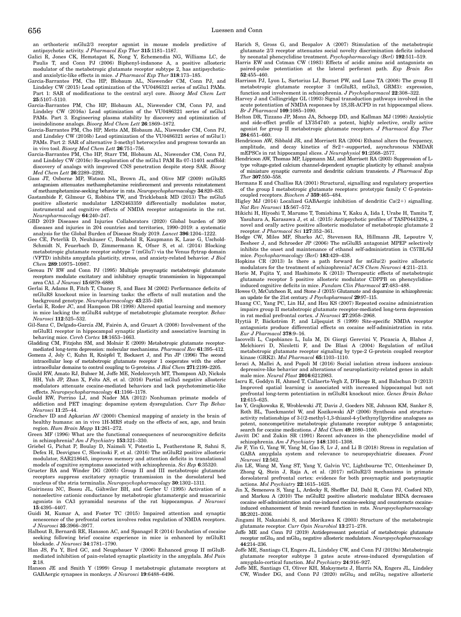an orthosteric mGlu2/3 receptor agonist in mouse models predictive of antipsychotic activity. J Pharmacol Exp Ther 315:1181–1187.

- Galici R, Jones CK, Hemstapat K, Nong Y, Echemendia NG, Williams LC, de Paulis T, and Conn PJ (2006) Biphenyl-indanone A, a positive allosteric modulator of the metabotropic glutamate receptor subtype 2, has antipsychoticand anxiolytic-like effects in mice. J Pharmacol Exp Ther 318:173–185.
- Garcia-Barrantes PM, Cho HP, Blobaum AL, Niswender CM, Conn PJ, and Lindsley CW (2015) Lead optimization of the VU0486321 series of mGlu1 PAMs. Part 1: SAR of modifications to the central aryl core. Bioorg Med Chem Lett 25:5107–5110.
- Garcia-Barrantes PM, Cho HP, Blobaum AL, Niswender CM, Conn PJ, and Lindsley CW (2016a) Lead optimization of the VU0486321 series of mGlu1 PAMs. Part 3. Engineering plasma stability by discovery and optimization of isoindolinone analogs. Bioorg Med Chem Lett 26:1869–1872.
- Garcia-Barrantes PM, Cho HP, Metts AM, Blobaum AL, Niswender CM, Conn PJ, and Lindsley CW (2016b) Lead optimization of the VU0486321 series of mGlu(1) PAMs. Part 2: SAR of alternative 3-methyl heterocycles and progress towards an in vivo tool. Bioorg Med Chem Lett 26:751–756.
- Garcia-Barrantes PM, Cho HP, Starr TM, Blobaum AL, Niswender CM, Conn PJ, and Lindsley CW (2016c) Re-exploration of the mGlu1 PAM Ro 07-11401 scaffold: discovery of analogs with improved CNS penetration despite steep SAR. Bioorg Med Chem Lett 26:2289–2292.
- Gass JT, Osborne MP, Watson NL, Brown JL, and Olive MF (2009) mGluR5 antagonism attenuates methamphetamine reinforcement and prevents reinstatement of methamphetamine-seeking behavior in rats. Neuropsychopharmacology 34:820–833.
- Gastambide F, Gilmour G, Robbins TW, and Tricklebank MD (2013) The mGlu5 positive allosteric modulator LSN2463359 differentially modulates motor, instrumental and cognitive effects of NMDA receptor antagonists in the rat. Neuropharmacology 64:240–247.
- GBD 2019 Diseases and Injuries Collaborators (2020) Global burden of 369 diseases and injuries in 204 countries and territories, 1990–2019: a systematic analysis for the Global Burden of Disease Study 2019. Lancet 396:1204–1222.
- Gee CE, Peterlik D, Neuhäuser C, Bouhelal R, Kaupmann K, Laue G, Uschold-Schmidt N, Feuerbach D, Zimmermann K, Ofner S, et al. (2014) Blocking metabotropic glutamate receptor subtype 7 (mGlu7) via the Venus flytrap domain (VFTD) inhibits amygdala plasticity, stress, and anxiety-related behavior. J Biol Chem 289:10975–10987.
- Gereau IV RW and Conn PJ (1995) Multiple presynaptic metabotropic glutamate receptors modulate excitatory and inhibitory synaptic transmission in hippocampal area CA1. J Neurosci 15:6879–6889.
- Gerlai R, Adams B, Fitch T, Chaney S, and Baez M (2002) Performance deficits of mGluR8 knockout mice in learning tasks: the effects of null mutation and the background genotype. Neuropharmacology 43:235–249.
- Gerlai R, Roder JC, and Hampson DR (1998) Altered spatial learning and memory in mice lacking the mGluR4 subtype of metabotropic glutamate receptor. Behav Neurosci 112:525–532.
- Gil-Sanz C, Delgado-García JM, Fairén A, and Gruart A (2008) Involvement of the mGluR1 receptor in hippocampal synaptic plasticity and associative learning in behaving mice. Cereb Cortex 18:1653–1663.
- Gladding CM, Fitzjohn SM, and Molnár E (2009) Metabotropic glutamate receptormediated long-term depression: molecular mechanisms. Pharmacol Rev 61:395–412.
- Gomeza J, Joly C, Kuhn R, Knöpfel T, Bockaert J, and Pin JP (1996) The second intracellular loop of metabotropic glutamate receptor 1 cooperates with the other intracellular domains to control coupling to G-proteins. J Biol Chem 271:2199–2205.
- Gould RW, Amato RJ, Bubser M, Joffe ME, Nedelcovych MT, Thompson AD, Nickols HH, Yuh JP, Zhan X, Felts AS, et al. (2016) Partial mGlu5 negative allosteric modulators attenuate cocaine-mediated behaviors and lack psychotomimetic-like effects. Neuropsychopharmacology 41:1166–1178.
- Gould RW, Porrino LJ, and Nader MA (2012) Nonhuman primate models of addiction and PET imaging: dopamine system dysregulation. Curr Top Behav Neurosci 11:25–44.
- Grachev ID and Apkarian AV (2000) Chemical mapping of anxiety in the brain of healthy humans: an in vivo 1H-MRS study on the effects of sex, age, and brain region. Hum Brain Mapp 11:261–272.
- Green MF (1996) What are the functional consequences of neurocognitive deficits in schizophrenia?  $Am\,J$  Psychiatry 153:321-330.
- Griebel G, Pichat P, Boulay D, Naimoli V, Potestio L, Featherstone R, Sahni S, Defex H, Desvignes C, Slowinski F, et al. (2016) The mGluR2 positive allosteric modulator, SAR218645, improves memory and attention deficits in translational models of cognitive symptoms associated with schizophrenia. Sci Rep 6:35320.
- Grueter BA and Winder DG (2005) Group II and III metabotropic glutamate receptors suppress excitatory synaptic transmission in the dorsolateral bed nucleus of the stria terminalis. Neuropsychopharmacology 30:1302–1311.
- Guérineau NC, Bossu JL, Gähwiler BH, and Gerber U (1995) Activation of a nonselective cationic conductance by metabotropic glutamatergic and muscarinic agonists in CA3 pyramidal neurons of the rat hippocampus. J Neurosci 15:4395–4407.
- Guidi M, Kumar A, and Foster TC (2015) Impaired attention and synaptic senescence of the prefrontal cortex involves redox regulation of NMDA receptors. J Neurosci 35:3966–3977.
- Halbout B, Bernardi RE, Hansson AC, and Spanagel R (2014) Incubation of cocaine seeking following brief cocaine experience in mice is enhanced by mGluR1 blockade. J Neurosci 34:1781–1790.
- Han JS, Fu Y, Bird GC, and Neugebauer V (2006) Enhanced group II mGluRmediated inhibition of pain-related synaptic plasticity in the amygdala. Mol Pain 2:18.
- Hanson JE and Smith Y (1999) Group I metabotropic glutamate receptors at GABAergic synapses in monkeys. J Neurosci 19:6488–6496.
- Harich S, Gross G, and Bespalov A (2007) Stimulation of the metabotropic glutamate 2/3 receptor attenuates social novelty discrimination deficits induced by neonatal phencyclidine treatment. Psychopharmacology (Berl) 192:511–519.
- Harris EW and Cotman CW (1983) Effects of acidic amino acid antagonists on paired-pulse potentiation at the lateral perforant path. Exp Brain Res 52:455–460.
- Harrison PJ, Lyon L, Sartorius LJ, Burnet PW, and Lane TA (2008) The group II metabotropic glutamate receptor 3 (mGluR3, mGlu3, GRM3): expression, function and involvement in schizophrenia. J Psychopharmacol 22:308–322.
- Harvey J and Collingridge GL (1993) Signal transduction pathways involved in the acute potentiation of NMDA responses by 1S,3R-ACPD in rat hippocampal slices. Br J Pharmacol 109:1085–1090.
- Helton DR, Tizzano JP, Monn JA, Schoepp DD, and Kallman MJ (1998) Anxiolytic and side-effect profile of LY354740: a potent, highly selective, orally active agonist for group II metabotropic glutamate receptors. J Pharmacol Exp Ther 284:651–660.
- Hendricson AW, Sibbald JR, and Morrisett RA (2004) Ethanol alters the frequency, amplitude, and decay kinetics of Sr2+-supported, asynchronous NMDAR mEPSCs in rat hippocampal slices. J Neurophysiol 91:2568–2577.
- Hendricson AW, Thomas MP, Lippmann MJ, and Morrisett RA (2003) Suppression of Ltype voltage-gated calcium channel-dependent synaptic plasticity by ethanol: analysis of miniature synaptic currents and dendritic calcium transients. J Pharmacol Exp Ther 307:550–558.
- Hermans E and Challiss RA (2001) Structural, signalling and regulatory properties of the group I metabotropic glutamate receptors: prototypic family C G-proteincoupled receptors. Biochem J 359:465–484.
- Higley MJ (2014) Localized GABAergic inhibition of dendritic Ca(2+) signalling. Nat Rev Neurosci 15:567–572.
- Hikichi H, Hiyoshi T, Marumo T, Tomishima Y, Kaku A, Iida I, Urabe H, Tamita T, Yasuhara A, Karasawa J, et al. (2015) Antipsychotic profiles of TASP0443294, a novel and orally active positive allosteric modulator of metabotropic glutamate 2 receptor. J Pharmacol Sci 127:352–361.
- Hodge CW, Miles MF, Sharko AC, Stevenson RA, Hillmann JR, Lepoutre V, Besheer J, and Schroeder JP (2006) The mGluR5 antagonist MPEP selectively inhibits the onset and maintenance of ethanol self-administration in C57BL/6J mice. Psychopharmacology (Berl) 183:429–438.
- Hopkins CR (2013) Is there a path forward for mGlu(2) positive allosteric modulators for the treatment of schizophrenia? ACS Chem Neurosci 4:211–213.
- Horio M, Fujita Y, and Hashimoto K (2013) Therapeutic effects of metabotropic glutamate receptor 5 positive allosteric modulator CDPPB on phencyclidineinduced cognitive deficits in mice. Fundam Clin Pharmacol 27:483–488.
- Howes O, McCutcheon R, and Stone J (2015) Glutamate and dopamine in schizophrenia: an update for the 21st century. J Psychopharmacol 29:97–115.
- Huang CC, Yang PC, Lin HJ, and Hsu KS (2007) Repeated cocaine administration impairs group II metabotropic glutamate receptor-mediated long-term depression in rat medial prefrontal cortex. J Neurosci 27:2958–2968.
- Hyytiä P, Bäckström P, and Liljequist S (1999) Site-specific NMDA receptor antagonists produce differential effects on cocaine self-administration in rats. Eur J Pharmacol 378:9–16.
- Iacovelli L, Capobianco L, Iula M, Di Giorgi Gerevini V, Picascia A, Blahos J, Melchiorri D, Nicoletti F, and De Blasi A (2004) Regulation of mGlu4 metabotropic glutamate receptor signaling by type-2 G-protein coupled receptor kinase (GRK2). Mol Pharmacol  $65:1103-1110$ .
- Ieraci A, Mallei A, and Popoli M (2016) Social isolation stress induces anxiousdepressive-like behavior and alterations of neuroplasticity-related genes in adult male mice. Neural Plast 2016:6212983.
- Iscru E, Goddyn H, Ahmed T, Callaerts-Vegh Z, D'Hooge R, and Balschun D (2013) Improved spatial learning is associated with increased hippocampal but not prefrontal long-term potentiation in mGluR4 knockout mice. Genes Brain Behav 12:615–625.
- Iso Y, Grajkowska E, Wroblewski JT, Davis J, Goeders NE, Johnson KM, Sanker S, Roth BL, Tueckmantel W, and Kozikowski AP (2006) Synthesis and structureactivity relationships of 3-[(2-methyl-1,3-thiazol-4-yl)ethynyl]pyridine analogues as potent, noncompetitive metabotropic glutamate receptor subtype 5 antagonists; search for cocaine medications. J Med Chem  $49:1080-1100$ .
- Javitt DC and Zukin SR (1991) Recent advances in the phencyclidine model of schizophrenia. Am J Psychiatry 148:1301–1308.
- Jie F, Yin G, Yang W, Yang M, Gao S, Lv J, and Li B (2018) Stress in regulation of GABA amygdala system and relevance to neuropsychiatric diseases. Front Neurosci 12:562.
- Jin LE, Wang M, Yang ST, Yang Y, Galvin VC, Lightbourne TC, Ottenheimer D, Zhong Q, Stein J, Raja A, et al. (2017) mGluR2/3 mechanisms in primate dorsolateral prefrontal cortex: evidence for both presynaptic and postsynaptic actions. Mol Psychiatry 22:1615–1625.
- Jin X, Semenova S, Yang L, Ardecky R, Sheffler DJ, Dahl R, Conn PJ, Cosford ND, and Markou A (2010) The mGluR2 positive allosteric modulator BINA decreases cocaine self-administration and cue-induced cocaine-seeking and counteracts cocaineinduced enhancement of brain reward function in rats. Neuropsychopharmacology 35:2021–2036.
- Jingami H, Nakanishi S, and Morikawa K (2003) Structure of the metabotropic glutamate receptor. Curr Opin Neurobiol 13:271–278.
- Joffe ME and Conn PJ (2019) Antidepressant potential of metabotropic glutamate receptor  $\rm mGlu_{2}$  and  $\rm mGlu_{3}$  negative allosteric modulators.  $Neuropsychopharmacology$ 44:214–236.
- Joffe ME, Santiago CI, Engers JL, Lindsley CW, and Conn PJ (2019a) Metabotropic glutamate receptor subtype 3 gates acute stress-induced dysregulation of amygdalo-cortical function. Mol Psychiatry 24:916–927.
- Joffe ME, Santiago CI, Oliver KH, Maksymetz J, Harris NA, Engers JL, Lindsley CW, Winder DG, and Conn PJ (2020) mGlu<sub>2</sub> and mGlu<sub>3</sub> negative allosteric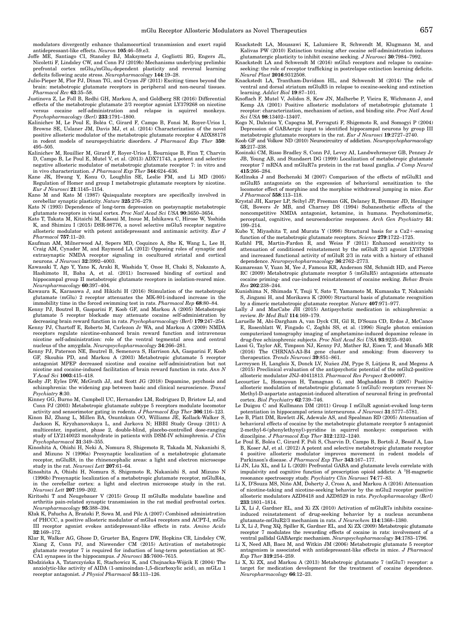modulators divergently enhance thalamocortical transmission and exert rapid antidepressant-like effects. Neuron 105:46–59.e3.

- Joffe ME, Santiago CI, Stansley BJ, Maksymetz J, Gogliotti RG, Engers JL, Nicoletti F, Lindsley CW, and Conn PJ (2019b) Mechanisms underlying prelimbic prefrontal cortex  $mGlu<sub>3</sub>/mGlu<sub>5</sub>$ -dependent plasticity and reversal learning deficits following acute stress. Neuropharmacology 144:19–28.
- Julio-Pieper M, Flor PJ, Dinan TG, and Cryan JF (2011) Exciting times beyond the brain: metabotropic glutamate receptors in peripheral and non-neural tissues. Pharmacol Rev 63:35-58.
- Justinova Z, Le Foll B, Redhi GH, Markou A, and Goldberg SR (2016) Differential effects of the metabotropic glutamate  $2/3$  receptor agonist LY379268 on nicotine versus cocaine self-administration and relapse in squirrel monkeys.  $\,$  versus  $\,$  cocaine  $\,$  self-administration  $\,$  and  $\,$ Psychopharmacology (Berl) 233:1791–1800.
- Kalinichev M, Le Poul E, Boléa C, Girard F, Campo B, Fonsi M, Royer-Urios I, Browne SE, Uslaner JM, Davis MJ, et al. (2014) Characterization of the novel positive allosteric modulator of the metabotropic glutamate receptor 4 ADX88178 in rodent models of neuropsychiatric disorders. J Pharmacol Exp Ther 350: 495–505.
- Kalinichev M, Rouillier M, Girard F, Royer-Urios I, Bournique B, Finn T, Charvin D, Campo B, Le Poul E, Mutel V, et al. (2013) ADX71743, a potent and selective negative allosteric modulator of metabotropic glutamate receptor 7: in vitro and in vivo characterization. J Pharmacol Exp Ther 344:624-636.
- Kane JK, Hwang Y, Konu O, Loughlin SE, Leslie FM, and Li MD (2005) Regulation of Homer and group I metabotropic glutamate receptors by nicotine. Eur J Neurosci 21:1145–1154.
- Kano M and Kato M (1987) Quisqualate receptors are specifically involved in cerebellar synaptic plasticity. Nature 325:276–279.
- Kato N (1993) Dependence of long-term depression on postsynaptic metabotropic glutamate receptors in visual cortex. Proc Natl Acad Sci USA 90:3650–3654.
- Kato T, Takata M, Kitaichi M, Kassai M, Inoue M, Ishikawa C, Hirose W, Yoshida K, and Shimizu I (2015) DSR-98776, a novel selective mGlu5 receptor negative allosteric modulator with potent antidepressant and antimanic activity. Eur J Pharmacol 757:11–20.
- Kaufman AM, Milnerwood AJ, Sepers MD, Coquinco A, She K, Wang L, Lee H, Craig AM, Cynader M, and Raymond LA (2012) Opposing roles of synaptic and extrasynaptic NMDA receptor signaling in cocultured striatal and cortical neurons. J Neurosci 32:3992-4003.
- Kawasaki T, Ago Y, Yano K, Araki R, Washida Y, Onoe H, Chaki S, Nakazato A, Hashimoto H, Baba A, et al. (2011) Increased binding of cortical and hippocampal group II metabotropic glutamate receptors in isolation-reared mice. Neuropharmacology 60:397–404.
- Kawaura K, Karasawa J, and Hikichi H (2016) Stimulation of the metabotropic glutamate (mGlu) 2 receptor attenuates the MK-801-induced increase in the immobility time in the forced swimming test in rats. Pharmacol Rep 68:80–84.
- Kenny PJ, Boutrel B, Gasparini F, Koob GF, and Markou A (2005) Metabotropic glutamate 5 receptor blockade may attenuate cocaine self-administration by decreasing brain reward function in rats. Psychopharmacology (Berl) 179:247–254.
- Kenny PJ, Chartoff E, Roberto M, Carlezon Jr WA, and Markou A (2009) NMDA receptors regulate nicotine-enhanced brain reward function and intravenous nicotine self-administration: role of the ventral tegmental area and central nucleus of the amygdala. Neuropsychopharmacology 34:266–281.
- Kenny PJ, Paterson NE, Boutrel B, Semenova S, Harrison AA, Gasparini F, Koob Skoubis PD, and Markou A (2003) Metabotropic glutamate 5 receptor antagonist MPEP decreased nicotine and cocaine self-administration but not nicotine and cocaine-induced facilitation of brain reward function in rats. Ann N Y Acad Sci 1003:415–418.
- Kesby JP, Eyles DW, McGrath JJ, and Scott JG (2018) Dopamine, psychosis and schizophrenia: the widening gap between basic and clinical neuroscience. Transl Psychiatry 8:30.
- Kinney GG, Burno M, Campbell UC, Hernandez LM, Rodriguez D, Bristow LJ, and Conn PJ (2003) Metabotropic glutamate subtype 5 receptors modulate locomotor activity and sensorimotor gating in rodents. J Pharmacol Exp Ther 306:116-123.
- Kinon BJ, Zhang L, Millen BA, Osuntokun OO, Williams JE, Kollack-Walker S, Jackson K, Kryzhanovskaya L, and Jarkova N; HBBI Study Group (2011) A multicenter, inpatient, phase 2, double-blind, placebo-controlled dose-ranging study of LY2140023 monohydrate in patients with DSM-IV schizophrenia.  $J$  Clin Psychopharmacol 31:349–355.
- Kinoshita A, Ohishi H, Neki A, Nomura S, Shigemoto R, Takada M, Nakanishi S, and Mizuno N (1996a) Presynaptic localization of a metabotropic glutamate receptor, mGluR8, in the rhinencephalic areas: a light and electron microscope study in the rat. Neurosci Lett 207:61-64.
- Kinoshita A, Ohishi H, Nomura S, Shigemoto R, Nakanishi S, and Mizuno N (1996b) Presynaptic localization of a metabotropic glutamate receptor, mGluR4a, in the cerebellar cortex: a light and electron microscope study in the rat. Neurosci Lett 207:199–202.
- Kiritoshi T and Neugebauer V (2015) Group II mGluRs modulate baseline and arthritis pain-related synaptic transmission in the rat medial prefrontal cortex. Neuropharmacology 95:388–394.
- Kłak K, Pałucha A, Branski P, Sowa M, and Pilc A (2007) Combined administration of PHCCC, a positive allosteric modulator of mGlu4 receptors and ACPT-I, mGlu III receptor agonist evokes antidepressant-like effects in rats. Amino Acids 32:169–172.
- Klar R, Walker AG, Ghose D, Grueter BA, Engers DW, Hopkins CR, Lindsley CW, Xiang Z, Conn PJ, and Niswender CM (2015) Activation of metabotropic glutamate receptor 7 is required for induction of long-term potentiation at SC-CA1 synapses in the hippocampus. J Neurosci 35:7600–7615.
- Kłodzińska A, Tatarczyńska E, Stachowicz K, and Chojnacka-Wójcik E (2004) The anxiolytic-like activity of AIDA (1-aminoindan-1,5-dicarboxylic acid), an mGLu 1 receptor antagonist. J Physiol Pharmacol 55:113–126.
- Knackstedt LA, Moussawi K, Lalumiere R, Schwendt M, Klugmann M, and Kalivas PW (2010) Extinction training after cocaine self-administration induces glutamatergic plasticity to inhibit cocaine seeking. J Neurosci 30:7984–7992.
- Knackstedt LA and Schwendt M (2016) mGlu5 receptors and relapse to cocaineseeking: the role of receptor trafficking in postrelapse extinction learning deficits. Neural Plast 2016:9312508.
- Knackstedt LA, Trantham-Davidson HL, and Schwendt M (2014) The role of ventral and dorsal striatum mGluR5 in relapse to cocaine-seeking and extinction learning. Addict Biol 19:87–101.
- Knoflach F, Mutel V, Jolidon S, Kew JN, Malherbe P, Vieira E, Wichmann J, and Kemp JA (2001) Positive allosteric modulators of metabotropic glutamate 1 receptor: characterization, mechanism of action, and binding site. Proc Natl Acad Sci USA 98:13402–13407.
- Kogo N, Dalezios Y, Capogna M, Ferraguti F, Shigemoto R, and Somogyi P (2004) Depression of GABAergic input to identified hippocampal neurons by group III metabotropic glutamate receptors in the rat. Eur J Neurosci 19:2727–2740.
- Koob GF and Volkow ND (2010) Neurocircuitry of addiction. Neuropsychopharmacology 35:217–238.
- Kosinski CM, Risso Bradley S, Conn PJ, Levey AI, Landwehrmeyer GB, Penney Jr JB, Young AB, and Standaert DG (1999) Localization of metabotropic glutamate receptor  $\overline{7}$  mRNA and mGluR7a protein in the rat basal ganglia. J Comp Neurol 415:266–284.
- Kotlinska J and Bochenski M (2007) Comparison of the effects of mGluR1 and mGluR5 antagonists on the expression of behavioral sensitization to the locomotor effect of morphine and the morphine withdrawal jumping in mice. Eur J Pharmacol 558:113–118.
- Krystal JH, Karper LP, Seibyl JP, Freeman GK, Delaney R, Bremner JD, Heninger GR, Bowers Jr MB, and Charney DS (1994) Subanesthetic effects of the noncompetitive NMDA antagonist, ketamine, in humans. Psychotomimetic, perceptual, cognitive, and neuroendocrine responses. Arch Gen Psychiatry 51: 199–214.
- Kubo Y, Miyashita T, and Murata Y (1998) Structural basis for a  $Ca2+$ -sensing function of the metabotropic glutamate receptors. Science 279:1722–1725. Kufahl PR, Martin-Fardon R, and Weiss F (2011) Enhanced sensitivity to
- attenuation of conditioned reinstatement by the mGluR 2/3 agonist LY379268 and increased functional activity of mGluR 2/3 in rats with a history of ethanol dependence. Neuropsychopharmacology 36:2762–2773.
- Kumaresan V, Yuan M, Yee J, Famous KR, Anderson SM, Schmidt HD, and Pierce RC (2009) Metabotropic glutamate receptor 5 (mGluR5) antagonists attenuate cocaine priming- and cue-induced reinstatement of cocaine seeking. Behav Brain Res 202:238–244.
- Kunishima N, Shimada Y, Tsuji Y, Sato T, Yamamoto M, Kumasaka T, Nakanishi S, Jingami H, and Morikawa K (2000) Structural basis of glutamate recognition by a dimeric metabotropic glutamate receptor. Nature 407:971–977.
- Lally J and MacCabe JH (2015) Antipsychotic medication in schizophrenia: a review. Br Med Bull 114:169–179.
- Laruelle M, Abi-Dargham A, van Dyck CH, Gil R, D'Souza CD, Erdos J, McCance E, Rosenblatt W, Fingado C, Zoghbi SS, et al. (1996) Single photon emission computerized tomography imaging of amphetamine-induced dopamine release in drug-free schizophrenic subjects. Proc Natl Acad Sci USA 93:9235-9240.
- Lassi G, Taylor AE, Timpson NJ, Kenny PJ, Mather RJ, Eisen T, and Munafo MR (2016) The CHRNA5-A3-B4 gene cluster and smoking: from discovery to therapeutics. Trends Neurosci 39:851–861.
- Lavreysen H, Langlois X, Donck LV, Nuñez JM, Pype S, Lütjens R, and Megens A (2015) Preclinical evaluation of the antipsychotic potential of the mGlu2-positive allosteric modulator JNJ-40411813. Pharmacol Res Perspect 3:e00097.
- Lecourtier L, Homayoun H, Tamagnan G, and Moghaddam B (2007) Positive allosteric modulation of metabotropic glutamate 5 (mGlu5) receptors reverses N-Methyl-D-aspartate antagonist-induced alteration of neuronal firing in prefrontal cortex. Biol Psychiatry 62:739–746.
- Le Duigou C and Kullmann DM (2011) Group I mGluR agonist-evoked long-term potentiation in hippocampal oriens interneurons. J Neurosci 31:5777–5781.
- Lee B, Platt DM, Rowlett JK, Adewale AS, and Spealman RD (2005) Attenuation of behavioral effects of cocaine by the metabotropic glutamate receptor 5 antagonist 2-methyl-6-(phenylethynyl)-pyridine in squirrel monkeys: comparison with dizocilpine. J Pharmacol Exp Ther 312:1232–1240.
- Le Poul E, Boléa C, Girard F, Poli S, Charvin D, Campo B, Bortoli J, Bessif A, Luo B, Koser AJ, et al. (2012) A potent and selective metabotropic glutamate receptor 4 positive allosteric modulator improves movement in rodent models of Parkinson's disease. J Pharmacol Exp Ther 343:167–177.
- Li JN, Liu XL, and Li L (2020) Prefrontal GABA and glutamate levels correlate with impulsivity and cognitive function of prescription opioid addicts: A <sup>1</sup> H-magnetic resonance spectroscopy study. Psychiatry Clin Neurosci 74:77–83.
- Li X, D'Souza MS, Nino AM, Doherty J, Cross A, and Markou A (2016) Attenuation ~ of nicotine-taking and nicotine-seeking behavior by the mGlu2 receptor positive allosteric modulators AZD8418 and AZD8529 in rats. Psychopharmacology (Berl) 233:1801–1814.
- Li X, Li J, Gardner EL, and Xi ZX (2010) Activation of mGluR7s inhibits cocaineinduced reinstatement of drug-seeking behavior by a nucleus accumbens glutamate-mGluR2/3 mechanism in rats. J Neurochem 114:1368–1380.
- Li X, Li J, Peng XQ, Spiller K, Gardner EL, and Xi ZX (2009) Metabotropic glutamate receptor 7 modulates the rewarding effects of cocaine in rats: involvement of a ventral pallidal GABAergic mechanism. Neuropsychopharmacology 34:1783–1796.
- Li X, Need AB, Baez M, and Witkin JM (2006) Metabotropic glutamate 5 receptor antagonism is associated with antidepressant-like effects in mice. J Pharmacol Exp Ther 319:254–259.
- Li X, Xi ZX, and Markou A (2013) Metabotropic glutamate 7 (mGlu7) receptor: a target for medication development for the treatment of cocaine dependence. Neuropharmacology 66:12–23.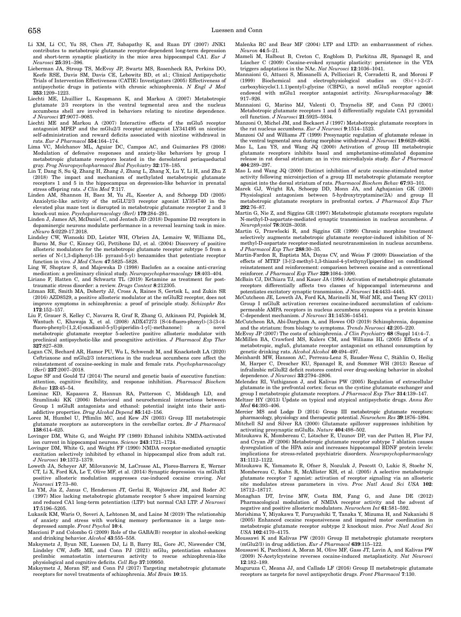Li XM, Li CC, Yu SS, Chen JT, Sabapathy K, and Ruan DY (2007) JNK1 contributes to metabotropic glutamate receptor-dependent long-term depression and short-term synaptic plasticity in the mice area hippocampal CA1. Eur J Neurosci 25:391–396.

- Lieberman JA, Stroup TS, McEvoy JP, Swartz MS, Rosenheck RA, Perkins DO, Keefe RSE, Davis SM, Davis CE, Lebowitz BD, et al.; Clinical Antipsychotic Trials of Intervention Effectiveness (CATIE) Investigators (2005) Effectiveness of antipsychotic drugs in patients with chronic schizophrenia. N Engl J Med 353:1209–1223.
- Liechti ME, Lhuillier L, Kaupmann K, and Markou A (2007) Metabotropic glutamate 2/3 receptors in the ventral tegmental area and the nucleus accumbens shell are involved in behaviors relating to nicotine dependence. J Neurosci 27:9077–9085.
- Liechti ME and Markou A (2007) Interactive effects of the mGlu5 receptor antagonist MPEP and the mGlu2/3 receptor antagonist LY341495 on nicotine self-administration and reward deficits associated with nicotine withdrawal in rats. Eur J Pharmacol 554:164–174.
- Lima VC, Molchanov ML, Aguiar DC, Campos AC, and Guimarães FS (2008) Modulation of defensive responses and anxiety-like behaviors by group I metabotropic glutamate receptors located in the dorsolateral periaqueductal gray. Prog Neuropsychopharmacol Biol Psychiatry 32:178–185.
- Lin T, Dang S, Su Q, Zhang H, Zhang J, Zhang L, Zhang X, Lu Y, Li H, and Zhu Z (2018) The impact and mechanism of methylated metabotropic glutamate receptors 1 and 5 in the hippocampus on depression-like behavior in prenatal stress offspring rats. J Clin Med 7:117.
- Linden AM, Shannon H, Baez M, Yu JL, Koester A, and Schoepp DD (2005) Anxiolytic-like activity of the mGLU2/3 receptor agonist LY354740 in the elevated plus maze test is disrupted in metabotropic glutamate receptor 2 and 3 knock-out mice. Psychopharmacology (Berl) 179:284–291.
- Linden J, James AS, McDaniel C, and Jentsch JD (2018) Dopamine D2 receptors in dopaminergic neurons modulate performance in a reversal learning task in mice. eNeuro 5:0229-17.2018.
- Lindsley CW, Wisnoski DD, Leister WH, O'brien JA, Lemaire W, Williams DL, Burno M, Sur C, Kinney GG, Pettibone DJ, et al. (2004) Discovery of positive allosteric modulators for the metabotropic glutamate receptor subtype 5 from a series of N-(1,3-diphenyl-1H- pyrazol-5-yl) benzamides that potentiate receptor function in vivo. J Med Chem 47:5825–5828.
- Ling W, Shoptaw S, and Majewska D (1998) Baclofen as a cocaine anti-craving medication: a preliminary clinical study. Neuropsychopharmacology 18:403–404. Liriano F, Hatten C, and Schwartz TL (2019) Ketamine as treatment for post-
- traumatic stress disorder: a review. Drugs Context 8:212305.
- Litman RE, Smith MA, Doherty JJ, Cross A, Raines S, Gertsik L, and Zukin SR (2016) AZD8529, a positive allosteric modulator at the mGluR2 receptor, does not improve symptoms in schizophrenia: a proof of principle study. Schizophr Res 172:152–157.
- Liu F, Grauer S, Kelley C, Navarra R, Graf R, Zhang G, Atkinson PJ, Popiolek M, Wantuch C, Khawaja X, et al. (2008) ADX47273 [S-(4-fluoro-phenyl)-{3-[3-(4-fluoro-phenyl)-[1,2,4]-oxadiazol-5-yl]-piperidin-1-yl}-methanone]: a novel fluoro-phenyl)-[1,2,4]-oxadiazol-5-yl]-piperidin-1-yl}-methanone]: a novel<br>metabotropic glutamate receptor 5-selective positive allosteric modulator with preclinical antipsychotic-like and procognitive activities. J Pharmacol Exp Ther 327:827–839.
- Logan CN, Bechard AR, Hamor PU, Wu L, Schwendt M, and Knackstedt LA (2020) Ceftriaxone and mGlu2/3 interactions in the nucleus accumbens core affect the reinstatement of cocaine-seeking in male and female rats. Psychopharmacology (Berl) 237:2007–2018.
- Logue SF and Gould TJ (2014) The neural and genetic basis of executive function: attention, cognitive flexibility, and response inhibition. Pharmacol Biochem Behav 123:45–54.
- Lominac KD, Kapasova Z, Hannun RA, Patterson C, Middaugh LD, and Szumlinski KK (2006) Behavioral and neurochemical interactions between Group 1 mGluR antagonists and ethanol: potential insight into their antiaddictive properties. Drug Alcohol Depend 85:142–156.
- Lorez M, Humbel U, Pflimlin MC, and Kew JN (2003) Group III metabotropic glutamate receptors as autoreceptors in the cerebellar cortex. Br J Pharmacol 138:614–625
- Lovinger DM, White G, and Weight FF (1989) Ethanol inhibits NMDA-activated ion current in hippocampal neurons. Science 243:1721–1724.
- Lovinger DM, White G, and Weight FF (1990) NMDA receptor-mediated synaptic excitation selectively inhibited by ethanol in hippocampal slice from adult rat. J Neurosci 10:1372–1379.
- Loweth JA, Scheyer AF, Milovanovic M, LaCrosse AL, Flores-Barrera E, Werner CT, Li X, Ford KA, Le T, Olive MF, et al. (2014) Synaptic depression via mGluR1 positive allosteric modulation suppresses cue-induced cocaine craving. Nat Neurosci 17:73–80.
- Lu YM, Jia Z, Janus C, Henderson JT, Gerlai R, Wojtowicz JM, and Roder JC (1997) Mice lacking metabotropic glutamate receptor 5 show impaired learning and reduced CA1 long-term potentiation (LTP) but normal CA3 LTP. J Neurosci 17:5196–5205.
- Lukasik KM, Waris O, Soveri A, Lehtonen M, and Laine M (2019) The relationship of anxiety and stress with working memory performance in a large nondepressed sample. Front Psychol 10:4.
- Maccioni P and Colombo G (2009) Role of the GABA(B) receptor in alcohol-seeking and drinking behavior. Alcohol 43:555–558.
- Maksymetz J, Byun NE, Luessen DJ, Li B, Barry RL, Gore JC, Niswender CM, Lindsley CW, Joffe ME, and Conn PJ  $(2021)$  mGlu1 potentiation enhances prelimbic somatostatin interneuron activity to rescue schizophrenia-like physiological and cognitive deficits. Cell Rep 37:109950.
- Maksymetz J, Moran SP, and Conn PJ (2017) Targeting metabotropic glutamate receptors for novel treatments of schizophrenia. Mol Brain 10:15.
- Malenka RC and Bear MF (2004) LTP and LTD: an embarrassment of riches. Neuron 44:5–21.
- Mameli M, Halbout B, Creton C, Engblom D, Parkitna JR, Spanagel R, and Lüscher C (2009) Cocaine-evoked synaptic plasticity: persistence in the VTA triggers adaptations in the NAc. *Nat Neurosci* 12:1036–1041.
- Mannaioni G, Attucci S, Missanelli A, Pellicciari R, Corradetti R, and Moroni F (1999) Biochemical and electrophysiological studies on  $(S)-(+)$ -2- $(3'-)$ carboxybicyclo(1.1.1)pentyl)-glycine (CBPG), a novel mGlu5 receptor agonist endowed with mGlu1 receptor antagonist activity. Neuropharmacology 38: 917–926.
- Mannaioni G, Marino MJ, Valenti O, Traynelis SF, and Conn PJ (2001) Metabotropic glutamate receptors 1 and 5 differentially regulate CA1 pyramidal cell function. J Neurosci 21:5925–5934.
- Manzoni O, Michel JM, and Bockaert J (1997) Metabotropic glutamate receptors in the rat nucleus accumbens. Eur J Neurosci 9:1514–1523.
- Manzoni OJ and Williams JT (1999) Presynaptic regulation of glutamate release in the ventral tegmental area during morphine withdrawal. J Neurosci 19:6629–6636.
- Mao L, Lau YS, and Wang JQ (2000) Activation of group III metabotropic glutamate receptors inhibits basal and amphetamine-stimulated dopamine release in rat dorsal striatum: an in vivo microdialysis study. Eur J Pharmacol 404:289–297.
- Mao L and Wang JQ (2000) Distinct inhibition of acute cocaine-stimulated motor activity following microinjection of a group III metabotropic glutamate receptor agonist into the dorsal striatum of rats. Pharmacol Biochem Behav 67:93–101.
- Marek GJ, Wright RA, Schoepp DD, Monn JA, and Aghajanian GK (2000) Physiological antagonism between 5-hydroxytryptamine(2A) and group II metabotropic glutamate receptors in prefrontal cortex. J Pharmacol Exp Ther 292:76–87.
- Martin G, Nie Z, and Siggins GR (1997) Metabotropic glutamate receptors regulate N-methyl-D-aspartate-mediated synaptic transmission in nucleus accumbens.  ${\cal J}$ Neurophysiol 78:3028–3038.
- Martin G, Przewlocki R, and Siggins GR (1999) Chronic morphine treatment selectively augments metabotropic glutamate receptor-induced inhibition of Nmethyl-D-aspartate receptor-mediated neurotransmission in nucleus accumbens. J Pharmacol Exp Ther 288:30–35.
- Martin-Fardon R, Baptista MA, Dayas CV, and Weiss F (2009) Dissociation of the effects of MTEP [3-[(2-methyl-1,3-thiazol-4-yl)ethynyl]piperidine] on conditioned reinstatement and reinforcement: comparison between cocaine and a conventional reinforcer. J Pharmacol Exp Ther 329:1084–1090.
- McBain CJ, DiChiara TJ, and Kauer JA (1994) Activation of metabotropic glutamate receptors differentially affects two classes of hippocampal interneurons and potentiates excitatory synaptic transmission. J Neurosci 14:4433–4445.
- McCutcheon JE, Loweth JA, Ford KA, Marinelli M, Wolf ME, and Tseng KY (2011) Group I mGluR activation reverses cocaine-induced accumulation of calciumpermeable AMPA receptors in nucleus accumbens synapses via a protein kinase<br>C-dependent mechanism. J Neurosci 31:14536–14541.
- McCutcheon RA, Abi-Dargham A, and Howes OD (2019) Schizophrenia, dopamine
- and the striatum: from biology to symptoms. Trends Neurosci 42:205–220.<br>McEvoy JP (2007) The costs of schizophrenia. J Clin Psychiatry 68 (Suppl 14):4–7.
- McMillen BA, Crawford MS, Kulers CM, and Williams HL (2005) Effects of a metabotropic, mglu5, glutamate receptor antagonist on ethanol consumption by genetic drinking rats. Alcohol Alcohol 40:494–497.
- Meinhardt MW, Hansson AC, Perreau-Lenz S, Bauder-Wenz C, Stahlin O, Heilig € M, Harper C, Drescher KU, Spanagel R, and Sommer WH (2013) Rescue of infralimbic mGluR2 deficit restores control over drug-seeking behavior in alcohol dependence. J Neurosci 33:2794–2806.
- Melendez RI, Vuthiganon J, and Kalivas PW (2005) Regulation of extracellular glutamate in the prefrontal cortex: focus on the cystine glutamate exchanger and group I metabotropic glutamate receptors. *J Pharmacol Exp Ther* 314:139-147.
- Meltzer HY (2013) Update on typical and atypical antipsychotic drugs. Annu Rev Med 64:393–406.
- Mercier MS and Lodge D (2014) Group III metabotropic glutamate receptors: pharmacology, physiology and therapeutic potential. Neurochem Res 39:1876–1894. Mitchell SJ and Silver RA (2000) Glutamate spillover suppresses inhibition by
- activating presynaptic mGluRs. Nature 404:498–502.
- Mitsukawa K, Mombereau C, Lötscher E, Uzunov DP, van der Putten H, Flor PJ, and Cryan JF (2006) Metabotropic glutamate receptor subtype 7 ablation causes dysregulation of the HPA axis and increases hippocampal BDNF protein levels: implications for stress-related psychiatric disorders. Neuropsychopharmacology 31:1112–1122.
- Mitsukawa K, Yamamoto R, Ofner S, Nozulak J, Pescott O, Lukic S, Stoehr N, Mombereau C, Kuhn R, McAllister KH, et al. (2005) A selective metabotropic glutamate receptor 7 agonist: activation of receptor signaling via an allosteric site modulates stress parameters in vivo. Proc Natl Acad Sci USA 102: 18712–18717.
- Monaghan DT, Irvine MW, Costa BM, Fang G, and Jane DE (2012) Pharmacological modulation of NMDA receptor activity and the advent of negative and positive allosteric modulators. Neurochem Int 61:581–592.
- Morishima Y, Miyakawa T, Furuyashiki T, Tanaka Y, Mizuma H, and Nakanishi S (2005) Enhanced cocaine responsiveness and impaired motor coordination in metabotropic glutamate receptor subtype 2 knockout mice. Proc Natl Acad Sci USA 102:4170–4175.
- Moussawi K and Kalivas PW (2010) Group II metabotropic glutamate receptors (mGlu2/3) in drug addiction. Eur J Pharmacol 639:115–122.
- Moussawi K, Pacchioni A, Moran M, Olive MF, Gass JT, Lavin A, and Kalivas PW (2009) N-Acetylcysteine reverses cocaine-induced metaplasticity. Nat Neurosci 12:182–189.
- Muguruza C, Meana JJ, and Callado LF (2016) Group II metabotropic glutamate receptors as targets for novel antipsychotic drugs. Front Pharmacol 7:130.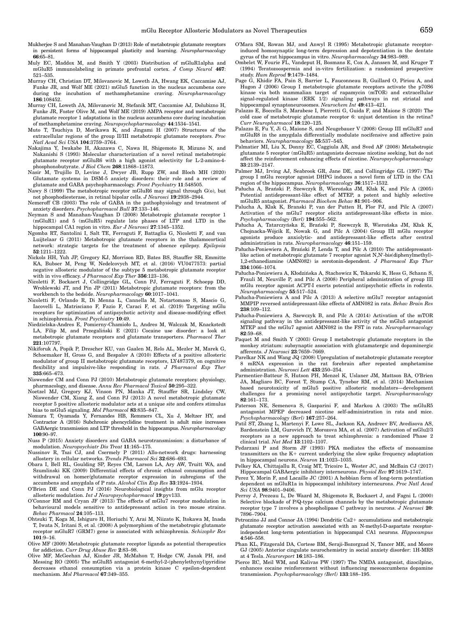- Mukherjee S and Manahan-Vaughan D (2013) Role of metabotropic glutamate receptors in persistent forms of hippocampal plasticity and learning. Neuropharmacology 66:65–81.
- Muly EC, Maddox M, and Smith Y (2003) Distribution of mGluR1alpha and mGluR5 immunolabeling in primate prefrontal cortex. J Comp Neurol 467: 521–535.
- Murray CH, Christian DT, Milovanovic M, Loweth JA, Hwang EK, Caccamise AJ, Funke JR, and Wolf ME (2021) mGlu5 function in the nucleus accumbens core during the incubation of methamphetamine craving. Neuropharmacology 186:108452.
- Murray CH, Loweth JA, Milovanovic M, Stefanik MT, Caccamise AJ, Dolubizno H, Funke JR, Foster Olive M, and Wolf ME (2019) AMPA receptor and metabotropic glutamate receptor 1 adaptations in the nucleus accumbens core during incubation of methamphetamine craving. Neuropsychopharmacology 44:1534–1541.
- Muto T, Tsuchiya D, Morikawa K, and Jingami H (2007) Structures of the extracellular regions of the group II/III metabotropic glutamate receptors. Proc Natl Acad Sci USA 104:3759–3764.
- Nakajima Y, Iwakabe H, Akazawa C, Nawa H, Shigemoto R, Mizuno N, and Nakanishi S (1993) Molecular characterization of a novel retinal metabotropic glutamate receptor mGluR6 with a high agonist selectivity for L-2-amino-4 phosphonobutyrate. J Biol Chem 268:11868–11873.
- Nasir M, Trujillo D, Levine J, Dwyer JB, Rupp ZW, and Bloch MH (2020) Glutamate systems in DSM-5 anxiety disorders: their role and a review of glutamate and GABA psychopharmacology. Front Psychiatry 11:548505.
- Nawy S (1999) The metabotropic receptor mGluR6 may signal through G(o), but not phosphodiesterase, in retinal bipolar cells. J Neurosci 19:2938–2944.
- Nemeroff CB (2003) The role of GABA in the pathophysiology and treatment of anxiety disorders. Psychopharmacol Bull 37:133–146.
- Neyman S and Manahan-Vaughan D (2008) Metabotropic glutamate receptor 1 (mGluR1) and 5 (mGluR5) regulate late phases of LTP and LTD in the
- hippocampal CA1 region in vitro. *Eur J Neurosci* 27:1345–1352.<br>Ngomba RT, Santolini I, Salt TE, Ferraguti F, Battaglia G, Nicoletti F, and van Luijtelaar G (2011) Metabotropic glutamate receptors in the thalamocortical network: strategic targets for the treatment of absence epilepsy. Epilepsia 52:1211–1222.
- Nickols HH, Yuh JP, Gregory KJ, Morrison RD, Bates BS, Stauffer SR, Emmitte KA, Bubser M, Peng W, Nedelcovych MT, et al. (2016) VU0477573: partial negative allosteric modulator of the subtype 5 metabotropic glutamate receptor with in vivo efficacy. J Pharmacol Exp Ther 356:123–136.
- Nicoletti F, Bockaert J, Collingridge GL, Conn PJ, Ferraguti F, Schoepp DD, Wroblewski JT, and Pin JP (2011) Metabotropic glutamate receptors: from the workbench to the bedside. Neuropharmacology 60:1017–1041.
- Nicoletti F, Orlando R, Di Menna L, Cannella M, Notartomaso S, Mascio G, Iacovelli L, Matrisciano F, Fazio F, Caraci F, et al. (2019) Targeting mGlu receptors for optimization of antipsychotic activity and disease-modifying effect in schizophrenia. Front Psychiatry 10:49.
- Niedzielska-Andres E, Pomierny-Chamioło L, Andres M, Walczak M, Knackstedt LA, Filip M, and Przegaliński E (2021) Cocaine use disorder: a look at metabotropic glutamate receptors and glutamate transporters. Pharmacol Ther 221:107797.
- Nikiforuk A, Popik P, Drescher KU, van Gaalen M, Relo AL, Mezler M, Marek G, Schoemaker H, Gross G, and Bespalov A (2010) Effects of a positive allosteric modulator of group II metabotropic glutamate receptors, LY487379, on cognitive flexibility and impulsive-like responding in rats. J Pharmacol Exp Ther 335:665–673.
- Niswender CM and Conn PJ (2010) Metabotropic glutamate receptors: physiology, pharmacology, and disease. Annu Rev Pharmacol Toxicol 50:295–322.
- Noetzel MJ, Gregory KJ, Vinson PN, Manka JT, Stauffer SR, Lindsley CW, Niswender CM, Xiang Z, and Conn PJ (2013) A novel metabotropic glutamate receptor 5 positive allosteric modulator acts at a unique site and confers stimulus bias to mGlu5 signaling. Mol Pharmacol 83:835–847.
- Nomura T, Oyamada Y, Fernandes HB, Remmers CL, Xu J, Meltzer HY, and Contractor A (2016) Subchronic phencyclidine treatment in adult mice increases GABAergic transmission and LTP threshold in the hippocampus. Neuropharmacology 100:90–97.
- Nuss P (2015) Anxiety disorders and GABA neurotransmission: a disturbance of modulation. Neuropsychiatr Dis Treat 11:165–175.
- Nussinov R, Tsai CJ, and Csermely P (2011) Allo-network drugs: harnessing allostery in cellular networks. Trends Pharmacol Sci 32:686–693.
- Obara I, Bell RL, Goulding SP, Reyes CM, Larson LA, Ary AW, Truitt WA, and Szumlinski KK (2009) Differential effects of chronic ethanol consumption and withdrawal on homer/glutamate receptor expression in subregions of the accumbens and amygdala of P rats. Alcohol Clin Exp Res 33:1924–1934.
- O'Brien DE and Conn PJ (2016) Neurobiological insights from mGlu receptor allosteric modulation. Int J Neuropsychopharmacol 19:pyv133.
- O'Connor RM and Cryan JF (2013) The effects of mGlu7 receptor modulation in behavioural models sensitive to antidepressant action in two mouse strains. Behav Pharmacol 24:105–113.
- Ohtsuki T, Koga M, Ishiguro H, Horiuchi Y, Arai M, Niizato K, Itokawa M, Inada T, Iwata N, Iritani S, et al. (2008) A polymorphism of the metabotropic glutamate receptor mGluR7 (GRM7) gene is associated with schizophrenia. Schizophr Res 101:9–16.
- Olive MF (2009) Metabotropic glutamate receptor ligands as potential therapeutics for addiction. Curr Drug Abuse Rev 2:83–98.
- Olive MF, McGeehan AJ, Kinder JR, McMahon T, Hodge CW, Janak PH, and Messing RO (2005) The mGluR5 antagonist 6-methyl-2-(phenylethynyl)pyridine decreases ethanol consumption via a protein kinase C epsilon-dependent mechanism. Mol Pharmacol 67:349–355.
- O'Mara SM, Rowan MJ, and Anwyl R (1995) Metabotropic glutamate receptorinduced homosynaptic long-term depression and depotentiation in the dentate gyrus of the rat hippocampus in vitro. Neuropharmacology 34:983–989.
- Ombelet W, Fourie FL, Vandeput H, Bosmans E, Cox A, Janssen M, and Kruger T (1994) Teratozoospermia and in-vitro fertilization: a randomized prospective study. Hum Reprod 9:1479–1484.
- Page G, Khidir FA, Pain S, Barrier L, Fauconneau B, Guillard O, Piriou A, and Hugon J (2006) Group I metabotropic glutamate receptors activate the p70S6 kinase via both mammalian target of rapamycin (mTOR) and extracellular signal-regulated kinase (ERK 1/2) signaling pathways in rat striatal and hippocampal synaptoneurosomes. Neurochem Int 49:413–421.
- Palazzo E, Boccella S, Marabese I, Pierretti G, Guida F, and Maione S (2020) The cold case of metabotropic glutamate receptor 6: unjust detention in the retina? Curr Neuropharmacol 18:120–125.
- Palazzo E, Fu Y, Ji G, Maione S, and Neugebauer V (2008) Group III mGluR7 and mGluR8 in the amygdala differentially modulate nocifensive and affective pain behaviors. Neuropharmacology 55:537–545.
- Palmatier MI, Liu X, Donny EC, Caggiula AR, and Sved AF (2008) Metabotropic glutamate 5 receptor (mGluR5) antagonists decrease nicotine seeking, but do not affect the reinforcement enhancing effects of nicotine. Neuropsychopharmacology 33:2139–2147.
- Palmer MJ, Irving AJ, Seabrook GR, Jane DE, and Collingridge GL (1997) The group I mGlu receptor agonist DHPG induces a novel form of LTD in the CA1 region of the hippocampus. Neuropharmacology 36:1517–1532.
- Pałucha A, Brański P, Szewczyk B, Wierońska JM, Kłak K, and Pilc A (2005) Potential antidepressant-like effect of MTEP, a potent and highly selective mGluR5 antagonist. Pharmacol Biochem Behav 81:901–906.
- Palucha A, Klak K, Branski P, van der Putten H, Flor PJ, and Pilc A (2007) Activation of the mGlu7 receptor elicits antidepressant-like effects in mice. Psychopharmacology (Berl) 194:555–562.
- Pałucha A, Tatarczyńska E, Brański P, Szewczyk B, Wierońska JM, Kłak K, Chojnacka-Wójcik E, Nowak G, and Pilc A (2004) Group III mGlu receptor agonists produce anxiolytic- and antidepressant-like effects after central administration in rats. Neuropharmacology 46:151–159.
- Pałucha-Poniewiera A, Brański P, Lenda T, and Pilc A (2010) The antidepressantlike action of metabotropic glutamate 7 receptor agonist N,N'-bis(diphenylmethyl)-1,2-ethanediamine (AMN082) is serotonin-dependent. J Pharmacol Exp Ther 334:1066–1074.
- Pałucha-Poniewiera A, Kłodzinska A, Stachowicz K, Tokarski K, Hess G, Schann S, Frauli M, Neuville P, and Pilc A (2008) Peripheral administration of group III mGlu receptor agonist ACPT-I exerts potential antipsychotic effects in rodents. Neuropharmacology 55:517–524.
- Pałucha-Poniewiera A and Pilc A (2013) A selective mGlu7 receptor antagonist MMPIP reversed antidepressant-like effects of AMN082 in rats. Behav Brain Res 238:109–112.
- Pałucha-Poniewiera A, Szewczyk B, and Pilc A (2014) Activation of the mTOR signaling pathway in the antidepressant-like activity of the mGlu5 antagonist MTEP and the mGlu7 agonist AMN082 in the FST in rats. Neuropharmacology 82:59–68.
- Paquet M and Smith Y (2003) Group I metabotropic glutamate receptors in the monkey striatum: subsynaptic association with glutamatergic and dopaminergic afferents. J Neurosci 23:7659–7669.
- Parelkar NK and Wang JQ (2008) Upregulation of metabotropic glutamate receptor 8 mRNA expression in the rat forebrain after repeated amphetamine administration. Neurosci Lett 433:250–254.
- Parmentier-Batteur S, Hutson PH, Menzel K, Uslaner JM, Mattson BA, O'Brien JA, Magliaro BC, Forest T, Stump CA, Tynebor RM, et al. (2014) Mechanism based neurotoxicity of mGlu5 positive allosteric modulators—development challenges for a promising novel antipsychotic target. Neuropharmacology 82:161–173.
- Paterson NE, Semenova S, Gasparini F, and Markou A (2003) The mGluR5 antagonist MPEP decreased nicotine self-administration in rats and mice. Psychopharmacology (Berl) 167:257–264.
- Patil ST, Zhang L, Martenyi F, Lowe SL, Jackson KA, Andreev BV, Avedisova AS, Bardenstein LM, Gurovich IY, Morozova MA, et al. (2007) Activation of mGlu2/3 receptors as a new approach to treat schizophrenia: a randomized Phase 2 clinical trial. Nat Med  $13:1102-1107$ .
- Pedarzani P and Storm JF (1993) PKA mediates the effects of monoamine transmitters on the  $K+$  current underlying the slow spike frequency adaptation in hippocampal neurons. Neuron 11:1023–1035.
- Pelkey KA, Chittajallu R, Craig MT, Tricoire L, Wester JC, and McBain CJ (2017) Hippocampal GABAergic inhibitory interneurons. Physiol Rev 97:1619–1747.
- Perez Y, Morin F, and Lacaille JC (2001) A hebbian form of long-term potentiation dependent on mGluR1a in hippocampal inhibitory interneurons. Proc Natl Acad Sci USA 98:9401–9406.
- Perroy J, Prezeau L, De Waard M, Shigemoto R, Bockaert J, and Fagni L (2000) Selective blockade of P/Q-type calcium channels by the metabotropic glutamate receptor type 7 involves a phospholipase C pathway in neurons. J Neurosci 20: 7896–7904.
- Petrozzino JJ and Connor JA (1994) Dendritic Ca2+ accumulations and metabotropic glutamate receptor activation associated with an N-methyl-D-aspartate receptorindependent long-term potentiation in hippocampal CA1 neurons. Hippocampus 4:546–558.
- Phan KL, Fitzgerald DA, Cortese BM, Seraji-Bozorgzad N, Tancer ME, and Moore GJ (2005) Anterior cingulate neurochemistry in social anxiety disorder: 1H-MRS at 4 Tesla. Neuroreport 16:183–186.
- Pierce RC, Meil WM, and Kalivas PW (1997) The NMDA antagonist, dizocilpine, enhances cocaine reinforcement without influencing mesoaccumbens dopamine transmission. Psychopharmacology (Berl) 133:188–195.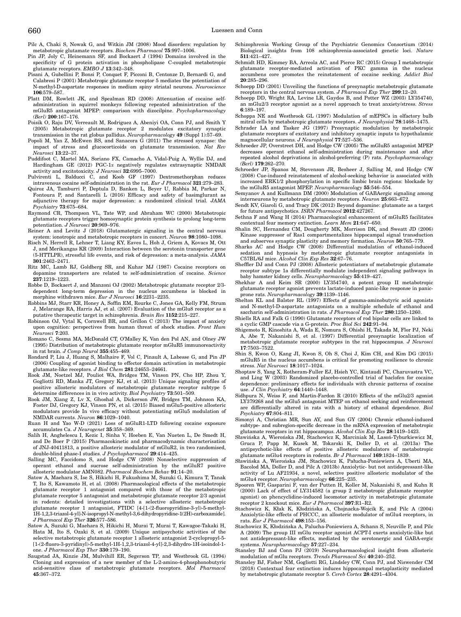Pilc A, Chaki S, Nowak G, and Witkin JM (2008) Mood disorders: regulation by metabotropic glutamate receptors. Biochem Pharmacol 75:997–1006.

- Pin JP, Joly C, Heinemann SF, and Bockaert J (1994) Domains involved in the specificity of G protein activation in phospholipase C-coupled metabotropic glutamate receptors. EMBO J 13:342–348.
- Pisani A, Gubellini P, Bonsi P, Conquet F, Picconi B, Centonze D, Bernardi G, and Calabresi P (2001) Metabotropic glutamate receptor 5 mediates the potentiation of N-methyl-D-aspartate responses in medium spiny striatal neurons. Neuroscience 106:579–587.
- Platt DM, Rowlett JK, and Spealman RD (2008) Attenuation of cocaine selfadministration in squirrel monkeys following repeated administration of the mGluR5 antagonist MPEP: comparison with dizocilpine. Psychopharmacology (Berl) 200:167–176.
- Poisik O, Raju DV, Verreault M, Rodriguez A, Abeniyi OA, Conn PJ, and Smith Y (2005) Metabotropic glutamate receptor 2 modulates excitatory synaptic transmission in the rat globus pallidus. Neuropharmacology 49 (Suppl 1):57–69.
- Popoli M, Yan Z, McEwen BS, and Sanacora G (2011) The stressed synapse: the impact of stress and glucocorticoids on glutamate transmission. Nat Rev Neurosci 13:22–37.
- Puddifoot C, Martel MA, Soriano FX, Camacho A, Vidal-Puig A, Wyllie DJ, and Hardingham GE (2012) PGC-1a negatively regulates extrasynaptic NMDAR activity and excitotoxicity. J Neurosci 32:6995–7000.
- Pulvirenti L, Balducci C, and Koob GF (1997) Dextromethorphan reduces intravenous cocaine self-administration in the rat. Eur J Pharmacol 321:279–283.
- Quiroz JA, Tamburri P, Deptula D, Banken L, Beyer U, Rabbia M, Parkar N, Fontoura P, and Santarelli L (2016) Efficacy and safety of basimglurant as adjunctive therapy for major depression: a randomized clinical trial. JAMA Psychiatry 73:675–684.
- Raymond CR, Thompson VL, Tate WP, and Abraham WC (2000) Metabotropic glutamate receptors trigger homosynaptic protein synthesis to prolong long-term potentiation. J Neurosci 20:969–976.
- Reiner A and Levitz J (2018) Glutamatergic signaling in the central nervous system: ionotropic and metabotropic receptors in concert. Neuron 98:1080–1098.
- Risch N, Herrell R, Lehner T, Liang KY, Eaves L, Hoh J, Griem A, Kovacs M, Ott J, and Merikangas KR (2009) Interaction between the serotonin transporter gene (5-HTTLPR), stressful life events, and risk of depression: a meta-analysis. JAMA 301:2462–2471.
- Ritz MC, Lamb RJ, Goldberg SR, and Kuhar MJ (1987) Cocaine receptors on dopamine transporters are related to self-administration of cocaine. Science 237:1219–1223.
- Robbe D, Bockaert J, and Manzoni OJ (2002) Metabotropic glutamate receptor 2/3 dependent long-term depression in the nucleus accumbens is blocked in morphine withdrawn mice. Eur J Neurosci 16:2231–2235.
- Robbins MJ, Starr KR, Honey A, Soffin EM, Rourke C, Jones GA, Kelly FM, Strum J, Melarange RA, Harris AJ, et al. (2007) Evaluation of the mGlu8 receptor as a putative therapeutic target in schizophrenia. Brain Res 1152:215–227.
- Robinson OJ, Vytal K, Cornwell BR, and Grillon C (2013) The impact of anxiety upon cognition: perspectives from human threat of shock studies. Front Hum Neurosci 7:203.
- Romano C, Sesma MA, McDonald CT, O'Malley K, Van den Pol AN, and Olney JW (1995) Distribution of metabotropic glutamate receptor mGluR5 immunoreactivity in rat brain. J Comp Neurol 355:455–469.
- Rondard P, Liu J, Huang S, Malhaire F, Vol C, Pinault A, Labesse G, and Pin JP (2006) Coupling of agonist binding to effector domain activation in metabotropic glutamate-like receptors. J Biol Chem 281:24653–24661.
- Rook JM, Noetzel MJ, Pouliot WA, Bridges TM, Vinson PN, Cho HP, Zhou Y, Gogliotti RD, Manka JT, Gregory KJ, et al. (2013) Unique signaling profiles of positive allosteric modulators of metabotropic glutamate receptor subtype 5 determine differences in in vivo activity. Biol Psychiatry 73:501–509.
- Rook JM, Xiang Z, Lv X, Ghoshal A, Dickerson JW, Bridges TM, Johnson KA, Foster DJ, Gregory KJ, Vinson PN, et al. (2015) Biased mGlu5-positive allosteric modulators provide In vivo efficacy without potentiating mGlu5 modulation of NMDAR currents. Neuron 86:1029–1040.
- Ruan H and Yao W-D (2021) Loss of mGluR1-LTD following cocaine exposure accumulates Ca. J Neurogenet 35:358–369.
- Salih H, Anghelescu I, Kezic I, Sinha V, Hoeben E, Van Nueten L, De Smedt H, and De Boer P (2015) Pharmacokinetic and pharmacodynamic characterisation of JNJ-40411813, a positive allosteric modulator of mGluR2, in two randomised, double-blind phase-I studies. J Psychopharmacol 29:414–425.
- Salling MC, Faccidomo S, and Hodge CW (2008) Nonselective suppression of operant ethanol and sucrose self-administration by the mGluR7 positive allosteric modulator AMN082. Pharmacol Biochem Behav 91:14–20.
- Satow A, Maehara S, Ise S, Hikichi H, Fukushima M, Suzuki G, Kimura T, Tanak T, Ito S, Kawamoto H, et al. (2008) Pharmacological effects of the metabotropic glutamate receptor 1 antagonist compared with those of the metabotropic glutamate receptor 5 antagonist and metabotropic glutamate receptor 2/3 agonist in rodents: detailed investigations with a selective allosteric metabotropic glutamate receptor 1 antagonist, FTIDC [4-[1-(2-fluoropyridine-3-yl)-5-methyl-1H-1,2,3-triazol-4-yl]-N-isopropyl-N-methyl-3,6-dihydropyridine-1(2H)-carboxamide]. J Pharmacol Exp Ther 326:577–586.
- Satow A, Suzuki G, Maehara S, Hikichi H, Murai T, Murai T, Kawagoe-Takaki H, Hata M, Ito S, Ozaki S, et al. (2009) Unique antipsychotic activities of the selective metabotropic glutamate receptor 1 allosteric antagonist 2-cyclopropyl-5- [1-(2-fluoro-3-pyridinyl)-5-methyl-1H-1,2,3-triazol-4-yl]-2,3-dihydro-1H-isoindol-1 one. J Pharmacol Exp Ther 330:179–190.
- Saugstad JA, Kinzie JM, Mulvihill ER, Segerson TP, and Westbrook GL (1994) Cloning and expression of a new member of the L-2-amino-4-phosphonobutyric acid-sensitive class of metabotropic glutamate receptors. Mol Pharmacol 45:367–372.
- Schizophrenia Working Group of the Psychiatric Genomics Consortium (2014) Biological insights from 108 schizophrenia-associated genetic loci. Nature 511:421–427.
- Schmidt HD, Kimmey BA, Arreola AC, and Pierce RC (2015) Group I metabotropic glutamate receptor-mediated activation of PKC gamma in the nucleus accumbens core promotes the reinstatement of cocaine seeking. Addict Biol 20:285–296.
- Schoepp DD (2001) Unveiling the functions of presynaptic metabotropic glutamate receptors in the central nervous system. J Pharmacol Exp Ther 299:12–20.
- Schoepp DD, Wright RA, Levine LR, Gaydos B, and Potter WZ (2003) LY354740, an mGlu2/3 receptor agonist as a novel approach to treat anxiety/stress. Stress 6:189–197.
- Schoppa NE and Westbrook GL (1997) Modulation of mEPSCs in olfactory bulb mitral cells by metabotropic glutamate receptors. J Neurophysiol 78:1468–1475.
- Schrader LA and Tasker JG (1997) Presynaptic modulation by metabotropic glutamate receptors of excitatory and inhibitory synaptic inputs to hypothalamic magnocellular neurons. J Neurophysiol 77:527–536.
- Schroeder JP, Overstreet DH, and Hodge CW (2005) The mGluR5 antagonist MPEP decreases operant ethanol self-administration during maintenance and after repeated alcohol deprivations in alcohol-preferring (P) rats. Psychopharmacology (Berl) 179:262–270.
- Schroeder JP, Spanos M, Stevenson JR, Besheer J, Salling M, and Hodge CW (2008) Cue-induced reinstatement of alcohol-seeking behavior is associated with increased ERK1/2 phosphorylation in specific limbic brain regions: blockade by the mGluR5 antagonist MPEP. Neuropharmacology 55:546–554.
- Semyanov A and Kullmann DM (2000) Modulation of GABAergic signaling among interneurons by metabotropic glutamate receptors. Neuron 25:663–672.
- Sendt KV, Giaroli G, and Tracy DK (2012) Beyond dopamine: glutamate as a target for future antipsychotics. ISRN Pharmacol 2012:427267.
- Sethna F and Wang H (2014) Pharmacological enhancement of mGluR5 facilitates contextual fear memory extinction. Learn Mem 21:647–650.
- Shalin SC, Hernandez CM, Dougherty MK, Morrison DK, and Sweatt JD (2006) Kinase suppressor of Ras1 compartmentalizes hippocampal signal transduction and subserves synaptic plasticity and memory formation. Neuron 50:765–779.
- Sharko AC and Hodge CW (2008) Differential modulation of ethanol-induced sedation and hypnosis by metabotropic glutamate receptor antagonists in C57BL/6J mice. Alcohol Clin Exp Res 32:67–76.
- Sheffler DJ and Conn PJ (2008) Allosteric potentiators of metabotropic glutamate receptor subtype 1a differentially modulate independent signaling pathways in
- baby hamster kidney cells. Neuropharmacology 55:419–427. Shekhar A and Keim SR (2000) LY354740, a potent group II metabotropic glutamate receptor agonist prevents lactate-induced panic-like response in panicprone rats. Neuropharmacology 39:1139-1146.
- Shelton KL and Balster RL (1997) Effects of gamma-aminobutyric acid agonists and N-methyl-D-aspartate antagonists on a multiple schedule of ethanol and saccharin self-administration in rats. J Pharmacol Exp Ther 280:1250–1260.
- Shiells RA and Falk G (1990) Glutamate receptors of rod bipolar cells are linked to a cyclic GMP cascade via a G-protein. Proc Biol Sci 242:91–94.
- Shigemoto R, Kinoshita A, Wada E, Nomura S, Ohishi H, Takada M, Flor PJ, Neki A, Abe T, Nakanishi S, et al. (1997) Differential presynaptic localization of metabotropic glutamate receptor subtypes in the rat hippocampus. J Neurosci 17:7503–7522.
- Shin S, Kwon O, Kang JI, Kwon S, Oh S, Choi J, Kim CH, and Kim DG (2015) mGluR5 in the nucleus accumbens is critical for promoting resilience to chronic stress. Nat Neurosci 18:1017–1024.
- Shoptaw S, Yang X, Rotheram-Fuller EJ, Hsieh YC, Kintaudi PC, Charuvastra VC, and Ling W (2003) Randomized placebo-controlled trial of baclofen for cocaine dependence: preliminary effects for individuals with chronic patterns of cocaine use. J Clin Psychiatry 64:1440–1448.
- Sidhpura N, Weiss F, and Martin-Fardon R (2010) Effects of the mGlu2/3 agonist LY379268 and the mGlu5 antagonist MTEP on ethanol seeking and reinforcement are differentially altered in rats with a history of ethanol dependence. Biol Psychiatry 67:804–811.
- Simonyi A, Christian MR, Sun AY, and Sun GY (2004) Chronic ethanol-induced subtype- and subregion-specific decrease in the mRNA expression of metabotropic glutamate receptors in rat hippocampus. Alcohol Clin Exp Res 28:1419–1423.
- Sławińska A, Wierońska JM, Stachowicz K, Marciniak M, Lasoń-Tyburkiewicz M, Gruca P, Papp M, Kusek M, Tokarski K, Doller D, et al. (2013a) The antipsychotic-like effects of positive allosteric modulators of metabotropic glutamate mGlu4 receptors in rodents. Br J Pharmacol 169:1824-1839.
- Sławińska A, Wierońska JM, Stachowicz K, Pałucha-Poniewiera A, Uberti MA, Bacolod MA, Doller D, and Pilc A (2013b) Anxiolytic- but not antidepressant-like activity of Lu AF21934, a novel, selective positive allosteric modulator of the mGlu4 receptor. Neuropharmacology 66:225–235.
- Spooren WP, Gasparini F, van der Putten H, Koller M, Nakanishi S, and Kuhn R (2000) Lack of effect of LY314582 (a group 2 metabotropic glutamate receptor agonist) on phencyclidine-induced locomotor activity in metabotropic glutamate receptor 2 knockout mice. Eur J Pharmacol 397:R1–R2.
- Stachowicz K, Kłak K, Kłodzińska A, Chojnacka-Wojcik E, and Pilc A (2004) Anxiolytic-like effects of PHCCC, an allosteric modulator of mGlu4 receptors, in rats. Eur J Pharmacol 498:153–156.
- Stachowicz K, Kłodzinska A, Palucha-Poniewiera A, Schann S, Neuville P, and Pilc A (2009) The group III mGlu receptor agonist ACPT-I exerts anxiolytic-like but not antidepressant-like effects, mediated by the serotonergic and GABA-ergic systems. Neuropharmacology 57:227–234.
- Stansley BJ and Conn PJ (2019) Neuropharmacological insight from allosteric modulation of mGlu receptors. Trends Pharmacol Sci 40:240–252.
- Stansley BJ, Fisher NM, Gogliotti RG, Lindsley CW, Conn PJ, and Niswender CM (2018) Contextual fear extinction induces hippocampal metaplasticity mediated by metabotropic glutamate receptor 5. Cereb Cortex 28:4291–4304.